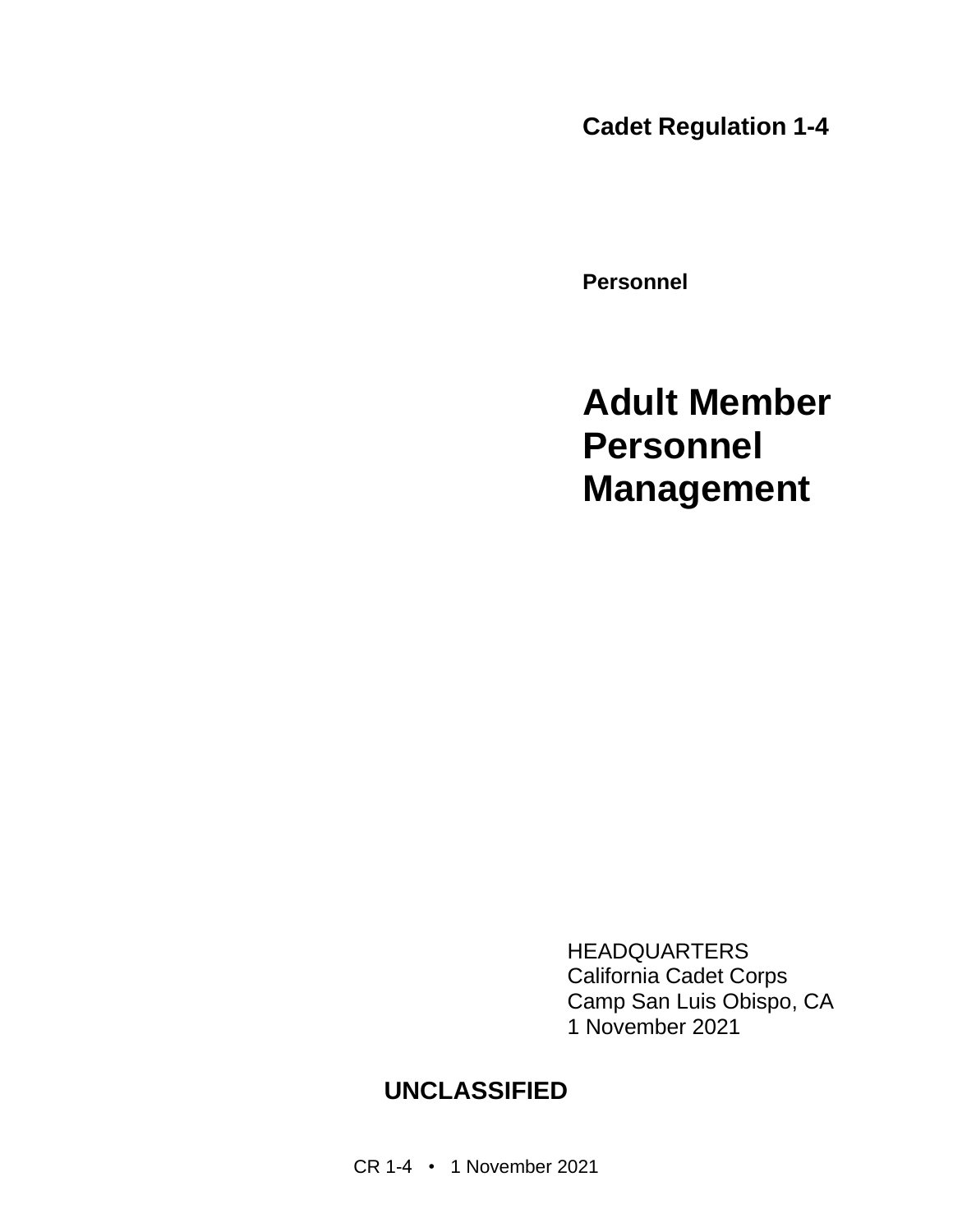**Cadet Regulation 1-4**

**Personnel**

**Adult Member Personnel Management**

HEADQUARTERS California Cadet Corps Camp San Luis Obispo, CA 1 November 2021

## **UNCLASSIFIED**

CR 1-4 • 1 November 2021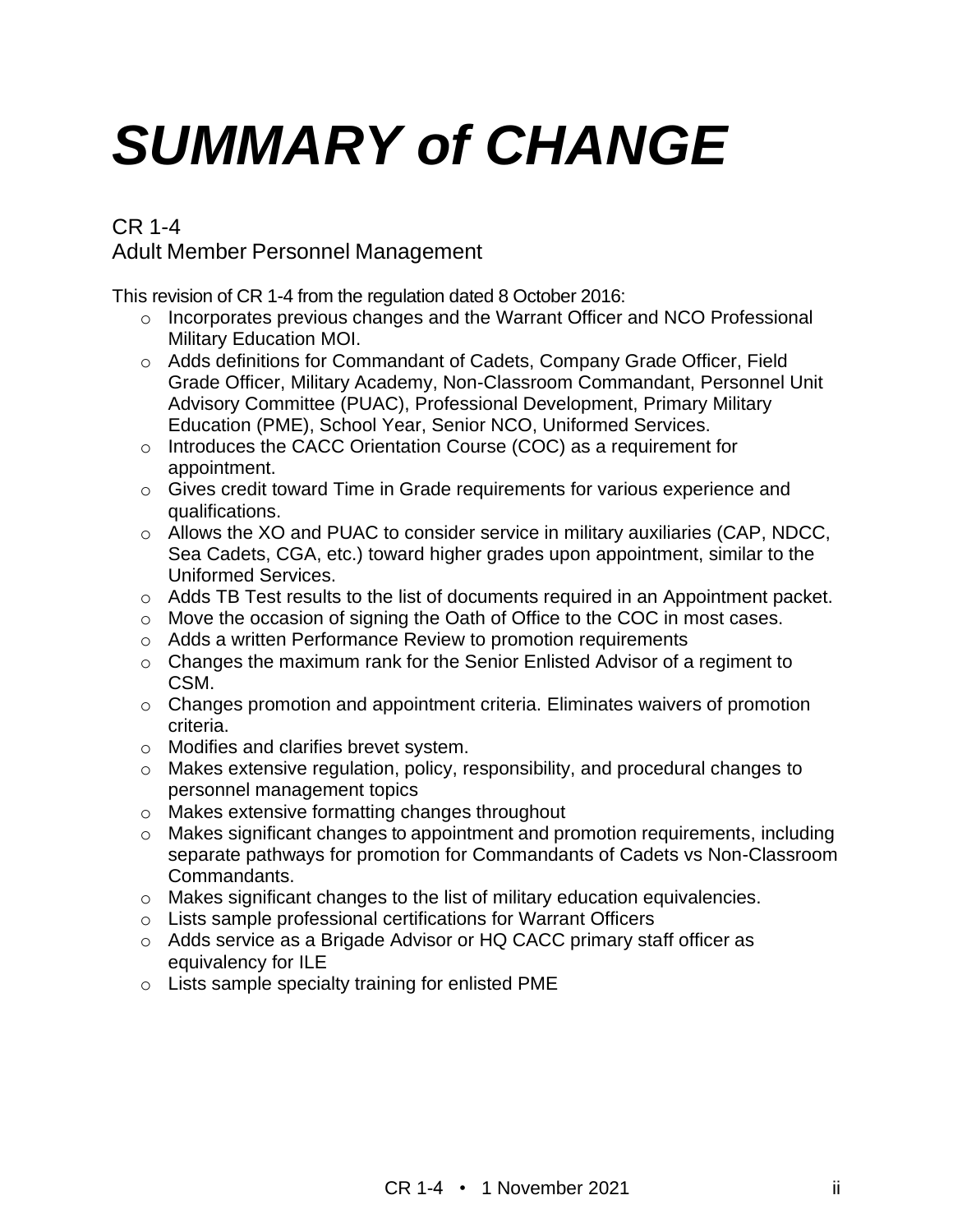# *SUMMARY of CHANGE*

#### CR 1-4 Adult Member Personnel Management

This revision of CR 1-4 from the regulation dated 8 October 2016:

- o Incorporates previous changes and the Warrant Officer and NCO Professional Military Education MOI.
- o Adds definitions for Commandant of Cadets, Company Grade Officer, Field Grade Officer, Military Academy, Non-Classroom Commandant, Personnel Unit Advisory Committee (PUAC), Professional Development, Primary Military Education (PME), School Year, Senior NCO, Uniformed Services.
- o Introduces the CACC Orientation Course (COC) as a requirement for appointment.
- $\circ$  Gives credit toward Time in Grade requirements for various experience and qualifications.
- o Allows the XO and PUAC to consider service in military auxiliaries (CAP, NDCC, Sea Cadets, CGA, etc.) toward higher grades upon appointment, similar to the Uniformed Services.
- o Adds TB Test results to the list of documents required in an Appointment packet.
- o Move the occasion of signing the Oath of Office to the COC in most cases.
- o Adds a written Performance Review to promotion requirements
- o Changes the maximum rank for the Senior Enlisted Advisor of a regiment to CSM.
- $\circ$  Changes promotion and appointment criteria. Eliminates waivers of promotion criteria.
- o Modifies and clarifies brevet system.
- o Makes extensive regulation, policy, responsibility, and procedural changes to personnel management topics
- o Makes extensive formatting changes throughout
- o Makes significant changes to appointment and promotion requirements, including separate pathways for promotion for Commandants of Cadets vs Non-Classroom Commandants.
- o Makes significant changes to the list of military education equivalencies.
- o Lists sample professional certifications for Warrant Officers
- o Adds service as a Brigade Advisor or HQ CACC primary staff officer as equivalency for ILE
- o Lists sample specialty training for enlisted PME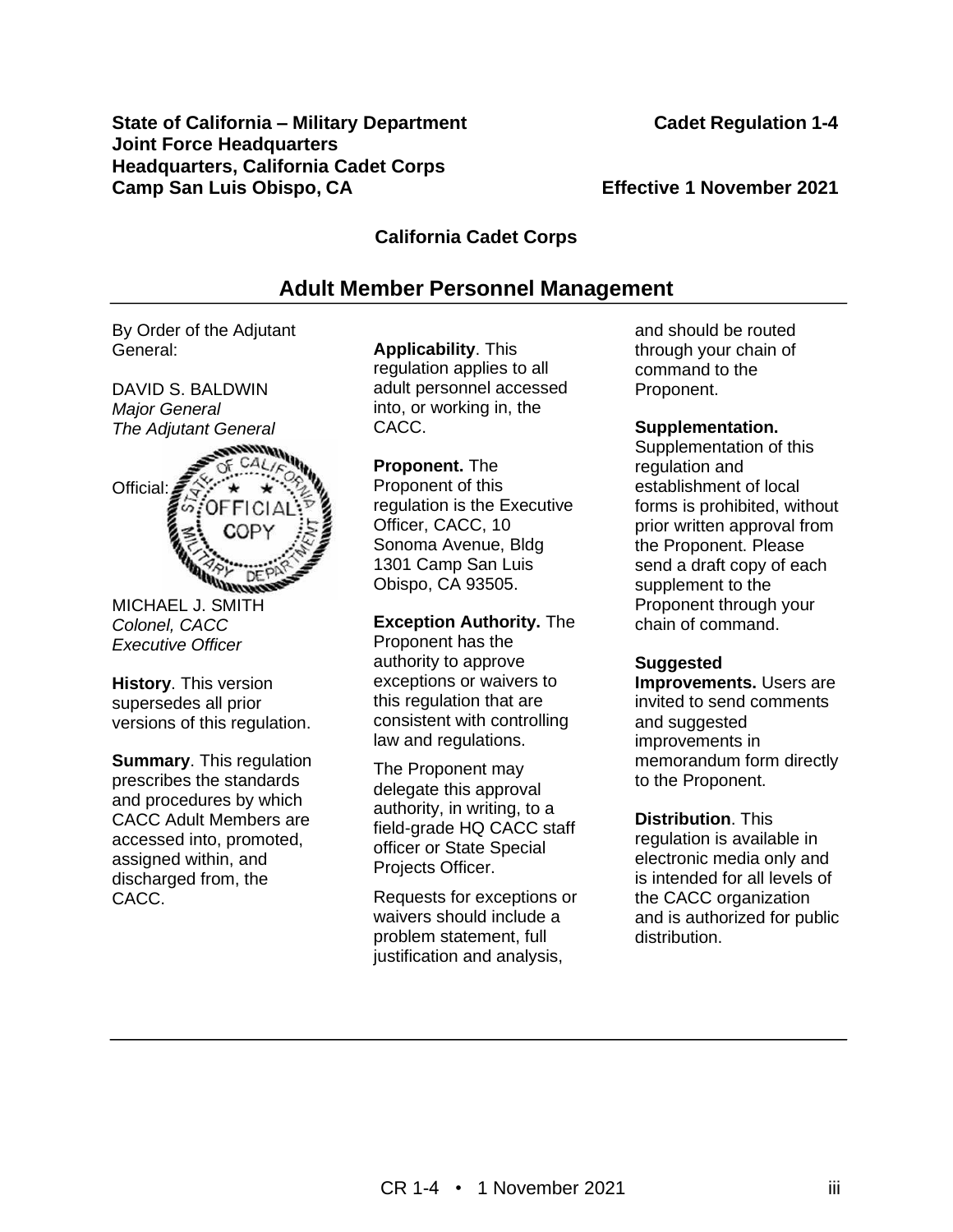#### CR 1-4 • 1 November 2021 **iii**

## **State of California – Military Department Cadet Regulation 1-4**

### **Camp San Luis Obispo, CA Effective 1 November 2021**

#### **California Cadet Corps**

#### **Adult Member Personnel Management**

By Order of the Adjutant General:

**Joint Force Headquarters**

**Headquarters, California Cadet Corps**

DAVID S. BALDWIN *Major General The Adjutant General*



MICHAEL J. SMITH *Colonel, CACC Executive Officer*

**History**. This version supersedes all prior versions of this regulation.

**Summary**. This regulation prescribes the standards and procedures by which CACC Adult Members are accessed into, promoted, assigned within, and discharged from, the CACC.

**Applicability**. This regulation applies to all adult personnel accessed into, or working in, the CACC.

**Proponent.** The Proponent of this regulation is the Executive Officer, CACC, 10 Sonoma Avenue, Bldg 1301 Camp San Luis Obispo, CA 93505.

**Exception Authority.** The Proponent has the authority to approve exceptions or waivers to this regulation that are consistent with controlling law and regulations.

The Proponent may delegate this approval authority, in writing, to a field-grade HQ CACC staff officer or State Special Projects Officer.

Requests for exceptions or waivers should include a problem statement, full justification and analysis,

and should be routed through your chain of command to the Proponent.

#### **Supplementation.**

Supplementation of this regulation and establishment of local forms is prohibited, without prior written approval from the Proponent. Please send a draft copy of each supplement to the Proponent through your chain of command.

#### **Suggested**

**Improvements.** Users are invited to send comments and suggested improvements in memorandum form directly to the Proponent.

#### **Distribution**. This

regulation is available in electronic media only and is intended for all levels of the CACC organization and is authorized for public distribution.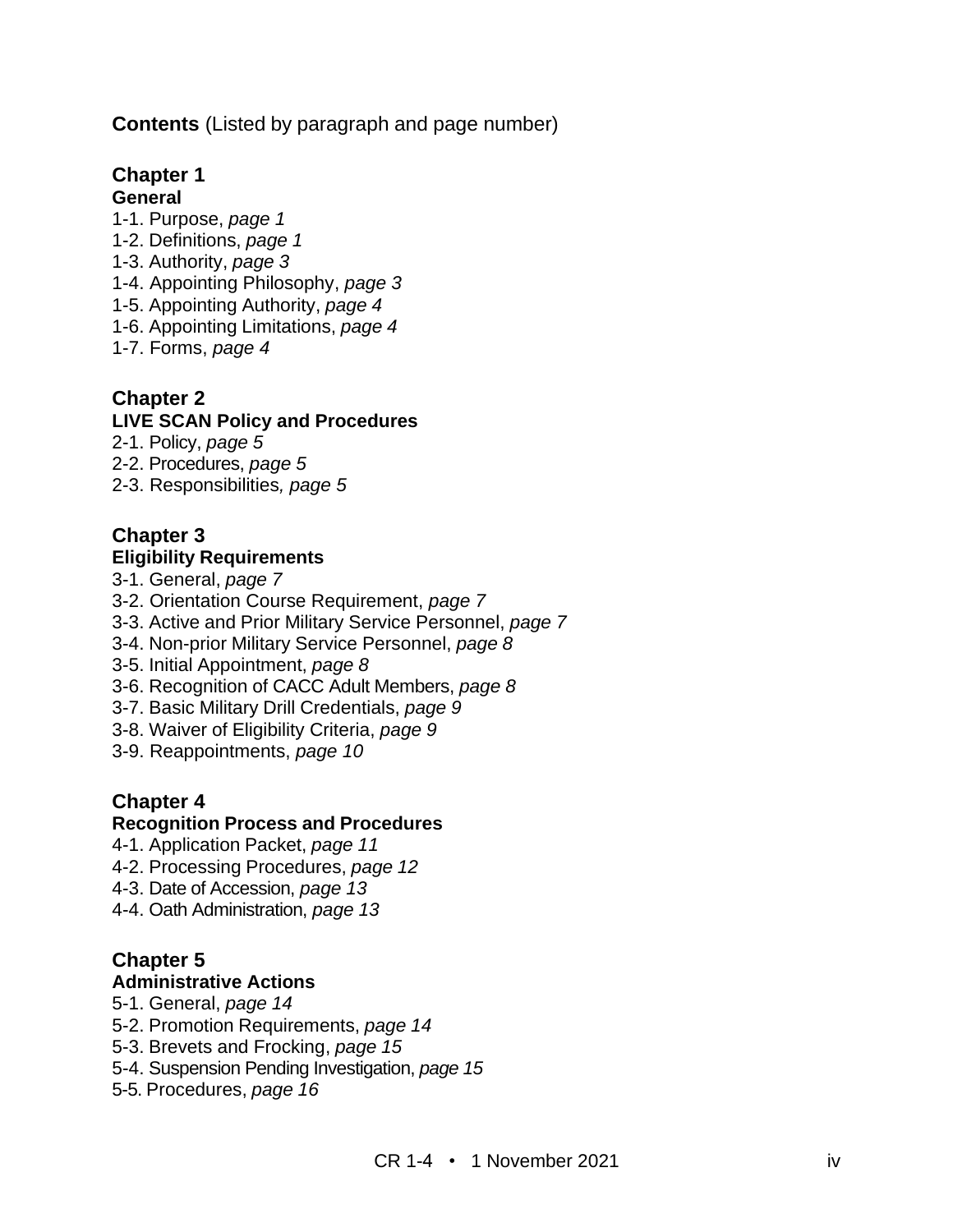**Contents** (Listed by paragraph and page number)

## **Chapter 1**

#### **General**

- 1-1. Purpose, *page 1*
- 1-2. Definitions, *page 1*
- 1-3. Authority, *page 3*
- 1-4. Appointing Philosophy, *page 3*
- 1-5. Appointing Authority, *page 4*
- 1-6. Appointing Limitations, *page 4*
- 1-7. Forms, *page 4*

## **Chapter 2**

#### **LIVE SCAN Policy and Procedures**

- 2-1. Policy, *page 5*
- 2-2. Procedures, *page 5*
- 2-3. Responsibilities*, page 5*

#### **Chapter 3 Eligibility Requirements**

- 3-1. General, *page 7*
- 3-2. Orientation Course Requirement, *page 7*
- 3-3. Active and Prior Military Service Personnel, *page 7*
- 3-4. Non-prior Military Service Personnel, *page 8*
- 3-5. Initial Appointment, *page 8*
- 3-6. Recognition of CACC Adult Members, *page 8*
- 3-7. Basic Military Drill Credentials, *page 9*
- 3-8. Waiver of Eligibility Criteria, *page 9*
- 3-9. Reappointments, *page 10*

#### **Chapter 4**

#### **Recognition Process and Procedures**

- 4-1. Application Packet, *page 11*
- 4-2. Processing Procedures, *page 12*
- 4-3. Date of Accession, *page 13*
- 4-4. Oath Administration, *page 13*

## **Chapter 5**

#### **Administrative Actions**

- 5-1. General, *page 14*
- 5-2. Promotion Requirements, *page 14*
- 5-3. Brevets and Frocking, *page 15*
- 5-4. Suspension Pending Investigation, *page 15*
- 5-5. Procedures, *page 16*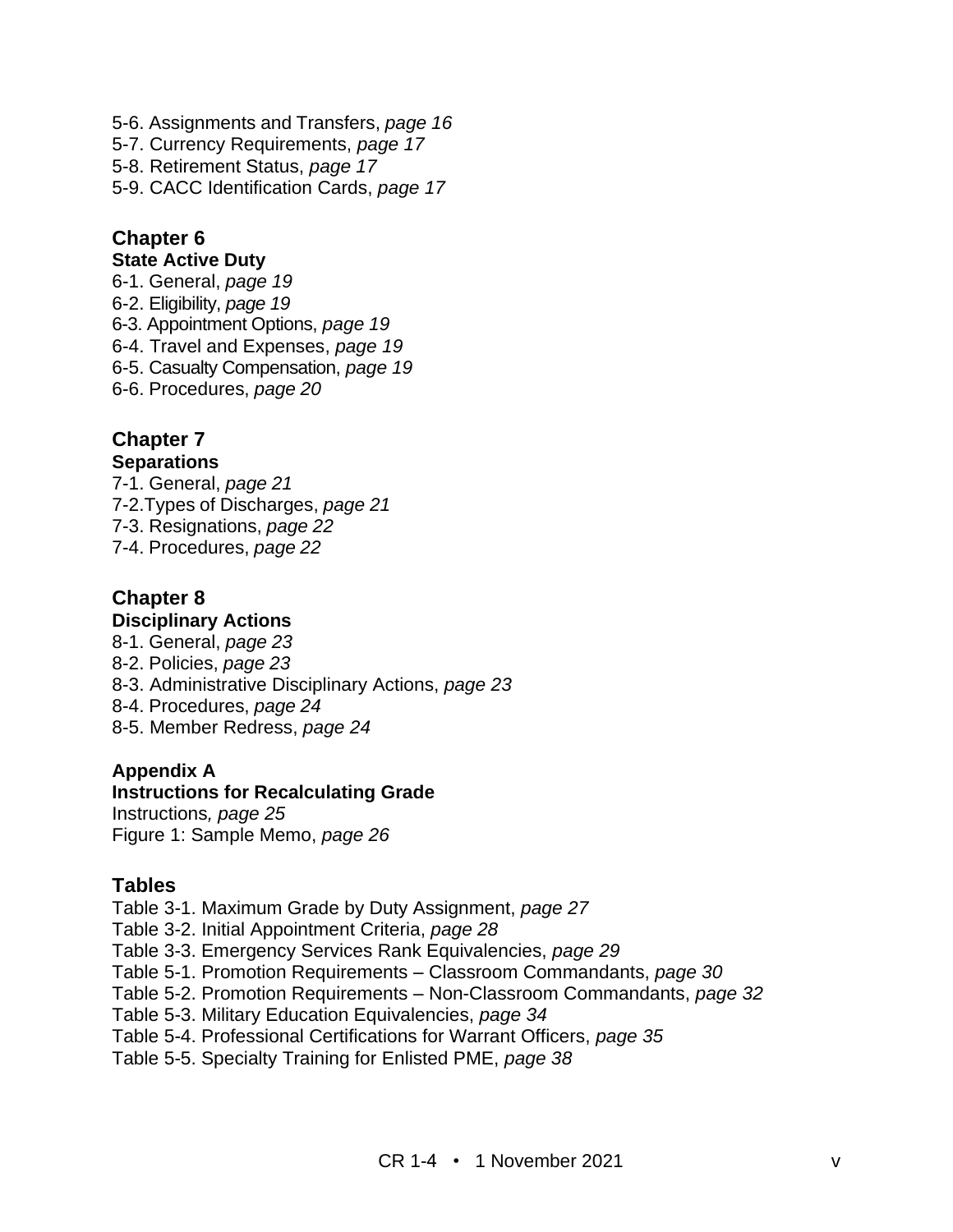5-6. Assignments and Transfers, *page 16* 5-7. Currency Requirements, *page 17* 5-8. Retirement Status, *page 17* 5-9. CACC Identification Cards, *page 17*

## **Chapter 6**

#### **State Active Duty**

- 6-1. General, *page 19*
- 6-2. Eligibility, *page 19*
- 6-3. Appointment Options, *page 19*
- 6-4. Travel and Expenses, *page 19*
- 6-5. Casualty Compensation, *page 19*
- 6-6. Procedures, *page 20*

#### **Chapter 7 Separations**

- 7-1. General, *page 21* 7-2.Types of Discharges, *page 21*
- 7-3. Resignations, *page 22*
- 7-4. Procedures, *page 22*

#### **Chapter 8 Disciplinary Actions**

#### 8-1. General, *page 23* 8-2. Policies, *page 23*

- 8-3. Administrative Disciplinary Actions, *page 23*
- 8-4. Procedures, *page 24*
- 8-5. Member Redress, *page 24*

#### **Appendix A**

#### **Instructions for Recalculating Grade**

Instructions*, page 25* Figure 1: Sample Memo, *page 26*

#### **Tables**

- Table 3-1. Maximum Grade by Duty Assignment, *page 27*
- Table 3-2. Initial Appointment Criteria, *page 28*
- Table 3-3. Emergency Services Rank Equivalencies, *page 29*
- Table 5-1. Promotion Requirements Classroom Commandants, *page 30*
- Table 5-2. Promotion Requirements Non-Classroom Commandants, *page 32*
- Table 5-3. Military Education Equivalencies, *page 34*
- Table 5-4. Professional Certifications for Warrant Officers, *page 35*
- Table 5-5. Specialty Training for Enlisted PME, *page 38*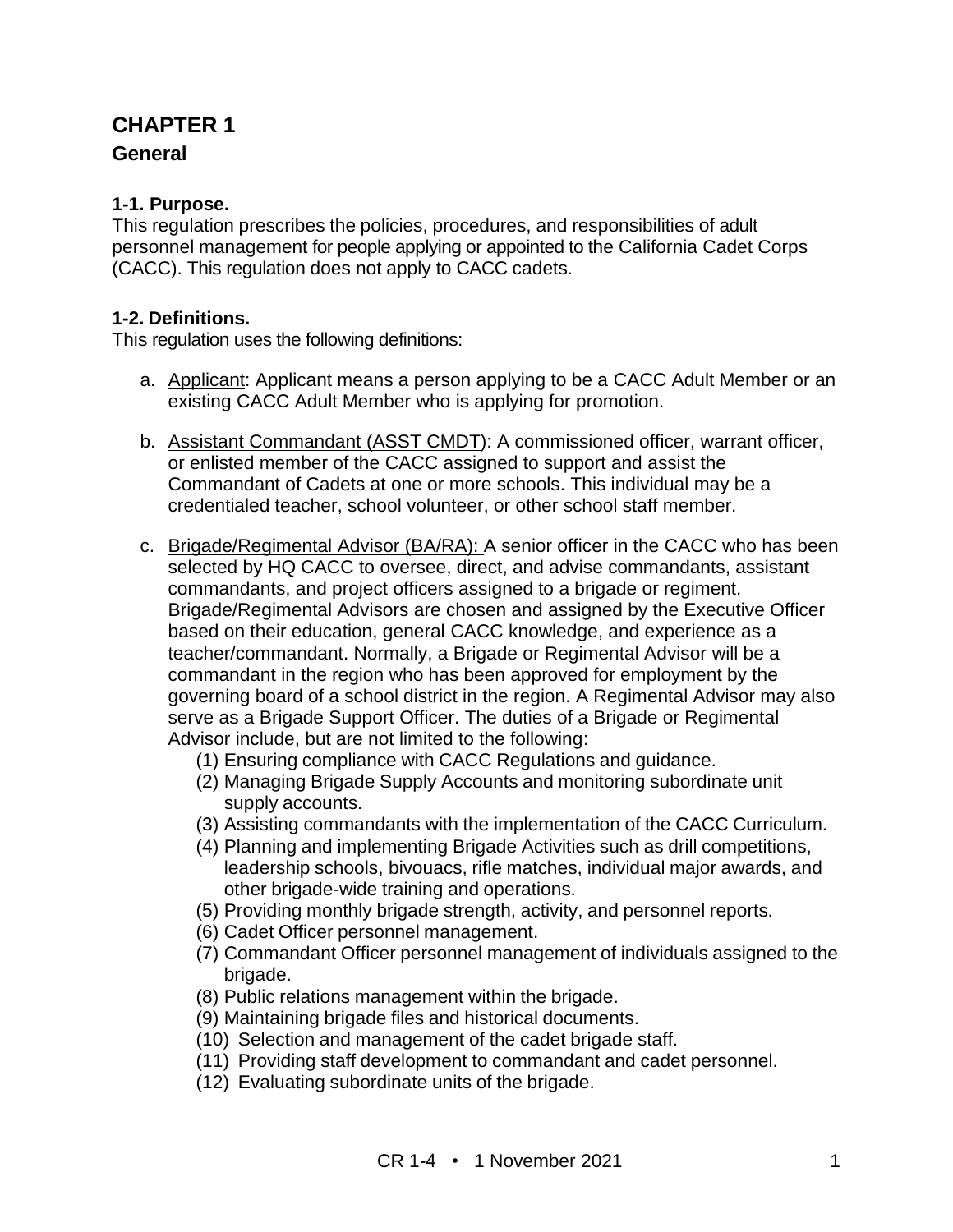## **CHAPTER 1**

#### **General**

#### **1-1. Purpose.**

This regulation prescribes the policies, procedures, and responsibilities of adult personnel management for people applying or appointed to the California Cadet Corps (CACC). This regulation does not apply to CACC cadets.

#### **1-2. Definitions.**

This regulation uses the following definitions:

- a. Applicant: Applicant means a person applying to be a CACC Adult Member or an existing CACC Adult Member who is applying for promotion.
- b. Assistant Commandant (ASST CMDT): A commissioned officer, warrant officer, or enlisted member of the CACC assigned to support and assist the Commandant of Cadets at one or more schools. This individual may be a credentialed teacher, school volunteer, or other school staff member.
- c. Brigade/Regimental Advisor (BA/RA): A senior officer in the CACC who has been selected by HQ CACC to oversee, direct, and advise commandants, assistant commandants, and project officers assigned to a brigade or regiment. Brigade/Regimental Advisors are chosen and assigned by the Executive Officer based on their education, general CACC knowledge, and experience as a teacher/commandant. Normally, a Brigade or Regimental Advisor will be a commandant in the region who has been approved for employment by the governing board of a school district in the region. A Regimental Advisor may also serve as a Brigade Support Officer. The duties of a Brigade or Regimental Advisor include, but are not limited to the following:
	- (1) Ensuring compliance with CACC Regulations and guidance.
	- (2) Managing Brigade Supply Accounts and monitoring subordinate unit supply accounts.
	- (3) Assisting commandants with the implementation of the CACC Curriculum.
	- (4) Planning and implementing Brigade Activities such as drill competitions, leadership schools, bivouacs, rifle matches, individual major awards, and other brigade-wide training and operations.
	- (5) Providing monthly brigade strength, activity, and personnel reports.
	- (6) Cadet Officer personnel management.
	- (7) Commandant Officer personnel management of individuals assigned to the brigade.
	- (8) Public relations management within the brigade.
	- (9) Maintaining brigade files and historical documents.
	- (10) Selection and management of the cadet brigade staff.
	- (11) Providing staff development to commandant and cadet personnel.
	- (12) Evaluating subordinate units of the brigade.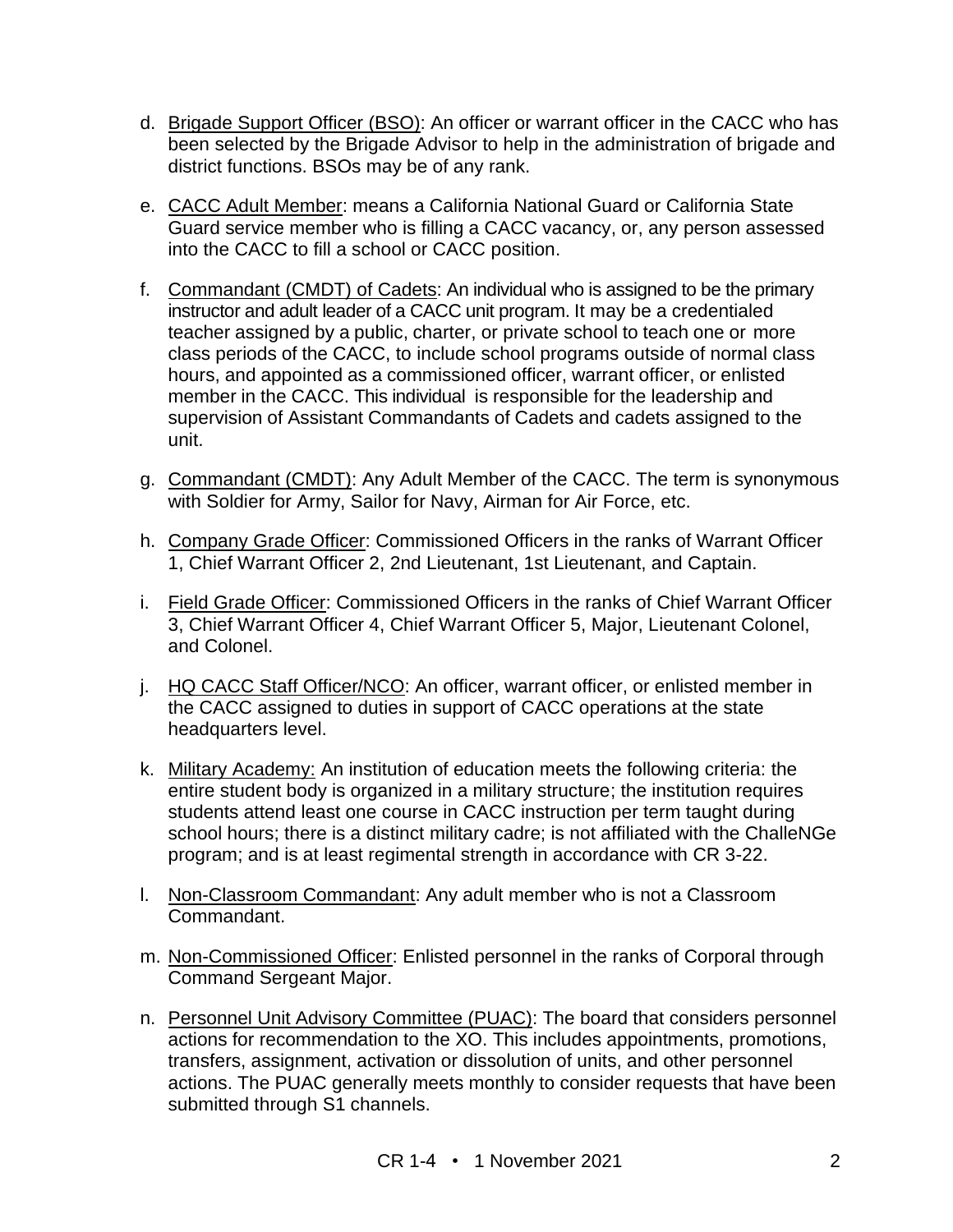- d. Brigade Support Officer (BSO): An officer or warrant officer in the CACC who has been selected by the Brigade Advisor to help in the administration of brigade and district functions. BSOs may be of any rank.
- e. CACC Adult Member: means a California National Guard or California State Guard service member who is filling a CACC vacancy, or, any person assessed into the CACC to fill a school or CACC position.
- f. Commandant (CMDT) of Cadets: An individual who is assigned to be the primary instructor and adult leader of a CACC unit program. It may be a credentialed teacher assigned by a public, charter, or private school to teach one or more class periods of the CACC, to include school programs outside of normal class hours, and appointed as a commissioned officer, warrant officer, or enlisted member in the CACC. This individual is responsible for the leadership and supervision of Assistant Commandants of Cadets and cadets assigned to the unit.
- g. Commandant (CMDT): Any Adult Member of the CACC. The term is synonymous with Soldier for Army, Sailor for Navy, Airman for Air Force, etc.
- h. Company Grade Officer: Commissioned Officers in the ranks of Warrant Officer 1, Chief Warrant Officer 2, 2nd Lieutenant, 1st Lieutenant, and Captain.
- i. Field Grade Officer: Commissioned Officers in the ranks of Chief Warrant Officer 3, Chief Warrant Officer 4, Chief Warrant Officer 5, Major, Lieutenant Colonel, and Colonel.
- j. HQ CACC Staff Officer/NCO: An officer, warrant officer, or enlisted member in the CACC assigned to duties in support of CACC operations at the state headquarters level.
- k. Military Academy: An institution of education meets the following criteria: the entire student body is organized in a military structure; the institution requires students attend least one course in CACC instruction per term taught during school hours; there is a distinct military cadre; is not affiliated with the ChalleNGe program; and is at least regimental strength in accordance with CR 3-22.
- l. Non-Classroom Commandant: Any adult member who is not a Classroom Commandant.
- m. Non-Commissioned Officer: Enlisted personnel in the ranks of Corporal through Command Sergeant Major.
- n. Personnel Unit Advisory Committee (PUAC): The board that considers personnel actions for recommendation to the XO. This includes appointments, promotions, transfers, assignment, activation or dissolution of units, and other personnel actions. The PUAC generally meets monthly to consider requests that have been submitted through S1 channels.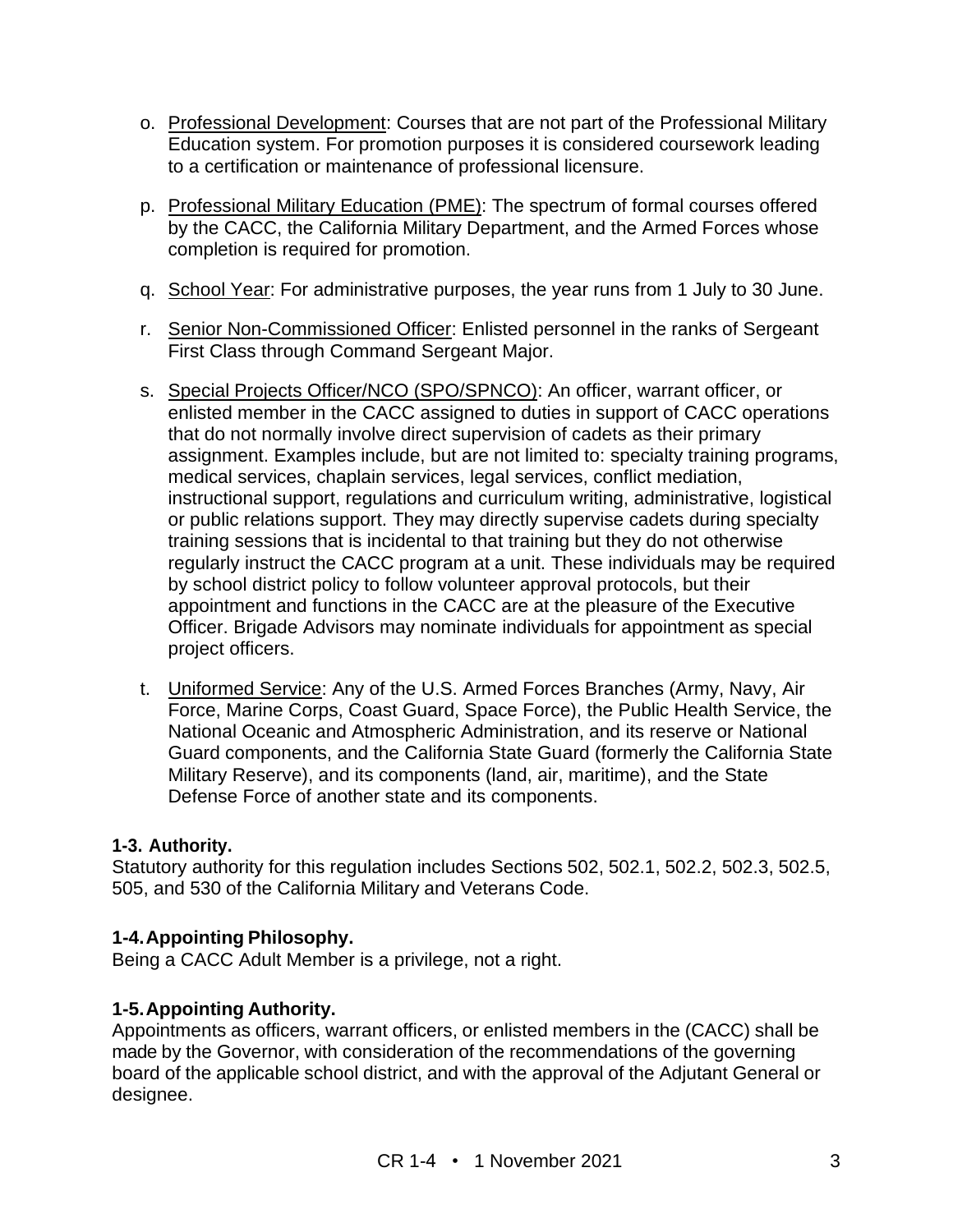- o. Professional Development: Courses that are not part of the Professional Military Education system. For promotion purposes it is considered coursework leading to a certification or maintenance of professional licensure.
- p. Professional Military Education (PME): The spectrum of formal courses offered by the CACC, the California Military Department, and the Armed Forces whose completion is required for promotion.
- q. School Year: For administrative purposes, the year runs from 1 July to 30 June.
- r. Senior Non-Commissioned Officer: Enlisted personnel in the ranks of Sergeant First Class through Command Sergeant Major.
- s. Special Projects Officer/NCO (SPO/SPNCO): An officer, warrant officer, or enlisted member in the CACC assigned to duties in support of CACC operations that do not normally involve direct supervision of cadets as their primary assignment. Examples include, but are not limited to: specialty training programs, medical services, chaplain services, legal services, conflict mediation, instructional support, regulations and curriculum writing, administrative, logistical or public relations support. They may directly supervise cadets during specialty training sessions that is incidental to that training but they do not otherwise regularly instruct the CACC program at a unit. These individuals may be required by school district policy to follow volunteer approval protocols, but their appointment and functions in the CACC are at the pleasure of the Executive Officer. Brigade Advisors may nominate individuals for appointment as special project officers.
- t. Uniformed Service: Any of the U.S. Armed Forces Branches (Army, Navy, Air Force, Marine Corps, Coast Guard, Space Force), the Public Health Service, the National Oceanic and Atmospheric Administration, and its reserve or National Guard components, and the California State Guard (formerly the California State Military Reserve), and its components (land, air, maritime), and the State Defense Force of another state and its components.

#### **1-3. Authority.**

Statutory authority for this regulation includes Sections 502, 502.1, 502.2, 502.3, 502.5, 505, and 530 of the California Military and Veterans Code.

#### **1-4.Appointing Philosophy.**

Being a CACC Adult Member is a privilege, not a right.

#### **1-5.Appointing Authority.**

Appointments as officers, warrant officers, or enlisted members in the (CACC) shall be made by the Governor, with consideration of the recommendations of the governing board of the applicable school district, and with the approval of the Adjutant General or designee.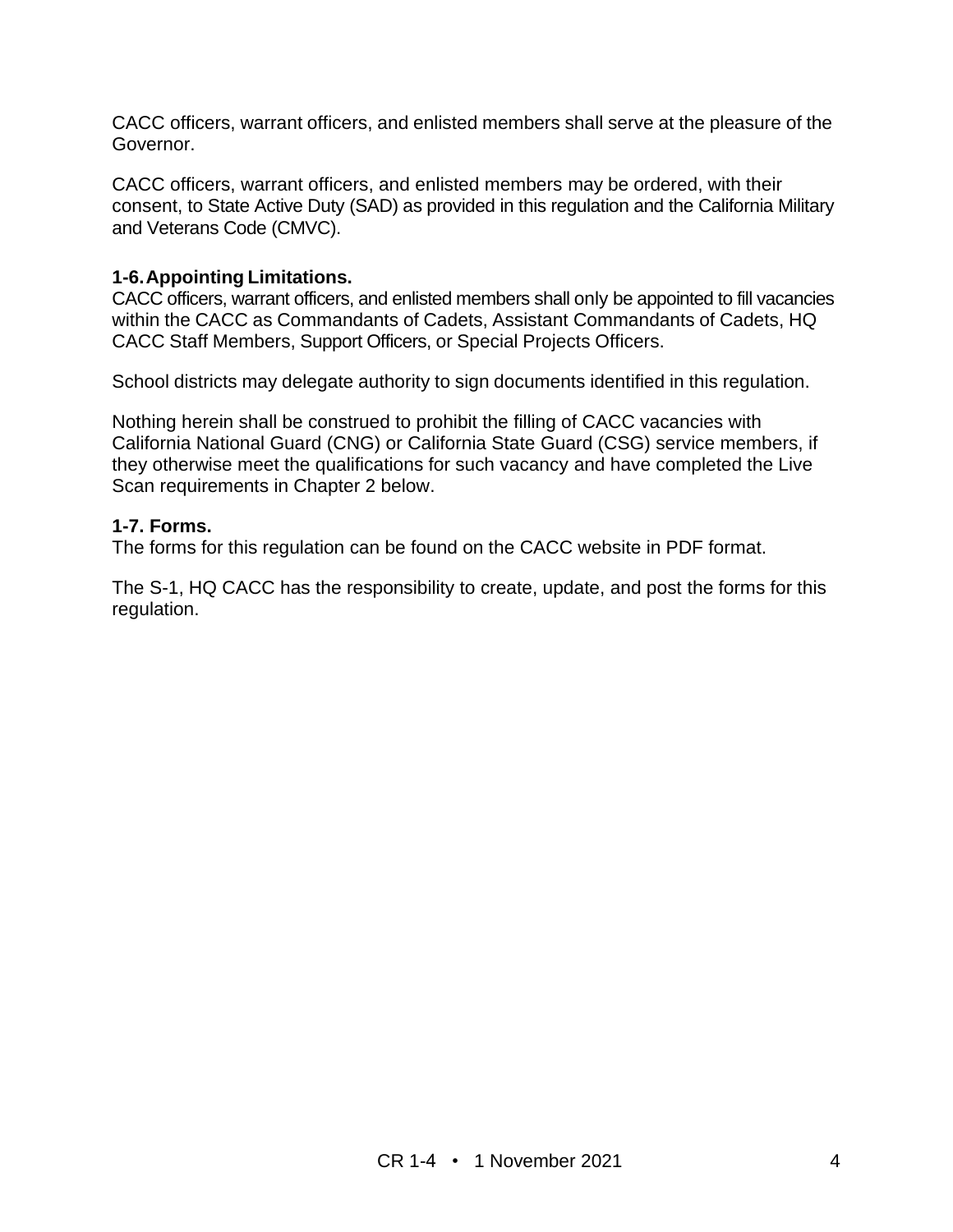CACC officers, warrant officers, and enlisted members shall serve at the pleasure of the Governor.

CACC officers, warrant officers, and enlisted members may be ordered, with their consent, to State Active Duty (SAD) as provided in this regulation and the California Military and Veterans Code (CMVC).

#### **1-6.Appointing Limitations.**

CACC officers, warrant officers, and enlisted members shall only be appointed to fill vacancies within the CACC as Commandants of Cadets, Assistant Commandants of Cadets, HQ CACC Staff Members, Support Officers, or Special Projects Officers.

School districts may delegate authority to sign documents identified in this regulation.

Nothing herein shall be construed to prohibit the filling of CACC vacancies with California National Guard (CNG) or California State Guard (CSG) service members, if they otherwise meet the qualifications for such vacancy and have completed the Live Scan requirements in Chapter 2 below.

#### **1-7. Forms.**

The forms for this regulation can be found on the CACC website in PDF format.

The S-1, HQ CACC has the responsibility to create, update, and post the forms for this regulation.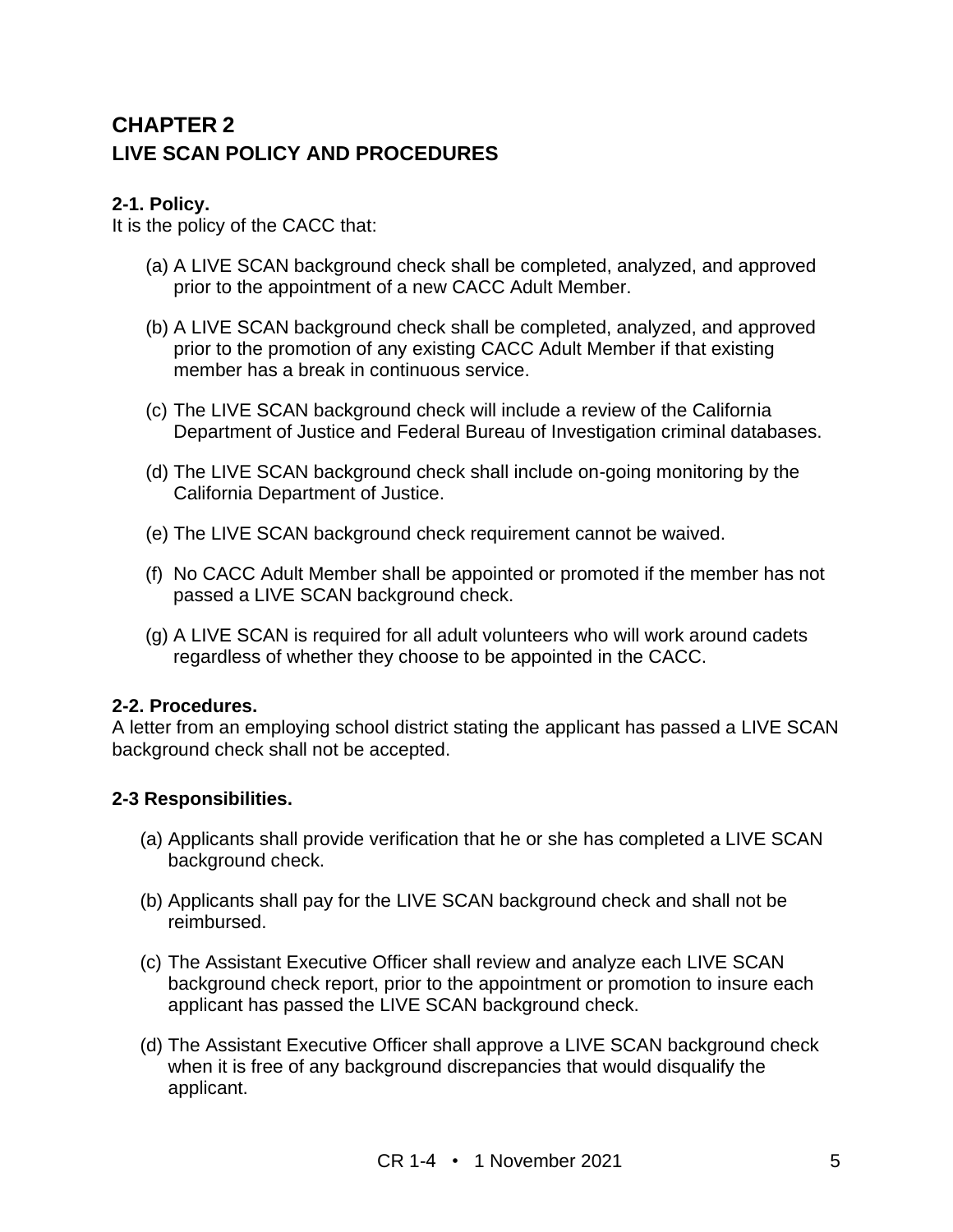## **CHAPTER 2 LIVE SCAN POLICY AND PROCEDURES**

#### **2-1. Policy.**

It is the policy of the CACC that:

- (a) A LIVE SCAN background check shall be completed, analyzed, and approved prior to the appointment of a new CACC Adult Member.
- (b) A LIVE SCAN background check shall be completed, analyzed, and approved prior to the promotion of any existing CACC Adult Member if that existing member has a break in continuous service.
- (c) The LIVE SCAN background check will include a review of the California Department of Justice and Federal Bureau of Investigation criminal databases.
- (d) The LIVE SCAN background check shall include on-going monitoring by the California Department of Justice.
- (e) The LIVE SCAN background check requirement cannot be waived.
- (f) No CACC Adult Member shall be appointed or promoted if the member has not passed a LIVE SCAN background check.
- (g) A LIVE SCAN is required for all adult volunteers who will work around cadets regardless of whether they choose to be appointed in the CACC.

#### **2-2. Procedures.**

A letter from an employing school district stating the applicant has passed a LIVE SCAN background check shall not be accepted.

#### **2-3 Responsibilities.**

- (a) Applicants shall provide verification that he or she has completed a LIVE SCAN background check.
- (b) Applicants shall pay for the LIVE SCAN background check and shall not be reimbursed.
- (c) The Assistant Executive Officer shall review and analyze each LIVE SCAN background check report, prior to the appointment or promotion to insure each applicant has passed the LIVE SCAN background check.
- (d) The Assistant Executive Officer shall approve a LIVE SCAN background check when it is free of any background discrepancies that would disqualify the applicant.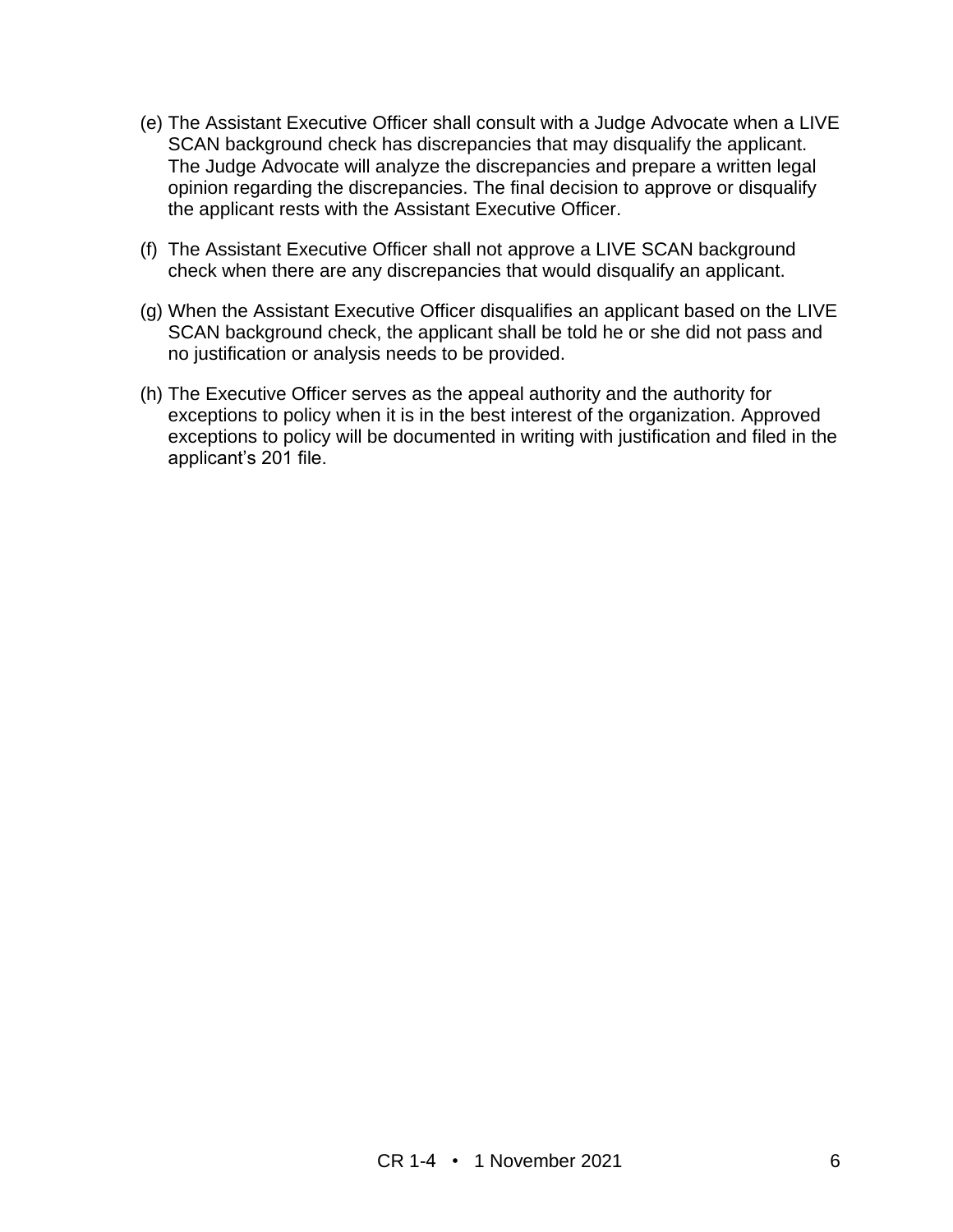- (e) The Assistant Executive Officer shall consult with a Judge Advocate when a LIVE SCAN background check has discrepancies that may disqualify the applicant. The Judge Advocate will analyze the discrepancies and prepare a written legal opinion regarding the discrepancies. The final decision to approve or disqualify the applicant rests with the Assistant Executive Officer.
- (f) The Assistant Executive Officer shall not approve a LIVE SCAN background check when there are any discrepancies that would disqualify an applicant.
- (g) When the Assistant Executive Officer disqualifies an applicant based on the LIVE SCAN background check, the applicant shall be told he or she did not pass and no justification or analysis needs to be provided.
- (h) The Executive Officer serves as the appeal authority and the authority for exceptions to policy when it is in the best interest of the organization. Approved exceptions to policy will be documented in writing with justification and filed in the applicant's 201 file.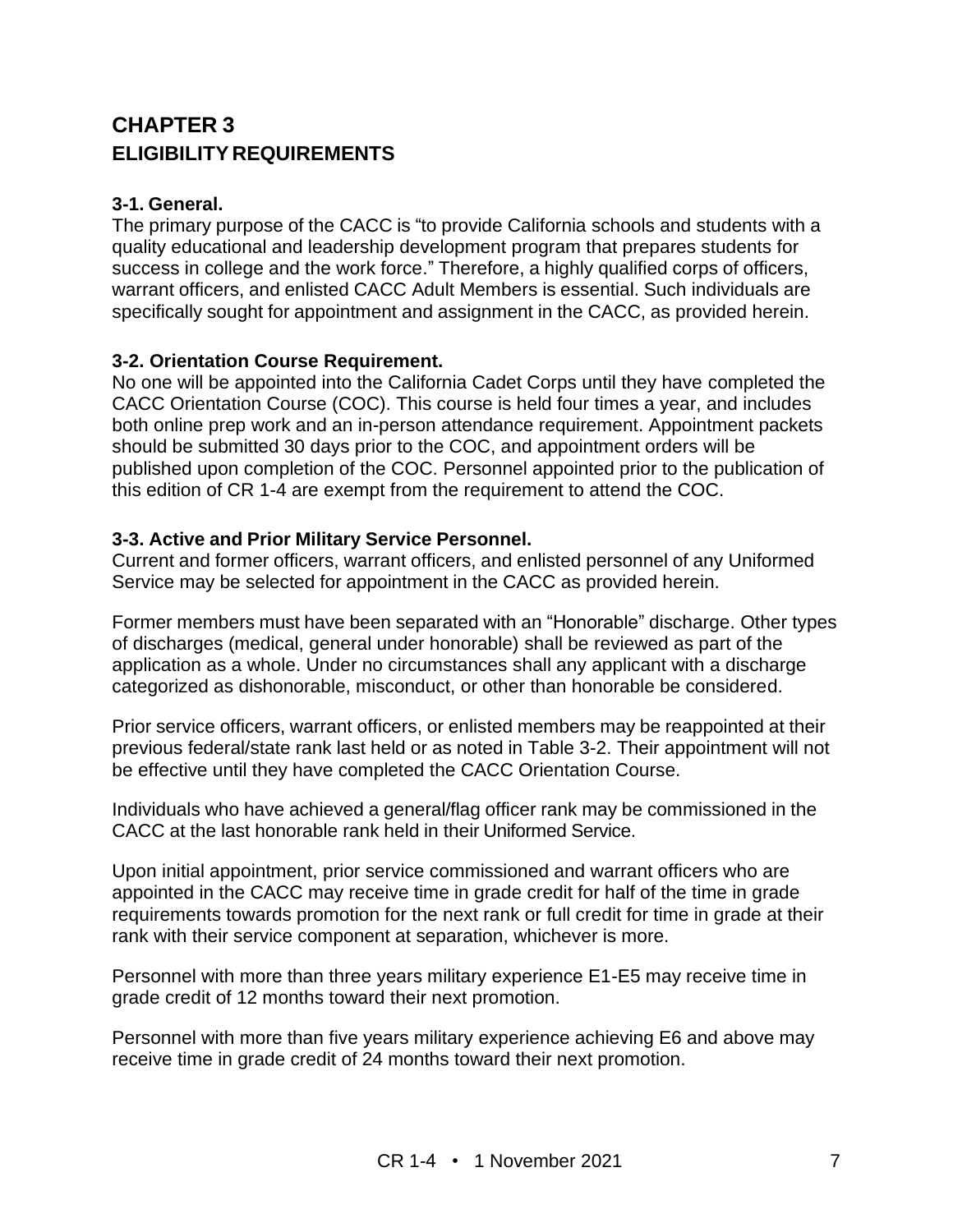## **CHAPTER 3 ELIGIBILITY REQUIREMENTS**

#### **3-1. General.**

The primary purpose of the CACC is "to provide California schools and students with a quality educational and leadership development program that prepares students for success in college and the work force." Therefore, a highly qualified corps of officers, warrant officers, and enlisted CACC Adult Members is essential. Such individuals are specifically sought for appointment and assignment in the CACC, as provided herein.

#### **3-2. Orientation Course Requirement.**

No one will be appointed into the California Cadet Corps until they have completed the CACC Orientation Course (COC). This course is held four times a year, and includes both online prep work and an in-person attendance requirement. Appointment packets should be submitted 30 days prior to the COC, and appointment orders will be published upon completion of the COC. Personnel appointed prior to the publication of this edition of CR 1-4 are exempt from the requirement to attend the COC.

#### **3-3. Active and Prior Military Service Personnel.**

Current and former officers, warrant officers, and enlisted personnel of any Uniformed Service may be selected for appointment in the CACC as provided herein.

Former members must have been separated with an "Honorable" discharge. Other types of discharges (medical, general under honorable) shall be reviewed as part of the application as a whole. Under no circumstances shall any applicant with a discharge categorized as dishonorable, misconduct, or other than honorable be considered.

Prior service officers, warrant officers, or enlisted members may be reappointed at their previous federal/state rank last held or as noted in Table 3-2. Their appointment will not be effective until they have completed the CACC Orientation Course.

Individuals who have achieved a general/flag officer rank may be commissioned in the CACC at the last honorable rank held in their Uniformed Service.

Upon initial appointment, prior service commissioned and warrant officers who are appointed in the CACC may receive time in grade credit for half of the time in grade requirements towards promotion for the next rank or full credit for time in grade at their rank with their service component at separation, whichever is more.

Personnel with more than three years military experience E1-E5 may receive time in grade credit of 12 months toward their next promotion.

Personnel with more than five years military experience achieving E6 and above may receive time in grade credit of 24 months toward their next promotion.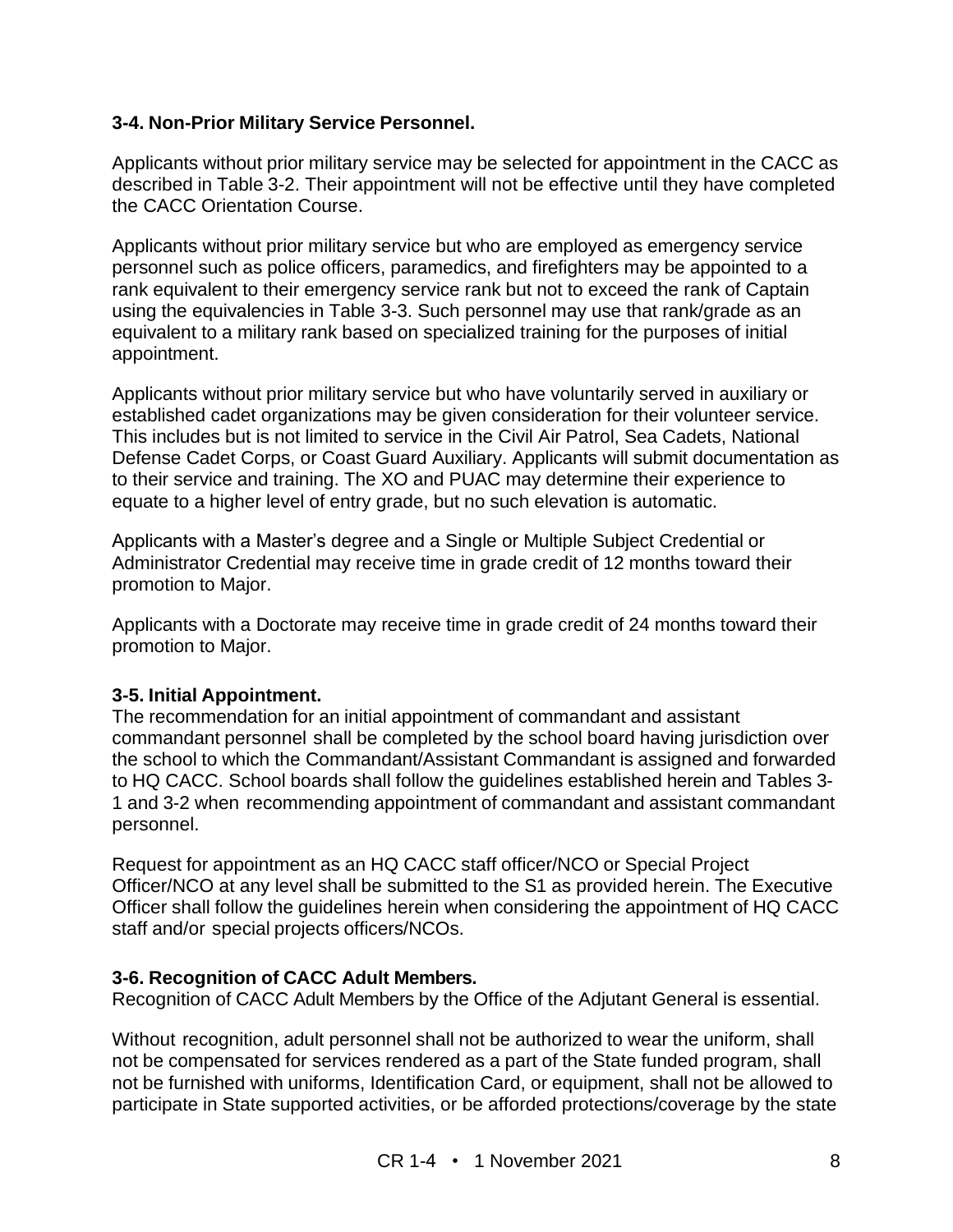#### **3-4. Non-Prior Military Service Personnel.**

Applicants without prior military service may be selected for appointment in the CACC as described in Table 3-2. Their appointment will not be effective until they have completed the CACC Orientation Course.

Applicants without prior military service but who are employed as emergency service personnel such as police officers, paramedics, and firefighters may be appointed to a rank equivalent to their emergency service rank but not to exceed the rank of Captain using the equivalencies in Table 3-3. Such personnel may use that rank/grade as an equivalent to a military rank based on specialized training for the purposes of initial appointment.

Applicants without prior military service but who have voluntarily served in auxiliary or established cadet organizations may be given consideration for their volunteer service. This includes but is not limited to service in the Civil Air Patrol, Sea Cadets, National Defense Cadet Corps, or Coast Guard Auxiliary. Applicants will submit documentation as to their service and training. The XO and PUAC may determine their experience to equate to a higher level of entry grade, but no such elevation is automatic.

Applicants with a Master's degree and a Single or Multiple Subject Credential or Administrator Credential may receive time in grade credit of 12 months toward their promotion to Major.

Applicants with a Doctorate may receive time in grade credit of 24 months toward their promotion to Major.

#### **3-5. Initial Appointment.**

The recommendation for an initial appointment of commandant and assistant commandant personnel shall be completed by the school board having jurisdiction over the school to which the Commandant/Assistant Commandant is assigned and forwarded to HQ CACC. School boards shall follow the guidelines established herein and Tables 3- 1 and 3-2 when recommending appointment of commandant and assistant commandant personnel.

Request for appointment as an HQ CACC staff officer/NCO or Special Project Officer/NCO at any level shall be submitted to the S1 as provided herein. The Executive Officer shall follow the guidelines herein when considering the appointment of HQ CACC staff and/or special projects officers/NCOs.

#### **3-6. Recognition of CACC Adult Members.**

Recognition of CACC Adult Members by the Office of the Adjutant General is essential.

Without recognition, adult personnel shall not be authorized to wear the uniform, shall not be compensated for services rendered as a part of the State funded program, shall not be furnished with uniforms, Identification Card, or equipment, shall not be allowed to participate in State supported activities, or be afforded protections/coverage by the state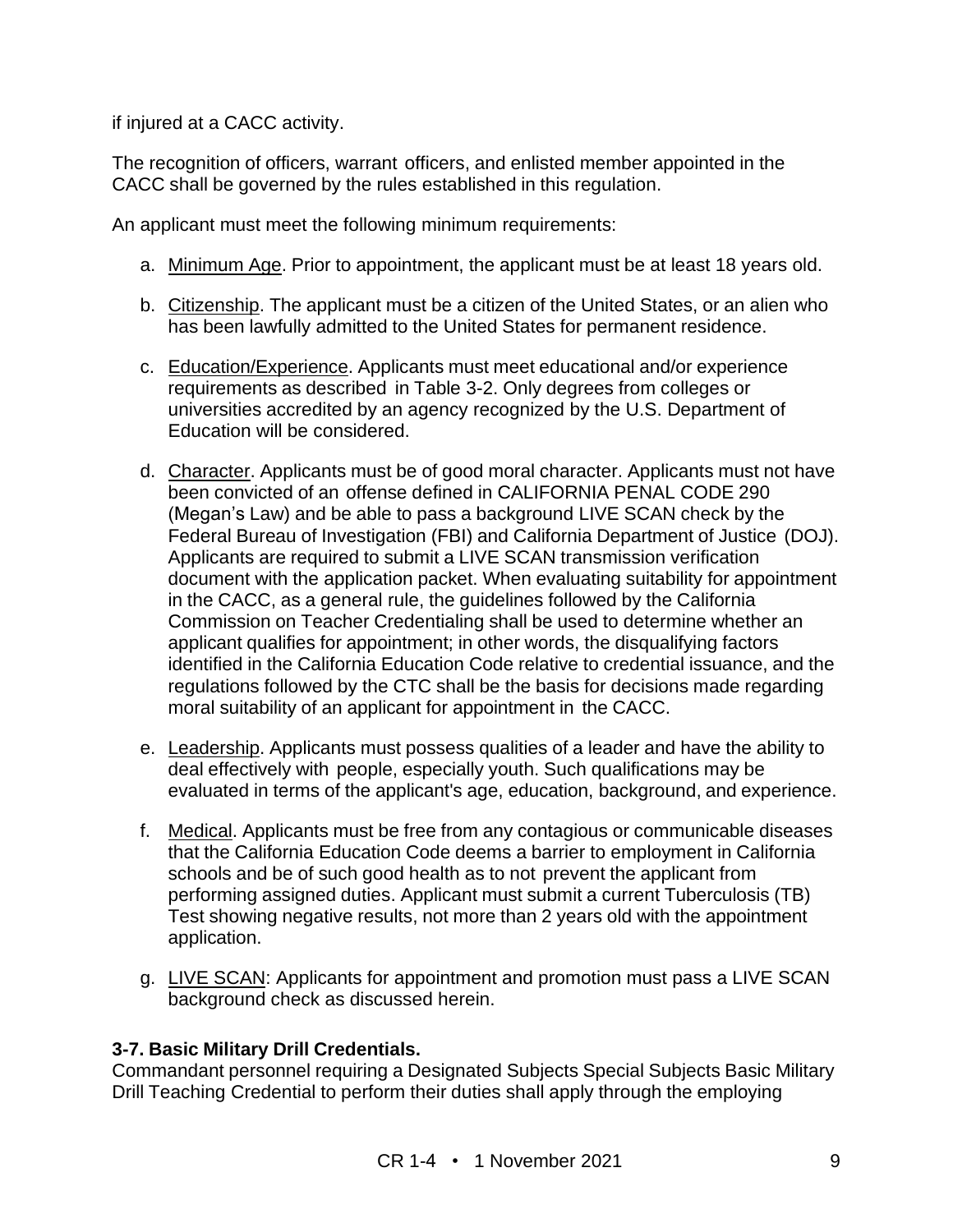if injured at a CACC activity.

The recognition of officers, warrant officers, and enlisted member appointed in the CACC shall be governed by the rules established in this regulation.

An applicant must meet the following minimum requirements:

- a. Minimum Age. Prior to appointment, the applicant must be at least 18 years old.
- b. Citizenship. The applicant must be a citizen of the United States, or an alien who has been lawfully admitted to the United States for permanent residence.
- c. Education/Experience. Applicants must meet educational and/or experience requirements as described in Table 3-2. Only degrees from colleges or universities accredited by an agency recognized by the U.S. Department of Education will be considered.
- d. Character. Applicants must be of good moral character. Applicants must not have been convicted of an offense defined in CALIFORNIA PENAL CODE 290 (Megan's Law) and be able to pass a background LIVE SCAN check by the Federal Bureau of Investigation (FBI) and California Department of Justice (DOJ). Applicants are required to submit a LIVE SCAN transmission verification document with the application packet. When evaluating suitability for appointment in the CACC, as a general rule, the guidelines followed by the California Commission on Teacher Credentialing shall be used to determine whether an applicant qualifies for appointment; in other words, the disqualifying factors identified in the California Education Code relative to credential issuance, and the regulations followed by the CTC shall be the basis for decisions made regarding moral suitability of an applicant for appointment in the CACC.
- e. Leadership. Applicants must possess qualities of a leader and have the ability to deal effectively with people, especially youth. Such qualifications may be evaluated in terms of the applicant's age, education, background, and experience.
- f. Medical. Applicants must be free from any contagious or communicable diseases that the California Education Code deems a barrier to employment in California schools and be of such good health as to not prevent the applicant from performing assigned duties. Applicant must submit a current Tuberculosis (TB) Test showing negative results, not more than 2 years old with the appointment application.
- g. LIVE SCAN: Applicants for appointment and promotion must pass a LIVE SCAN background check as discussed herein.

#### **3-7. Basic Military Drill Credentials.**

Commandant personnel requiring a Designated Subjects Special Subjects Basic Military Drill Teaching Credential to perform their duties shall apply through the employing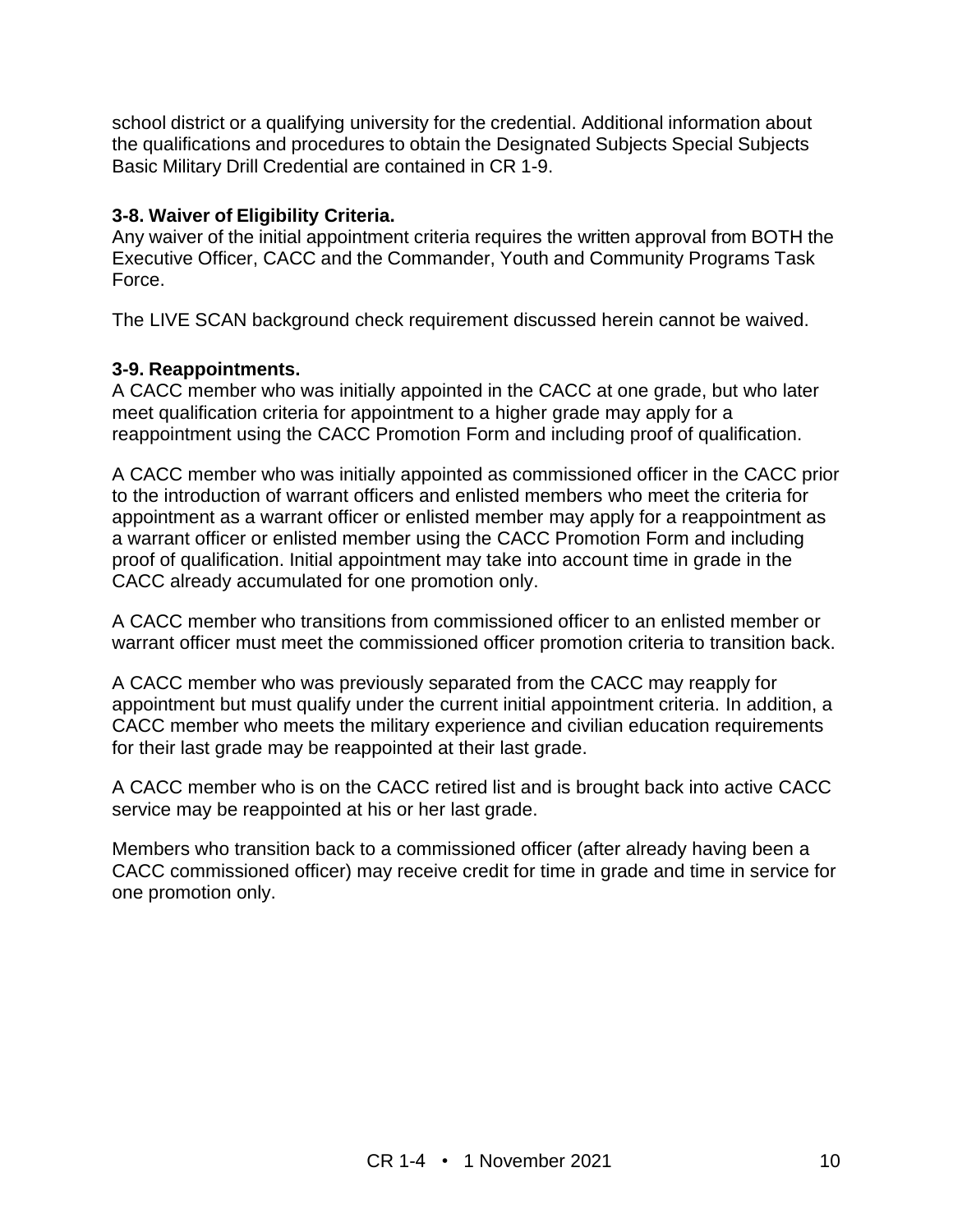school district or a qualifying university for the credential. Additional information about the qualifications and procedures to obtain the Designated Subjects Special Subjects Basic Military Drill Credential are contained in CR 1-9.

#### **3-8. Waiver of Eligibility Criteria.**

Any waiver of the initial appointment criteria requires the written approval from BOTH the Executive Officer, CACC and the Commander, Youth and Community Programs Task Force.

The LIVE SCAN background check requirement discussed herein cannot be waived.

#### **3-9. Reappointments.**

A CACC member who was initially appointed in the CACC at one grade, but who later meet qualification criteria for appointment to a higher grade may apply for a reappointment using the CACC Promotion Form and including proof of qualification.

A CACC member who was initially appointed as commissioned officer in the CACC prior to the introduction of warrant officers and enlisted members who meet the criteria for appointment as a warrant officer or enlisted member may apply for a reappointment as a warrant officer or enlisted member using the CACC Promotion Form and including proof of qualification. Initial appointment may take into account time in grade in the CACC already accumulated for one promotion only.

A CACC member who transitions from commissioned officer to an enlisted member or warrant officer must meet the commissioned officer promotion criteria to transition back.

A CACC member who was previously separated from the CACC may reapply for appointment but must qualify under the current initial appointment criteria. In addition, a CACC member who meets the military experience and civilian education requirements for their last grade may be reappointed at their last grade.

A CACC member who is on the CACC retired list and is brought back into active CACC service may be reappointed at his or her last grade.

Members who transition back to a commissioned officer (after already having been a CACC commissioned officer) may receive credit for time in grade and time in service for one promotion only.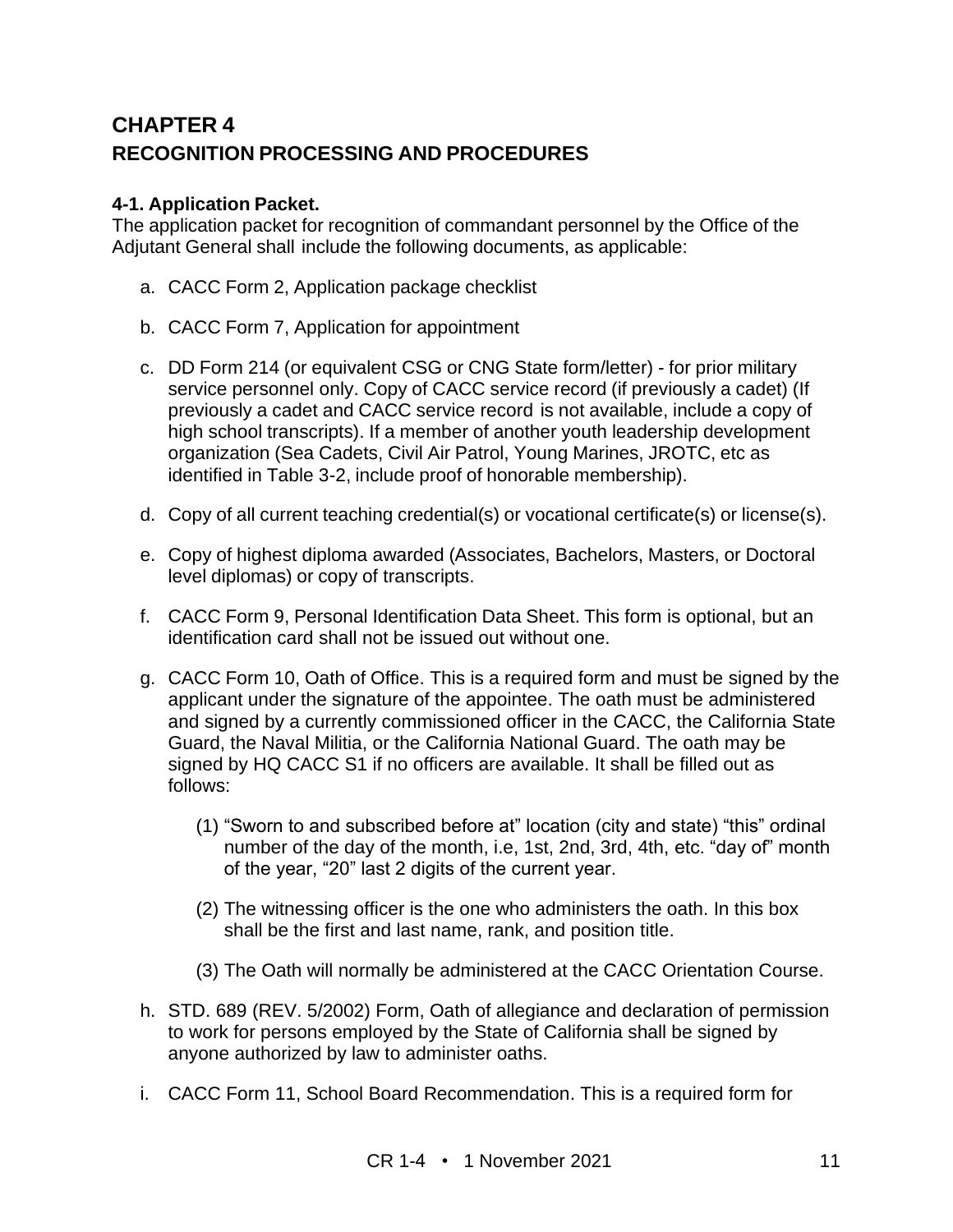## **CHAPTER 4 RECOGNITION PROCESSING AND PROCEDURES**

#### **4-1. Application Packet.**

The application packet for recognition of commandant personnel by the Office of the Adjutant General shall include the following documents, as applicable:

- a. CACC Form 2, Application package checklist
- b. CACC Form 7, Application for appointment
- c. DD Form 214 (or equivalent CSG or CNG State form/letter) for prior military service personnel only. Copy of CACC service record (if previously a cadet) (If previously a cadet and CACC service record is not available, include a copy of high school transcripts). If a member of another youth leadership development organization (Sea Cadets, Civil Air Patrol, Young Marines, JROTC, etc as identified in Table 3-2, include proof of honorable membership).
- d. Copy of all current teaching credential(s) or vocational certificate(s) or license(s).
- e. Copy of highest diploma awarded (Associates, Bachelors, Masters, or Doctoral level diplomas) or copy of transcripts.
- f. CACC Form 9, Personal Identification Data Sheet. This form is optional, but an identification card shall not be issued out without one.
- g. CACC Form 10, Oath of Office. This is a required form and must be signed by the applicant under the signature of the appointee. The oath must be administered and signed by a currently commissioned officer in the CACC, the California State Guard, the Naval Militia, or the California National Guard. The oath may be signed by HQ CACC S1 if no officers are available. It shall be filled out as follows:
	- (1) "Sworn to and subscribed before at" location (city and state) "this" ordinal number of the day of the month, i.e, 1st, 2nd, 3rd, 4th, etc. "day of" month of the year, "20" last 2 digits of the current year.
	- (2) The witnessing officer is the one who administers the oath. In this box shall be the first and last name, rank, and position title.
	- (3) The Oath will normally be administered at the CACC Orientation Course.
- h. STD. 689 (REV. 5/2002) Form, Oath of allegiance and declaration of permission to work for persons employed by the State of California shall be signed by anyone authorized by law to administer oaths.
- i. CACC Form 11, School Board Recommendation. This is a required form for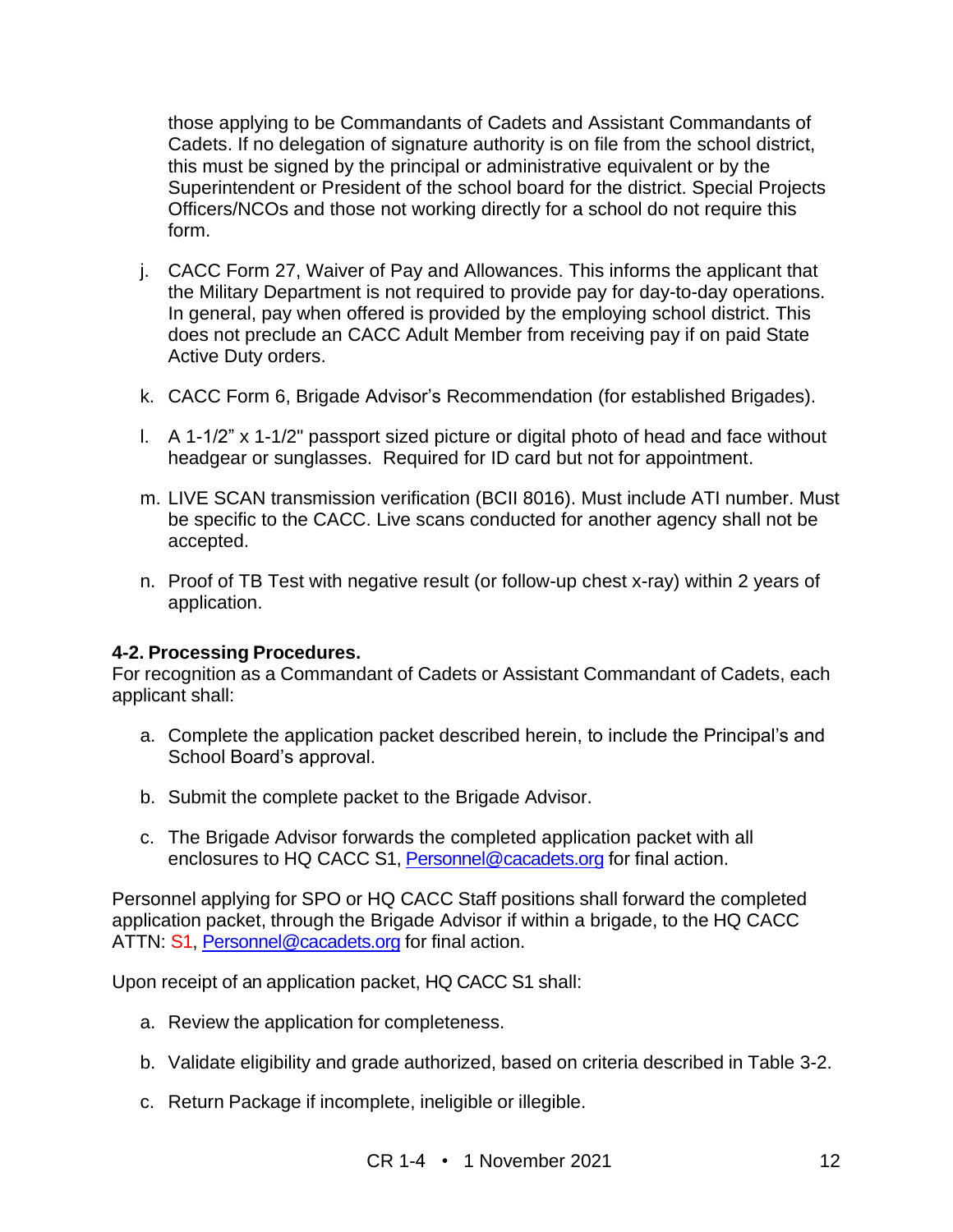those applying to be Commandants of Cadets and Assistant Commandants of Cadets. If no delegation of signature authority is on file from the school district, this must be signed by the principal or administrative equivalent or by the Superintendent or President of the school board for the district. Special Projects Officers/NCOs and those not working directly for a school do not require this form.

- j. CACC Form 27, Waiver of Pay and Allowances. This informs the applicant that the Military Department is not required to provide pay for day-to-day operations. In general, pay when offered is provided by the employing school district. This does not preclude an CACC Adult Member from receiving pay if on paid State Active Duty orders.
- k. CACC Form 6, Brigade Advisor's Recommendation (for established Brigades).
- l. A 1-1/2" x 1-1/2" passport sized picture or digital photo of head and face without headgear or sunglasses. Required for ID card but not for appointment.
- m. LIVE SCAN transmission verification (BCII 8016). Must include ATI number. Must be specific to the CACC. Live scans conducted for another agency shall not be accepted.
- n. Proof of TB Test with negative result (or follow-up chest x-ray) within 2 years of application.

#### **4-2. Processing Procedures.**

For recognition as a Commandant of Cadets or Assistant Commandant of Cadets, each applicant shall:

- a. Complete the application packet described herein, to include the Principal's and School Board's approval.
- b. Submit the complete packet to the Brigade Advisor.
- c. The Brigade Advisor forwards the completed application packet with all enclosures to HQ CACC S1[, Personnel@cacadets.org](mailto:Personnel@cacadets.org) for final action.

Personnel applying for SPO or HQ CACC Staff positions shall forward the completed application packet, through the Brigade Advisor if within a brigade, to the HQ CACC ATTN: S1, [Personnel@cacadets.org](mailto:Personnel@cacadets.org) for final action.

Upon receipt of an application packet, HQ CACC S1 shall:

- a. Review the application for completeness.
- b. Validate eligibility and grade authorized, based on criteria described in Table 3-2.
- c. Return Package if incomplete, ineligible or illegible.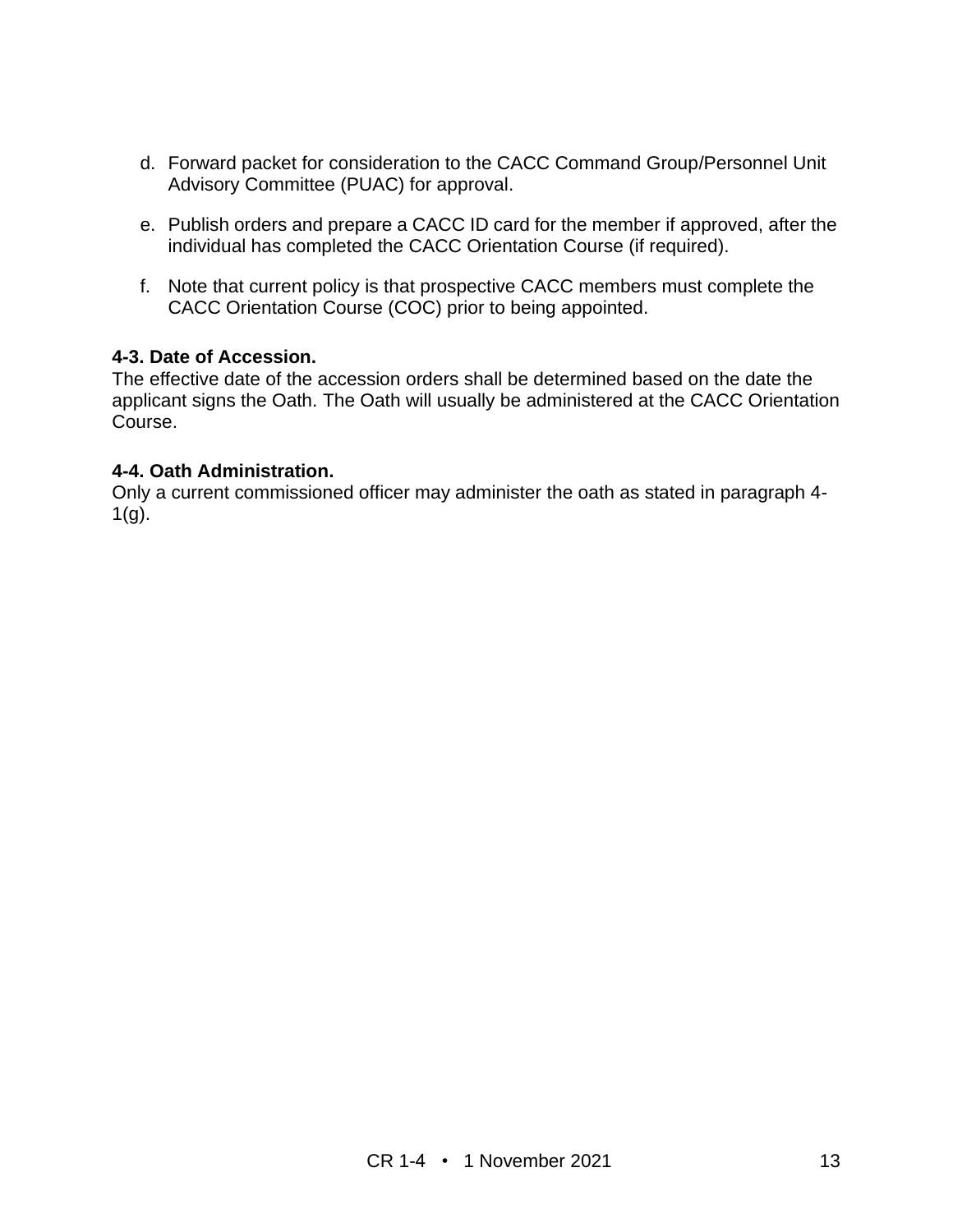- d. Forward packet for consideration to the CACC Command Group/Personnel Unit Advisory Committee (PUAC) for approval.
- e. Publish orders and prepare a CACC ID card for the member if approved, after the individual has completed the CACC Orientation Course (if required).
- f. Note that current policy is that prospective CACC members must complete the CACC Orientation Course (COC) prior to being appointed.

#### **4-3. Date of Accession.**

The effective date of the accession orders shall be determined based on the date the applicant signs the Oath. The Oath will usually be administered at the CACC Orientation Course.

#### **4-4. Oath Administration.**

Only a current commissioned officer may administer the oath as stated in paragraph 4-  $1(g)$ .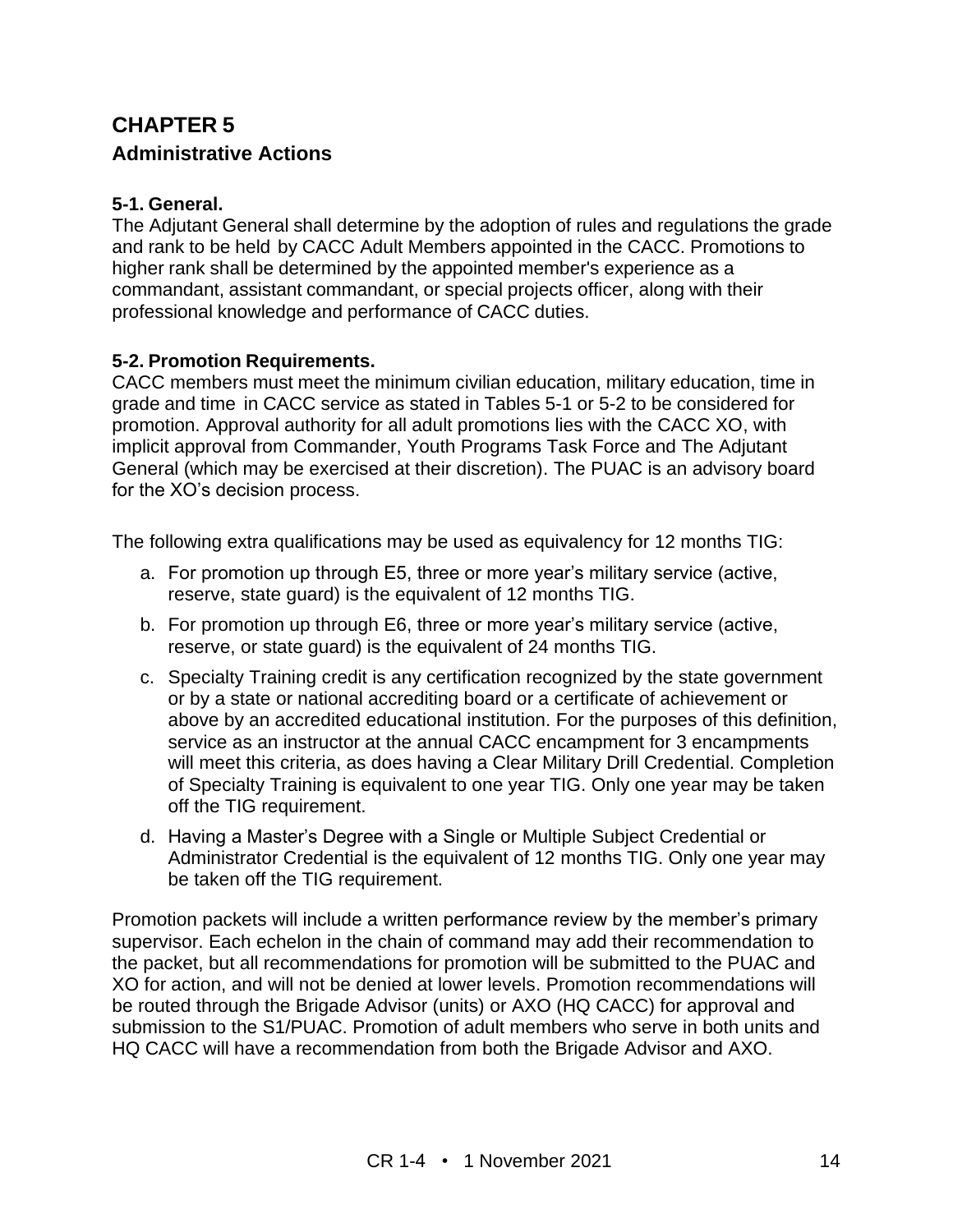## **CHAPTER 5 Administrative Actions**

#### **5-1. General.**

The Adjutant General shall determine by the adoption of rules and regulations the grade and rank to be held by CACC Adult Members appointed in the CACC. Promotions to higher rank shall be determined by the appointed member's experience as a commandant, assistant commandant, or special projects officer, along with their professional knowledge and performance of CACC duties.

#### **5-2. Promotion Requirements.**

CACC members must meet the minimum civilian education, military education, time in grade and time in CACC service as stated in Tables 5-1 or 5-2 to be considered for promotion. Approval authority for all adult promotions lies with the CACC XO, with implicit approval from Commander, Youth Programs Task Force and The Adjutant General (which may be exercised at their discretion). The PUAC is an advisory board for the XO's decision process.

The following extra qualifications may be used as equivalency for 12 months TIG:

- a. For promotion up through E5, three or more year's military service (active, reserve, state guard) is the equivalent of 12 months TIG.
- b. For promotion up through E6, three or more year's military service (active, reserve, or state guard) is the equivalent of 24 months TIG.
- c. Specialty Training credit is any certification recognized by the state government or by a state or national accrediting board or a certificate of achievement or above by an accredited educational institution. For the purposes of this definition, service as an instructor at the annual CACC encampment for 3 encampments will meet this criteria, as does having a Clear Military Drill Credential. Completion of Specialty Training is equivalent to one year TIG. Only one year may be taken off the TIG requirement.
- d. Having a Master's Degree with a Single or Multiple Subject Credential or Administrator Credential is the equivalent of 12 months TIG. Only one year may be taken off the TIG requirement.

Promotion packets will include a written performance review by the member's primary supervisor. Each echelon in the chain of command may add their recommendation to the packet, but all recommendations for promotion will be submitted to the PUAC and XO for action, and will not be denied at lower levels. Promotion recommendations will be routed through the Brigade Advisor (units) or AXO (HQ CACC) for approval and submission to the S1/PUAC. Promotion of adult members who serve in both units and HQ CACC will have a recommendation from both the Brigade Advisor and AXO.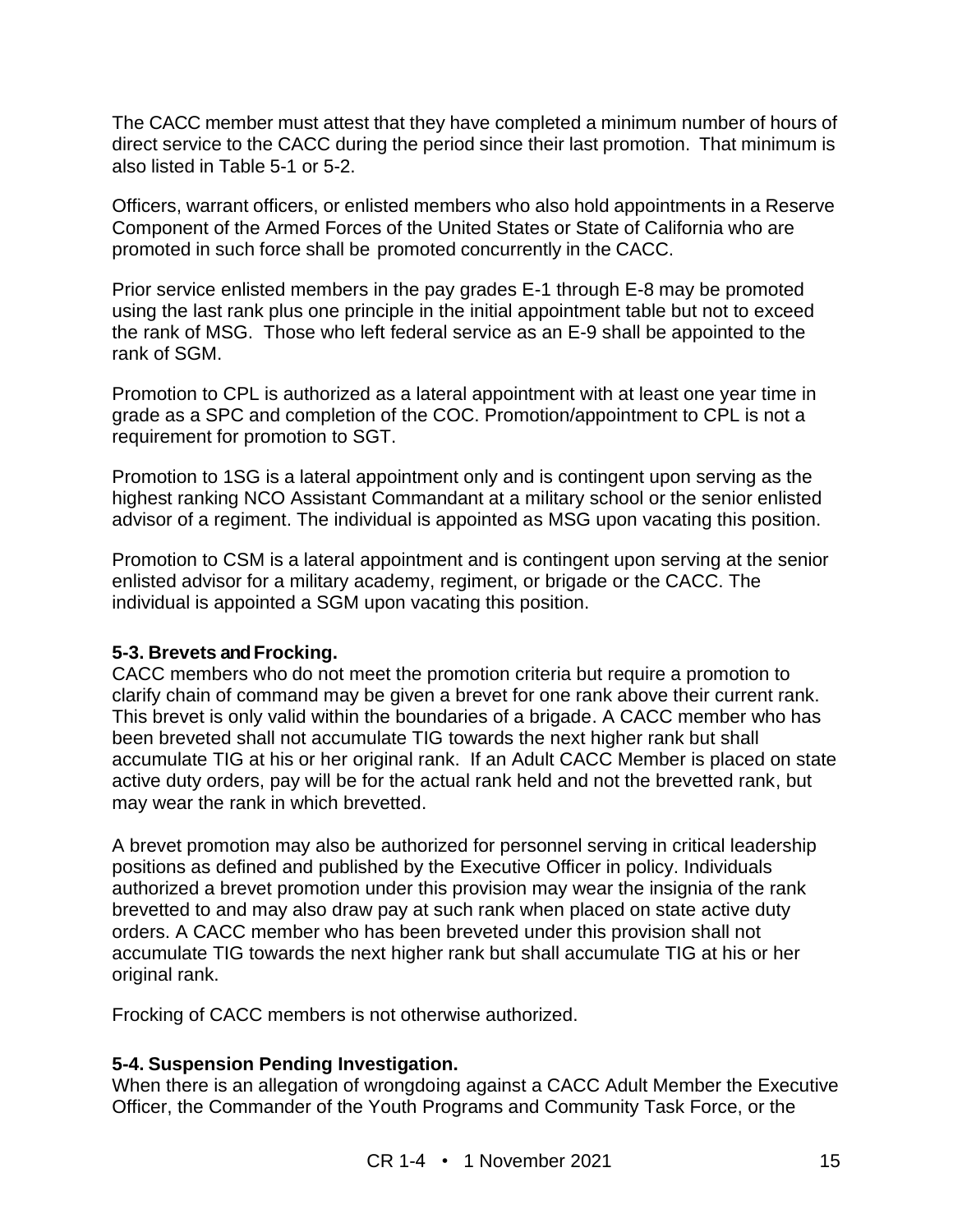The CACC member must attest that they have completed a minimum number of hours of direct service to the CACC during the period since their last promotion. That minimum is also listed in Table 5-1 or 5-2.

Officers, warrant officers, or enlisted members who also hold appointments in a Reserve Component of the Armed Forces of the United States or State of California who are promoted in such force shall be promoted concurrently in the CACC.

Prior service enlisted members in the pay grades E-1 through E-8 may be promoted using the last rank plus one principle in the initial appointment table but not to exceed the rank of MSG. Those who left federal service as an E-9 shall be appointed to the rank of SGM.

Promotion to CPL is authorized as a lateral appointment with at least one year time in grade as a SPC and completion of the COC. Promotion/appointment to CPL is not a requirement for promotion to SGT.

Promotion to 1SG is a lateral appointment only and is contingent upon serving as the highest ranking NCO Assistant Commandant at a military school or the senior enlisted advisor of a regiment. The individual is appointed as MSG upon vacating this position.

Promotion to CSM is a lateral appointment and is contingent upon serving at the senior enlisted advisor for a military academy, regiment, or brigade or the CACC. The individual is appointed a SGM upon vacating this position.

#### **5-3. Brevets and Frocking.**

CACC members who do not meet the promotion criteria but require a promotion to clarify chain of command may be given a brevet for one rank above their current rank. This brevet is only valid within the boundaries of a brigade. A CACC member who has been breveted shall not accumulate TIG towards the next higher rank but shall accumulate TIG at his or her original rank. If an Adult CACC Member is placed on state active duty orders, pay will be for the actual rank held and not the brevetted rank, but may wear the rank in which brevetted.

A brevet promotion may also be authorized for personnel serving in critical leadership positions as defined and published by the Executive Officer in policy. Individuals authorized a brevet promotion under this provision may wear the insignia of the rank brevetted to and may also draw pay at such rank when placed on state active duty orders. A CACC member who has been breveted under this provision shall not accumulate TIG towards the next higher rank but shall accumulate TIG at his or her original rank.

Frocking of CACC members is not otherwise authorized.

#### **5-4. Suspension Pending Investigation.**

When there is an allegation of wrongdoing against a CACC Adult Member the Executive Officer, the Commander of the Youth Programs and Community Task Force, or the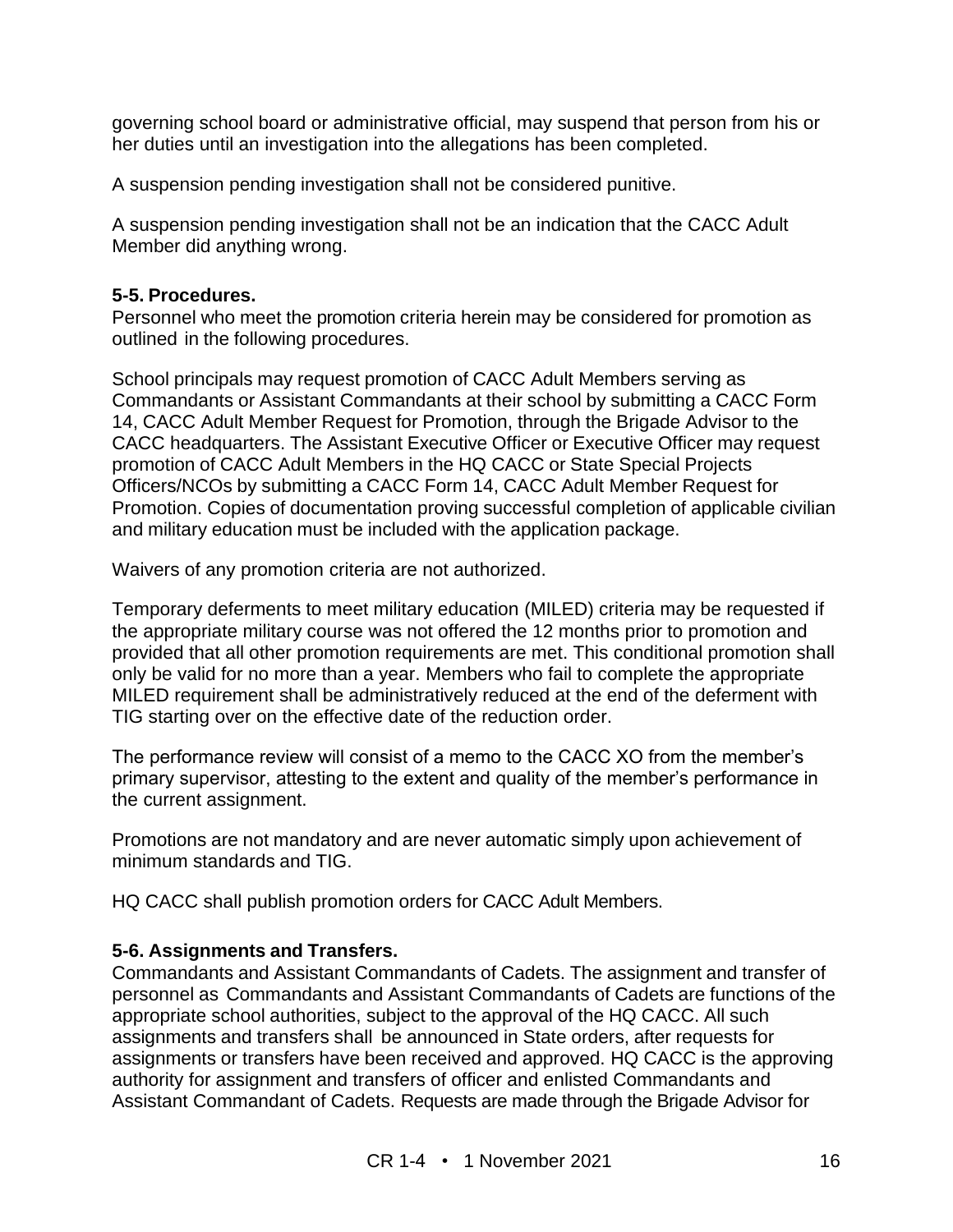governing school board or administrative official, may suspend that person from his or her duties until an investigation into the allegations has been completed.

A suspension pending investigation shall not be considered punitive.

A suspension pending investigation shall not be an indication that the CACC Adult Member did anything wrong.

#### **5-5. Procedures.**

Personnel who meet the promotion criteria herein may be considered for promotion as outlined in the following procedures.

School principals may request promotion of CACC Adult Members serving as Commandants or Assistant Commandants at their school by submitting a CACC Form 14, CACC Adult Member Request for Promotion, through the Brigade Advisor to the CACC headquarters. The Assistant Executive Officer or Executive Officer may request promotion of CACC Adult Members in the HQ CACC or State Special Projects Officers/NCOs by submitting a CACC Form 14, CACC Adult Member Request for Promotion. Copies of documentation proving successful completion of applicable civilian and military education must be included with the application package.

Waivers of any promotion criteria are not authorized.

Temporary deferments to meet military education (MILED) criteria may be requested if the appropriate military course was not offered the 12 months prior to promotion and provided that all other promotion requirements are met. This conditional promotion shall only be valid for no more than a year. Members who fail to complete the appropriate MILED requirement shall be administratively reduced at the end of the deferment with TIG starting over on the effective date of the reduction order.

The performance review will consist of a memo to the CACC XO from the member's primary supervisor, attesting to the extent and quality of the member's performance in the current assignment.

Promotions are not mandatory and are never automatic simply upon achievement of minimum standards and TIG.

HQ CACC shall publish promotion orders for CACC Adult Members.

#### **5-6. Assignments and Transfers.**

Commandants and Assistant Commandants of Cadets. The assignment and transfer of personnel as Commandants and Assistant Commandants of Cadets are functions of the appropriate school authorities, subject to the approval of the HQ CACC. All such assignments and transfers shall be announced in State orders, after requests for assignments or transfers have been received and approved. HQ CACC is the approving authority for assignment and transfers of officer and enlisted Commandants and Assistant Commandant of Cadets. Requests are made through the Brigade Advisor for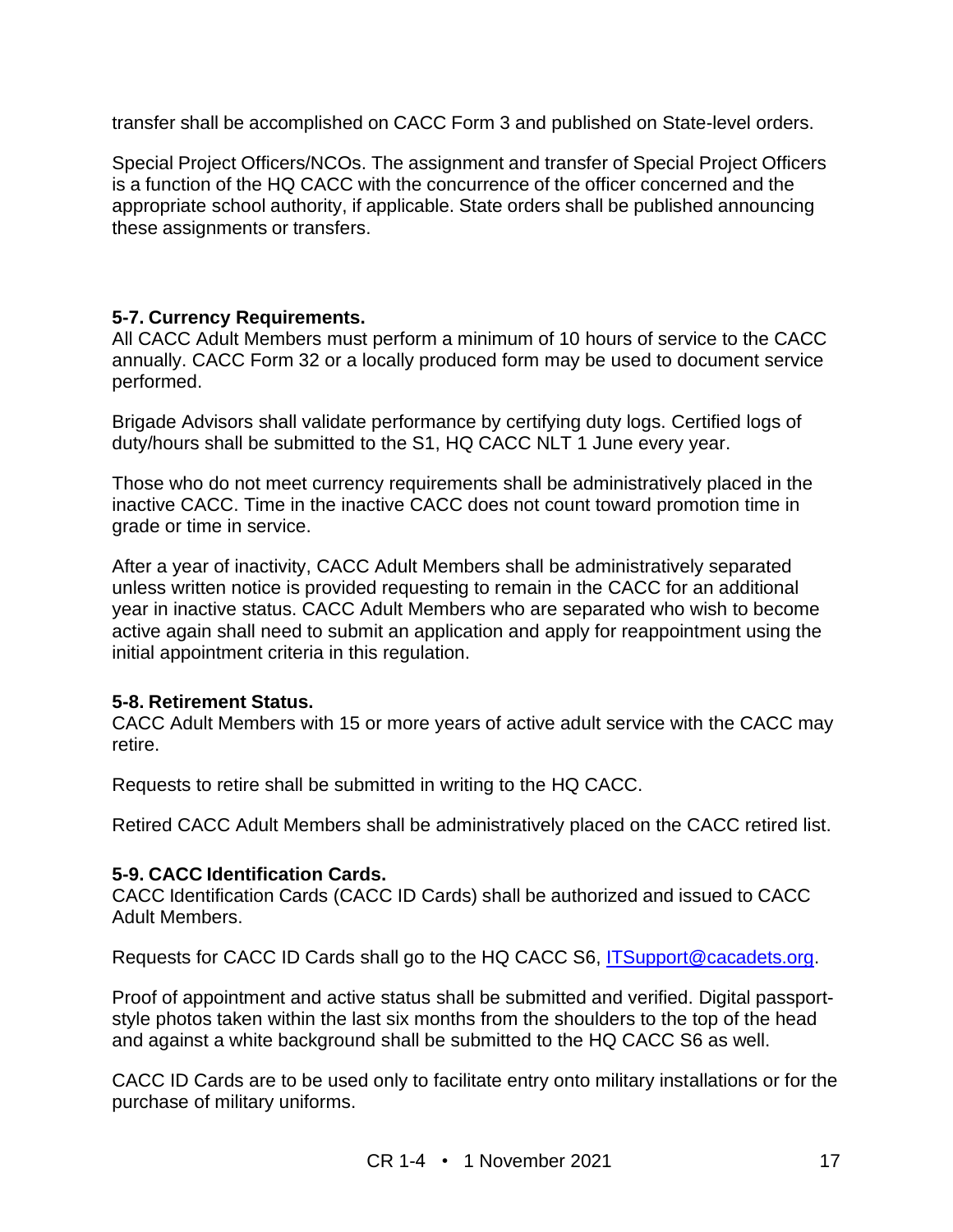transfer shall be accomplished on CACC Form 3 and published on State-level orders.

Special Project Officers/NCOs. The assignment and transfer of Special Project Officers is a function of the HQ CACC with the concurrence of the officer concerned and the appropriate school authority, if applicable. State orders shall be published announcing these assignments or transfers.

#### **5-7. Currency Requirements.**

All CACC Adult Members must perform a minimum of 10 hours of service to the CACC annually. CACC Form 32 or a locally produced form may be used to document service performed.

Brigade Advisors shall validate performance by certifying duty logs. Certified logs of duty/hours shall be submitted to the S1, HQ CACC NLT 1 June every year.

Those who do not meet currency requirements shall be administratively placed in the inactive CACC. Time in the inactive CACC does not count toward promotion time in grade or time in service.

After a year of inactivity, CACC Adult Members shall be administratively separated unless written notice is provided requesting to remain in the CACC for an additional year in inactive status. CACC Adult Members who are separated who wish to become active again shall need to submit an application and apply for reappointment using the initial appointment criteria in this regulation.

#### **5-8. Retirement Status.**

CACC Adult Members with 15 or more years of active adult service with the CACC may retire.

Requests to retire shall be submitted in writing to the HQ CACC.

Retired CACC Adult Members shall be administratively placed on the CACC retired list.

#### **5-9. CACC Identification Cards.**

CACC Identification Cards (CACC ID Cards) shall be authorized and issued to CACC Adult Members.

Requests for CACC ID Cards shall go to the HQ CACC S6, [ITSupport@cacadets.org.](mailto:ITSupport@cacadets.org)

Proof of appointment and active status shall be submitted and verified. Digital passportstyle photos taken within the last six months from the shoulders to the top of the head and against a white background shall be submitted to the HQ CACC S6 as well.

CACC ID Cards are to be used only to facilitate entry onto military installations or for the purchase of military uniforms.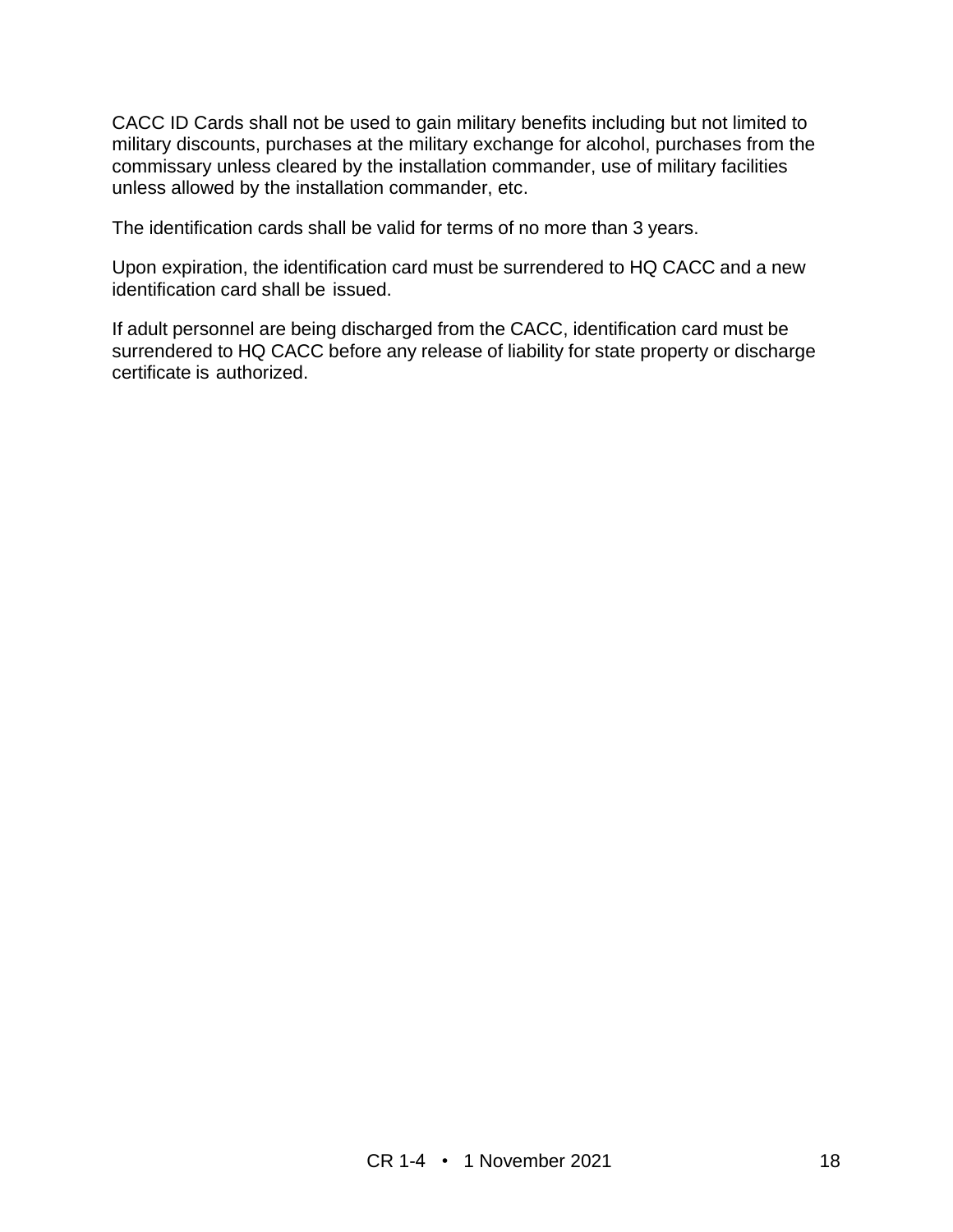CACC ID Cards shall not be used to gain military benefits including but not limited to military discounts, purchases at the military exchange for alcohol, purchases from the commissary unless cleared by the installation commander, use of military facilities unless allowed by the installation commander, etc.

The identification cards shall be valid for terms of no more than 3 years.

Upon expiration, the identification card must be surrendered to HQ CACC and a new identification card shall be issued.

If adult personnel are being discharged from the CACC, identification card must be surrendered to HQ CACC before any release of liability for state property or discharge certificate is authorized.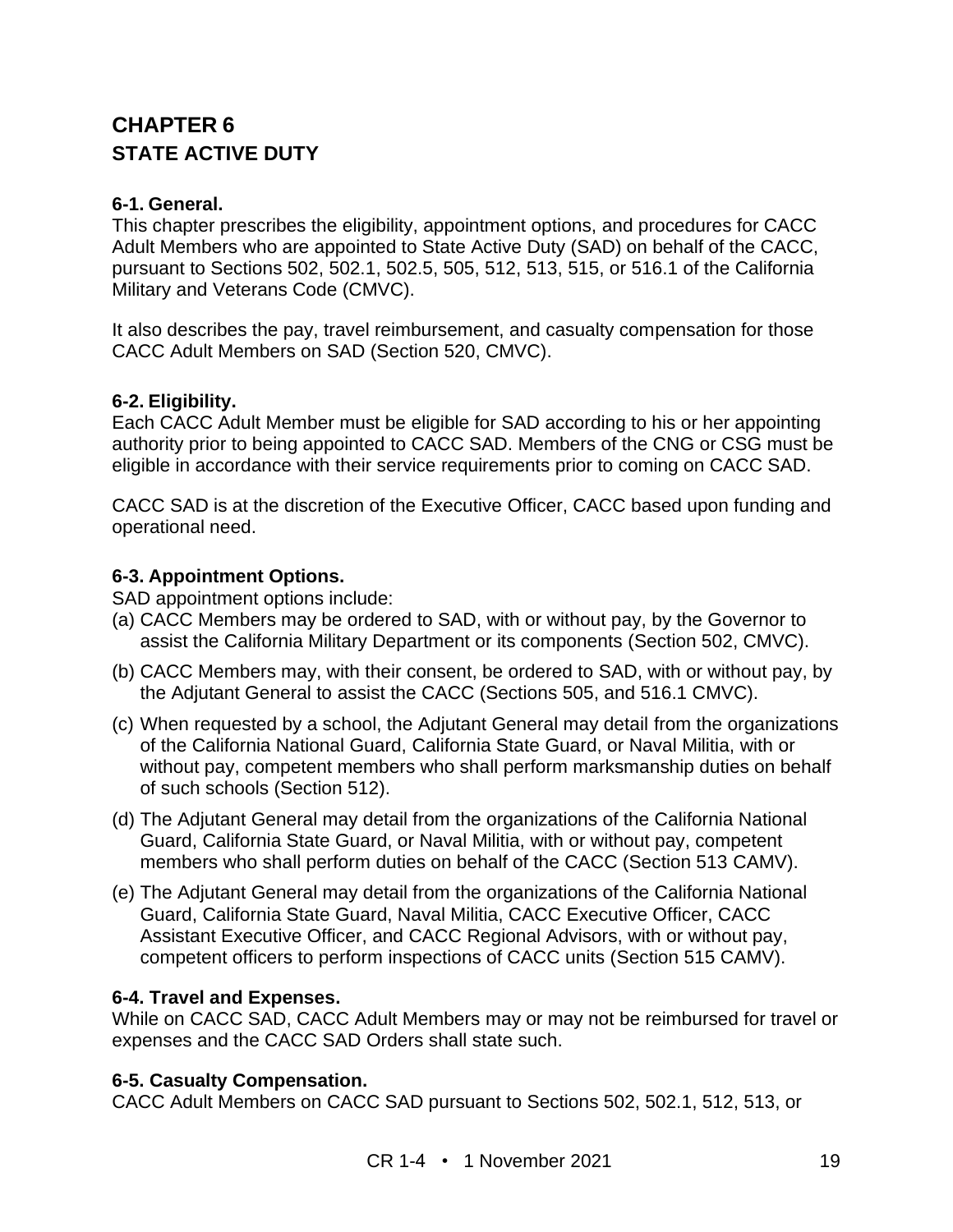## **CHAPTER 6 STATE ACTIVE DUTY**

#### **6-1. General.**

This chapter prescribes the eligibility, appointment options, and procedures for CACC Adult Members who are appointed to State Active Duty (SAD) on behalf of the CACC, pursuant to Sections 502, 502.1, 502.5, 505, 512, 513, 515, or 516.1 of the California Military and Veterans Code (CMVC).

It also describes the pay, travel reimbursement, and casualty compensation for those CACC Adult Members on SAD (Section 520, CMVC).

#### **6-2. Eligibility.**

Each CACC Adult Member must be eligible for SAD according to his or her appointing authority prior to being appointed to CACC SAD. Members of the CNG or CSG must be eligible in accordance with their service requirements prior to coming on CACC SAD.

CACC SAD is at the discretion of the Executive Officer, CACC based upon funding and operational need.

#### **6-3. Appointment Options.**

SAD appointment options include:

- (a) CACC Members may be ordered to SAD, with or without pay, by the Governor to assist the California Military Department or its components (Section 502, CMVC).
- (b) CACC Members may, with their consent, be ordered to SAD, with or without pay, by the Adjutant General to assist the CACC (Sections 505, and 516.1 CMVC).
- (c) When requested by a school, the Adjutant General may detail from the organizations of the California National Guard, California State Guard, or Naval Militia, with or without pay, competent members who shall perform marksmanship duties on behalf of such schools (Section 512).
- (d) The Adjutant General may detail from the organizations of the California National Guard, California State Guard, or Naval Militia, with or without pay, competent members who shall perform duties on behalf of the CACC (Section 513 CAMV).
- (e) The Adjutant General may detail from the organizations of the California National Guard, California State Guard, Naval Militia, CACC Executive Officer, CACC Assistant Executive Officer, and CACC Regional Advisors, with or without pay, competent officers to perform inspections of CACC units (Section 515 CAMV).

#### **6-4. Travel and Expenses.**

While on CACC SAD, CACC Adult Members may or may not be reimbursed for travel or expenses and the CACC SAD Orders shall state such.

#### **6-5. Casualty Compensation.**

CACC Adult Members on CACC SAD pursuant to Sections 502, 502.1, 512, 513, or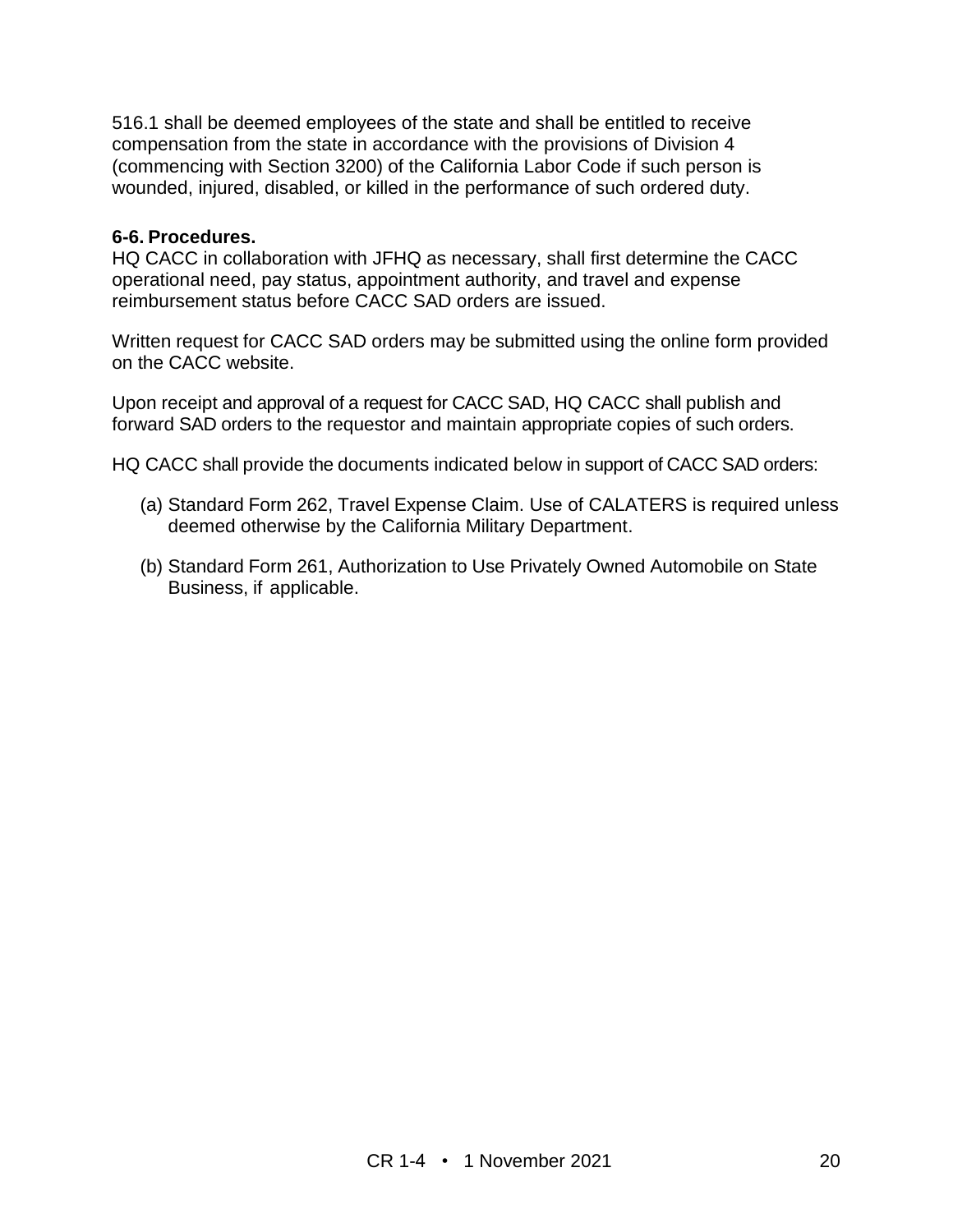516.1 shall be deemed employees of the state and shall be entitled to receive compensation from the state in accordance with the provisions of Division 4 (commencing with Section 3200) of the California Labor Code if such person is wounded, injured, disabled, or killed in the performance of such ordered duty.

#### **6-6. Procedures.**

HQ CACC in collaboration with JFHQ as necessary, shall first determine the CACC operational need, pay status, appointment authority, and travel and expense reimbursement status before CACC SAD orders are issued.

Written request for CACC SAD orders may be submitted using the online form provided on the CACC website.

Upon receipt and approval of a request for CACC SAD, HQ CACC shall publish and forward SAD orders to the requestor and maintain appropriate copies of such orders.

HQ CACC shall provide the documents indicated below in support of CACC SAD orders:

- (a) Standard Form 262, Travel Expense Claim. Use of CALATERS is required unless deemed otherwise by the California Military Department.
- (b) Standard Form 261, Authorization to Use Privately Owned Automobile on State Business, if applicable.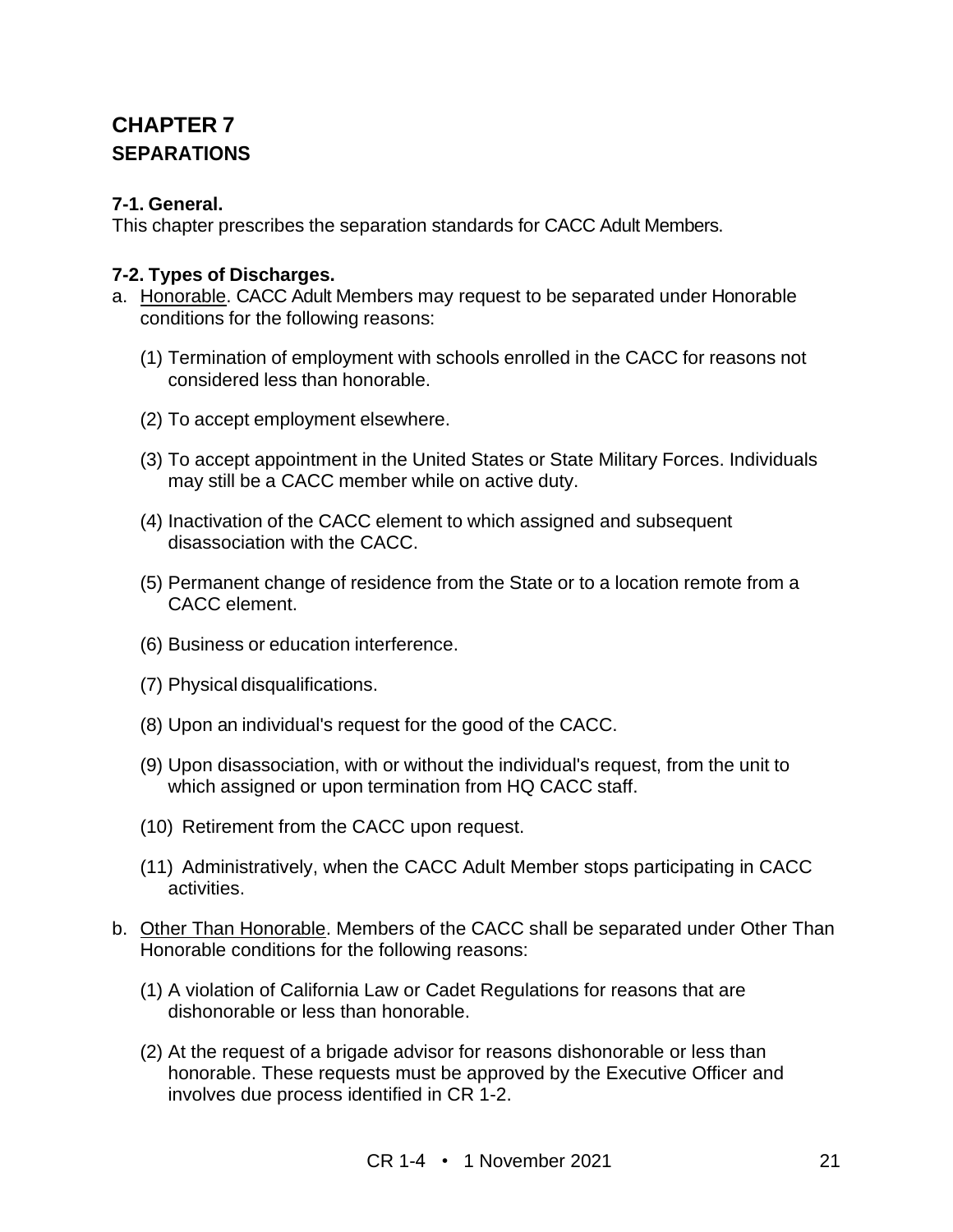## **CHAPTER 7 SEPARATIONS**

#### **7-1. General.**

This chapter prescribes the separation standards for CACC Adult Members.

#### **7-2. Types of Discharges.**

- a. Honorable. CACC Adult Members may request to be separated under Honorable conditions for the following reasons:
	- (1) Termination of employment with schools enrolled in the CACC for reasons not considered less than honorable.
	- (2) To accept employment elsewhere.
	- (3) To accept appointment in the United States or State Military Forces. Individuals may still be a CACC member while on active duty.
	- (4) Inactivation of the CACC element to which assigned and subsequent disassociation with the CACC.
	- (5) Permanent change of residence from the State or to a location remote from a CACC element.
	- (6) Business or education interference.
	- (7) Physical disqualifications.
	- (8) Upon an individual's request for the good of the CACC.
	- (9) Upon disassociation, with or without the individual's request, from the unit to which assigned or upon termination from HQ CACC staff.
	- (10) Retirement from the CACC upon request.
	- (11) Administratively, when the CACC Adult Member stops participating in CACC activities.
- b. Other Than Honorable. Members of the CACC shall be separated under Other Than Honorable conditions for the following reasons:
	- (1) A violation of California Law or Cadet Regulations for reasons that are dishonorable or less than honorable.
	- (2) At the request of a brigade advisor for reasons dishonorable or less than honorable. These requests must be approved by the Executive Officer and involves due process identified in CR 1-2.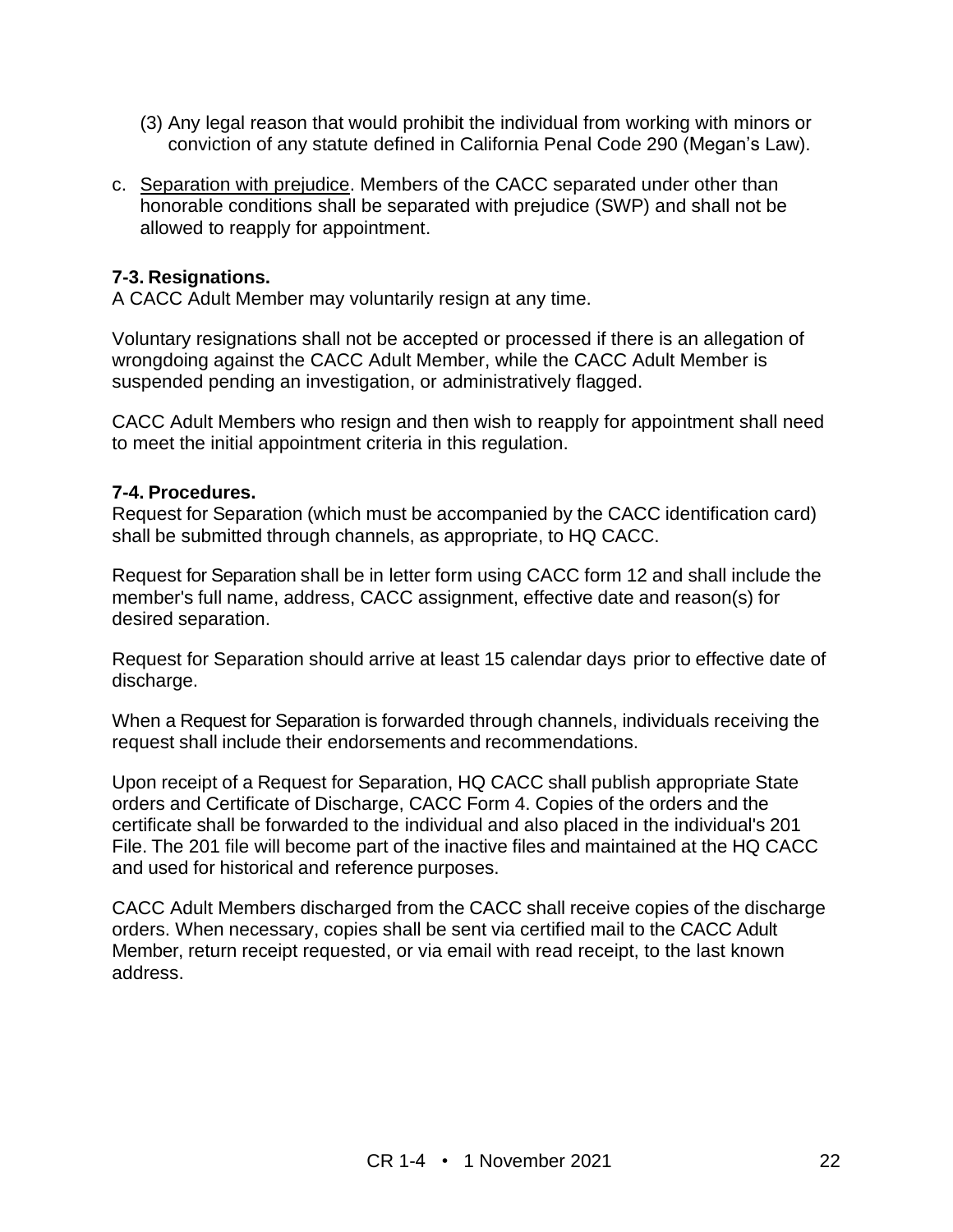- (3) Any legal reason that would prohibit the individual from working with minors or conviction of any statute defined in California Penal Code 290 (Megan's Law).
- c. Separation with prejudice. Members of the CACC separated under other than honorable conditions shall be separated with prejudice (SWP) and shall not be allowed to reapply for appointment.

#### **7-3. Resignations.**

A CACC Adult Member may voluntarily resign at any time.

Voluntary resignations shall not be accepted or processed if there is an allegation of wrongdoing against the CACC Adult Member, while the CACC Adult Member is suspended pending an investigation, or administratively flagged.

CACC Adult Members who resign and then wish to reapply for appointment shall need to meet the initial appointment criteria in this regulation.

#### **7-4. Procedures.**

Request for Separation (which must be accompanied by the CACC identification card) shall be submitted through channels, as appropriate, to HQ CACC.

Request for Separation shall be in letter form using CACC form 12 and shall include the member's full name, address, CACC assignment, effective date and reason(s) for desired separation.

Request for Separation should arrive at least 15 calendar days prior to effective date of discharge.

When a Request for Separation is forwarded through channels, individuals receiving the request shall include their endorsements and recommendations.

Upon receipt of a Request for Separation, HQ CACC shall publish appropriate State orders and Certificate of Discharge, CACC Form 4. Copies of the orders and the certificate shall be forwarded to the individual and also placed in the individual's 201 File. The 201 file will become part of the inactive files and maintained at the HQ CACC and used for historical and reference purposes.

CACC Adult Members discharged from the CACC shall receive copies of the discharge orders. When necessary, copies shall be sent via certified mail to the CACC Adult Member, return receipt requested, or via email with read receipt, to the last known address.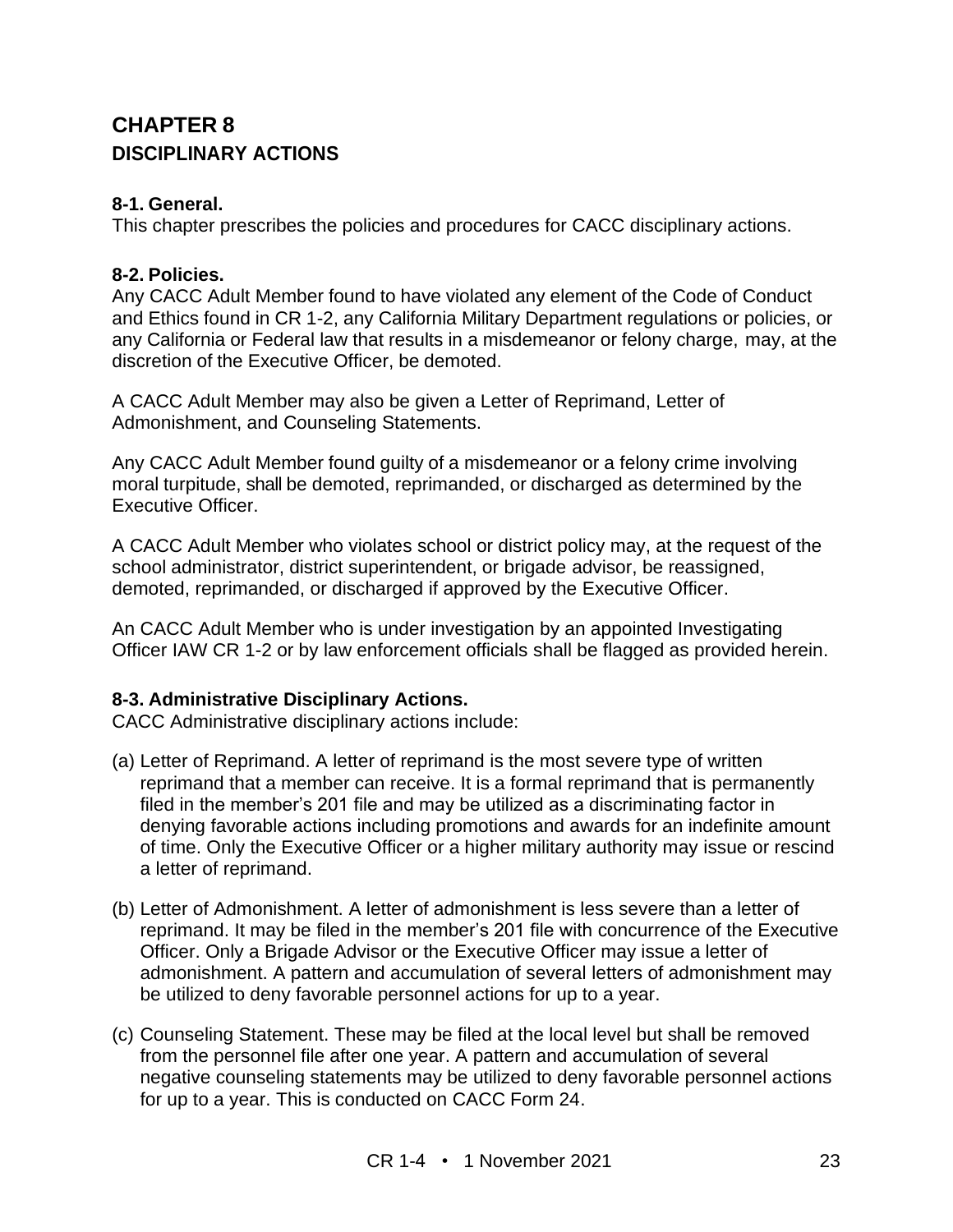## **CHAPTER 8 DISCIPLINARY ACTIONS**

#### **8-1. General.**

This chapter prescribes the policies and procedures for CACC disciplinary actions.

#### **8-2. Policies.**

Any CACC Adult Member found to have violated any element of the Code of Conduct and Ethics found in CR 1-2, any California Military Department regulations or policies, or any California or Federal law that results in a misdemeanor or felony charge, may, at the discretion of the Executive Officer, be demoted.

A CACC Adult Member may also be given a Letter of Reprimand, Letter of Admonishment, and Counseling Statements.

Any CACC Adult Member found guilty of a misdemeanor or a felony crime involving moral turpitude, shall be demoted, reprimanded, or discharged as determined by the Executive Officer.

A CACC Adult Member who violates school or district policy may, at the request of the school administrator, district superintendent, or brigade advisor, be reassigned, demoted, reprimanded, or discharged if approved by the Executive Officer.

An CACC Adult Member who is under investigation by an appointed Investigating Officer IAW CR 1-2 or by law enforcement officials shall be flagged as provided herein.

#### **8-3. Administrative Disciplinary Actions.**

CACC Administrative disciplinary actions include:

- (a) Letter of Reprimand. A letter of reprimand is the most severe type of written reprimand that a member can receive. It is a formal reprimand that is permanently filed in the member's 201 file and may be utilized as a discriminating factor in denying favorable actions including promotions and awards for an indefinite amount of time. Only the Executive Officer or a higher military authority may issue or rescind a letter of reprimand.
- (b) Letter of Admonishment. A letter of admonishment is less severe than a letter of reprimand. It may be filed in the member's 201 file with concurrence of the Executive Officer. Only a Brigade Advisor or the Executive Officer may issue a letter of admonishment. A pattern and accumulation of several letters of admonishment may be utilized to deny favorable personnel actions for up to a year.
- (c) Counseling Statement. These may be filed at the local level but shall be removed from the personnel file after one year. A pattern and accumulation of several negative counseling statements may be utilized to deny favorable personnel actions for up to a year. This is conducted on CACC Form 24.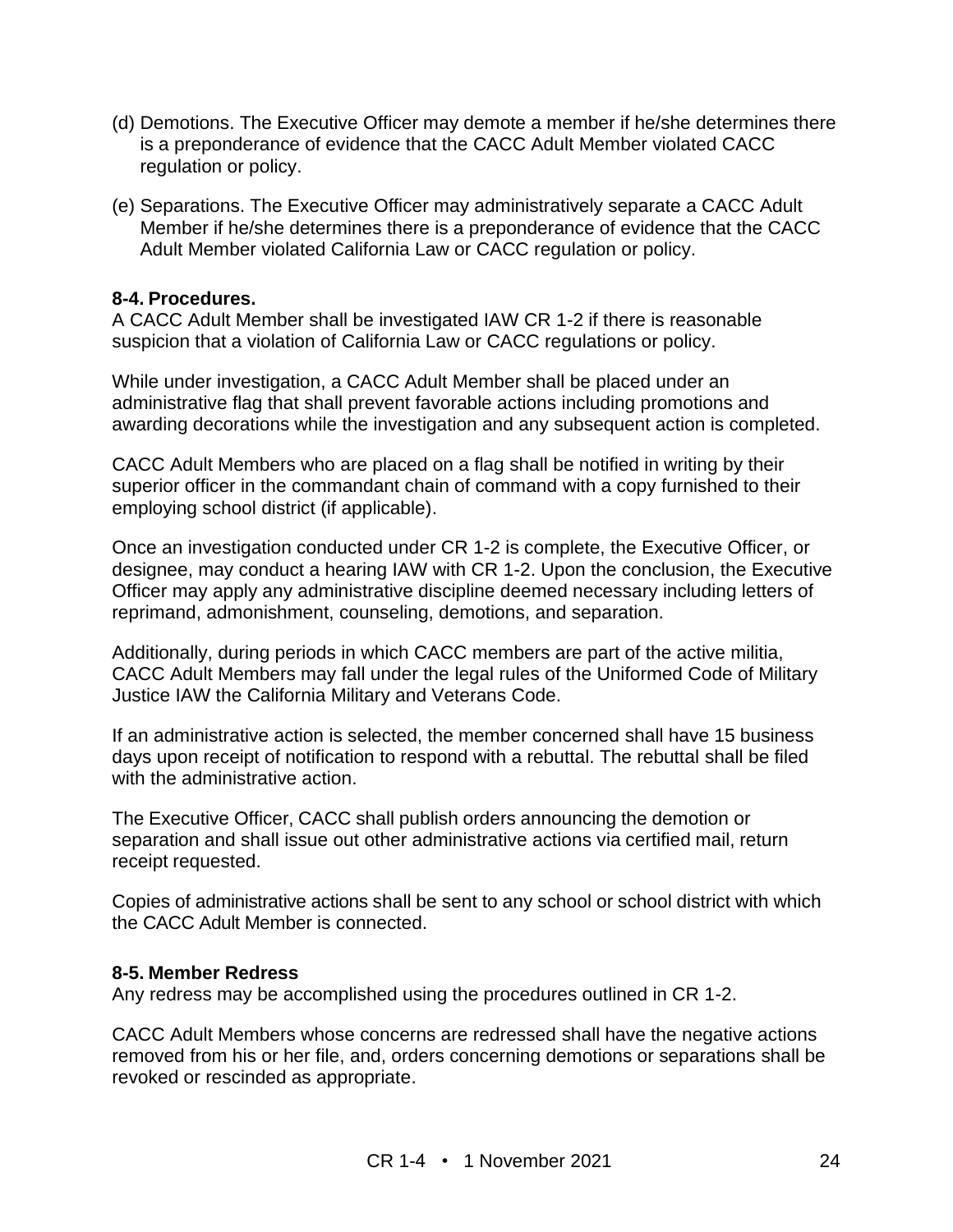- (d) Demotions. The Executive Officer may demote a member if he/she determines there is a preponderance of evidence that the CACC Adult Member violated CACC regulation or policy.
- (e) Separations. The Executive Officer may administratively separate a CACC Adult Member if he/she determines there is a preponderance of evidence that the CACC Adult Member violated California Law or CACC regulation or policy.

#### **8-4. Procedures.**

A CACC Adult Member shall be investigated IAW CR 1-2 if there is reasonable suspicion that a violation of California Law or CACC regulations or policy.

While under investigation, a CACC Adult Member shall be placed under an administrative flag that shall prevent favorable actions including promotions and awarding decorations while the investigation and any subsequent action is completed.

CACC Adult Members who are placed on a flag shall be notified in writing by their superior officer in the commandant chain of command with a copy furnished to their employing school district (if applicable).

Once an investigation conducted under CR 1-2 is complete, the Executive Officer, or designee, may conduct a hearing IAW with CR 1-2. Upon the conclusion, the Executive Officer may apply any administrative discipline deemed necessary including letters of reprimand, admonishment, counseling, demotions, and separation.

Additionally, during periods in which CACC members are part of the active militia, CACC Adult Members may fall under the legal rules of the Uniformed Code of Military Justice IAW the California Military and Veterans Code.

If an administrative action is selected, the member concerned shall have 15 business days upon receipt of notification to respond with a rebuttal. The rebuttal shall be filed with the administrative action.

The Executive Officer, CACC shall publish orders announcing the demotion or separation and shall issue out other administrative actions via certified mail, return receipt requested.

Copies of administrative actions shall be sent to any school or school district with which the CACC Adult Member is connected.

#### **8-5. Member Redress**

Any redress may be accomplished using the procedures outlined in CR 1-2.

CACC Adult Members whose concerns are redressed shall have the negative actions removed from his or her file, and, orders concerning demotions or separations shall be revoked or rescinded as appropriate.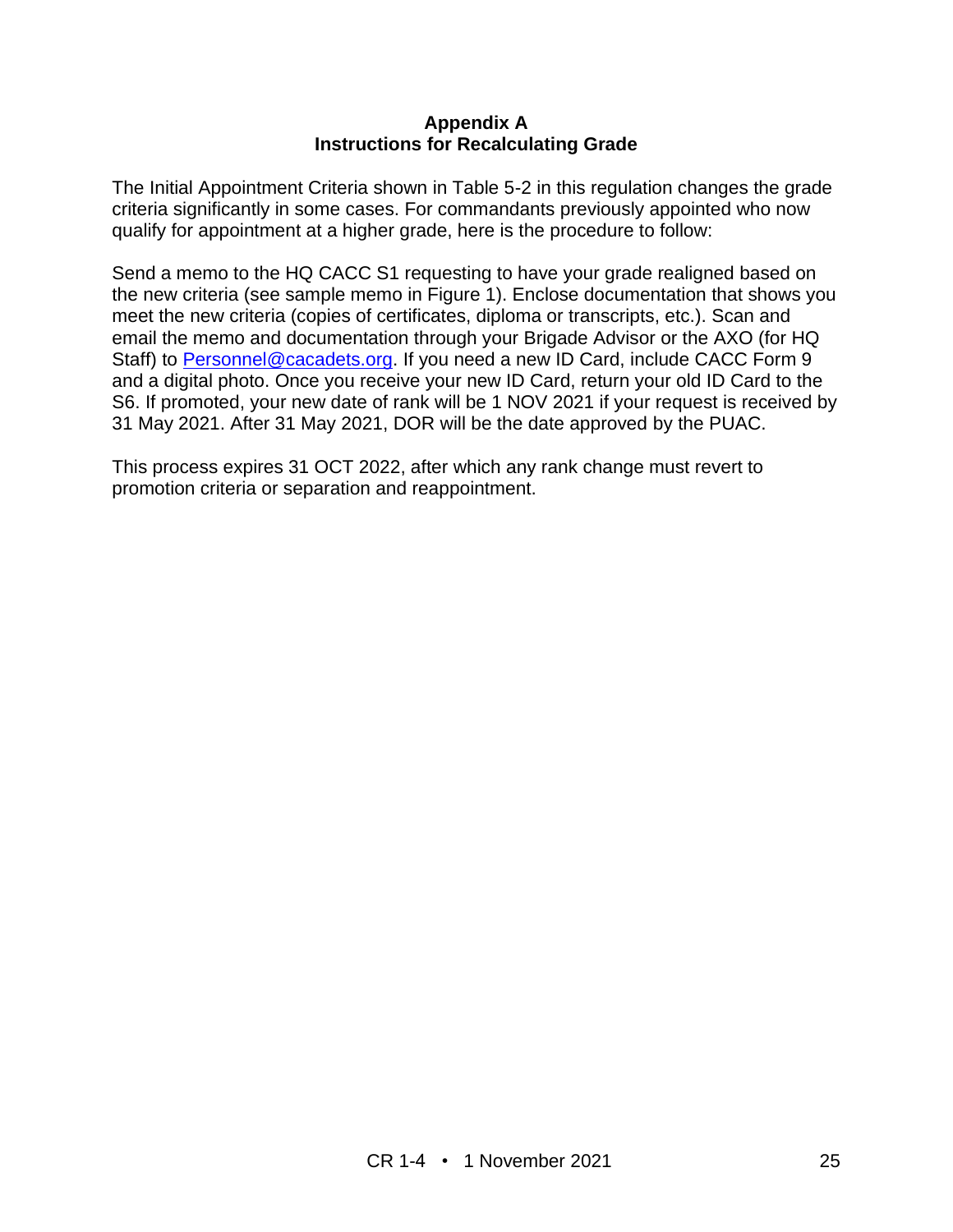#### **Appendix A Instructions for Recalculating Grade**

The Initial Appointment Criteria shown in Table 5-2 in this regulation changes the grade criteria significantly in some cases. For commandants previously appointed who now qualify for appointment at a higher grade, here is the procedure to follow:

Send a memo to the HQ CACC S1 requesting to have your grade realigned based on the new criteria (see sample memo in Figure 1). Enclose documentation that shows you meet the new criteria (copies of certificates, diploma or transcripts, etc.). Scan and email the memo and documentation through your Brigade Advisor or the AXO (for HQ Staff) to [Personnel@cacadets.org.](mailto:Personnel@cacadets.org) If you need a new ID Card, include CACC Form 9 and a digital photo. Once you receive your new ID Card, return your old ID Card to the S6. If promoted, your new date of rank will be 1 NOV 2021 if your request is received by 31 May 2021. After 31 May 2021, DOR will be the date approved by the PUAC.

This process expires 31 OCT 2022, after which any rank change must revert to promotion criteria or separation and reappointment.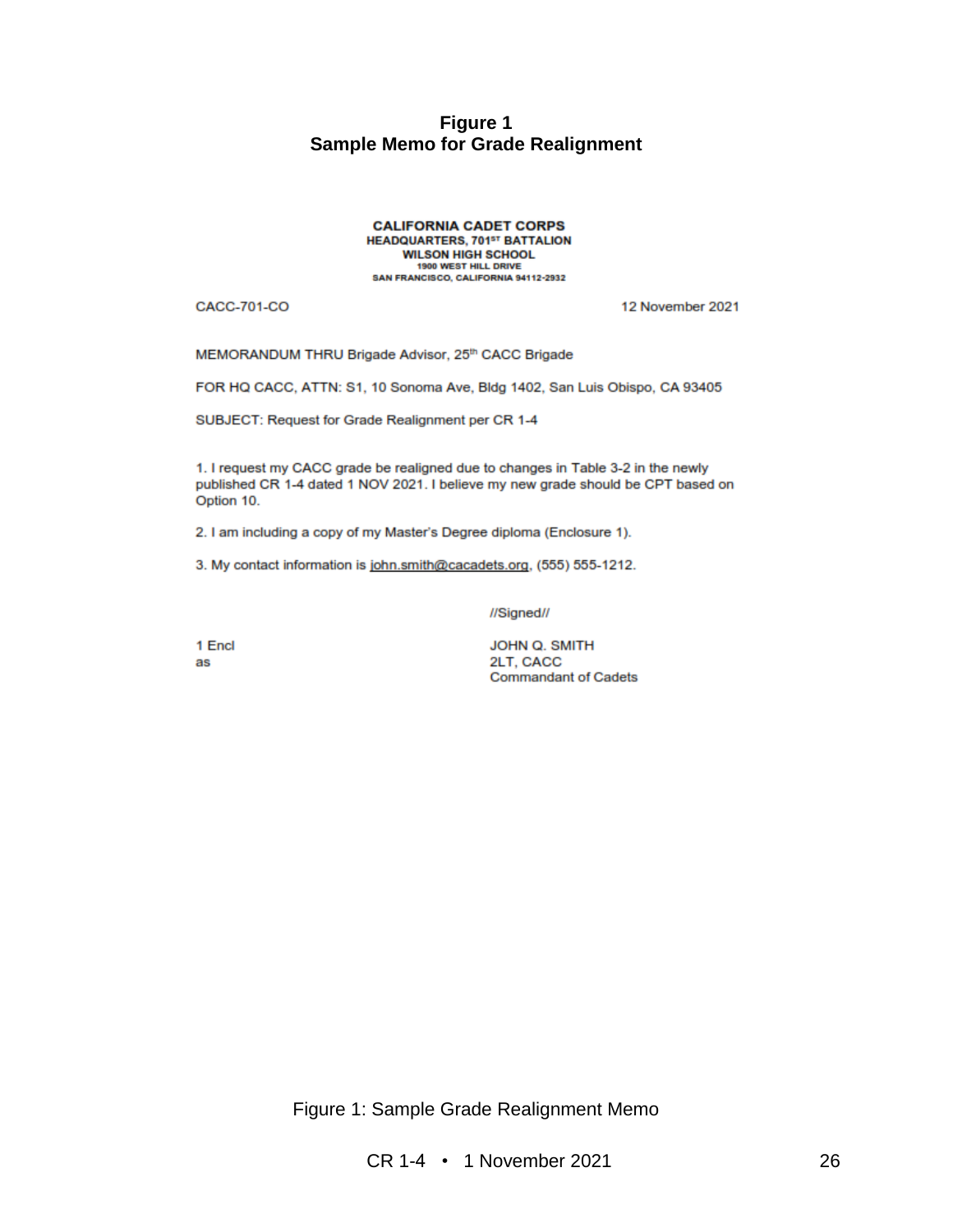#### **Figure 1 Sample Memo for Grade Realignment**

**CALIFORNIA CADET CORPS HEADQUARTERS, 701st BATTALION WILSON HIGH SCHOOL** 1900 WEST HILL DRIVE SAN FRANCISCO, CALIFORNIA 94112-2932

**CACC-701-CO** 

12 November 2021

MEMORANDUM THRU Brigade Advisor, 25th CACC Brigade

FOR HQ CACC, ATTN: S1, 10 Sonoma Ave, Bldg 1402, San Luis Obispo, CA 93405

SUBJECT: Request for Grade Realignment per CR 1-4

1. I request my CACC grade be realigned due to changes in Table 3-2 in the newly published CR 1-4 dated 1 NOV 2021. I believe my new grade should be CPT based on Option 10.

2. I am including a copy of my Master's Degree diploma (Enclosure 1).

3. My contact information is john.smith@cacadets.org, (555) 555-1212.

//Signed//

1 Encl as

JOHN Q. SMITH 2LT, CACC **Commandant of Cadets** 

Figure 1: Sample Grade Realignment Memo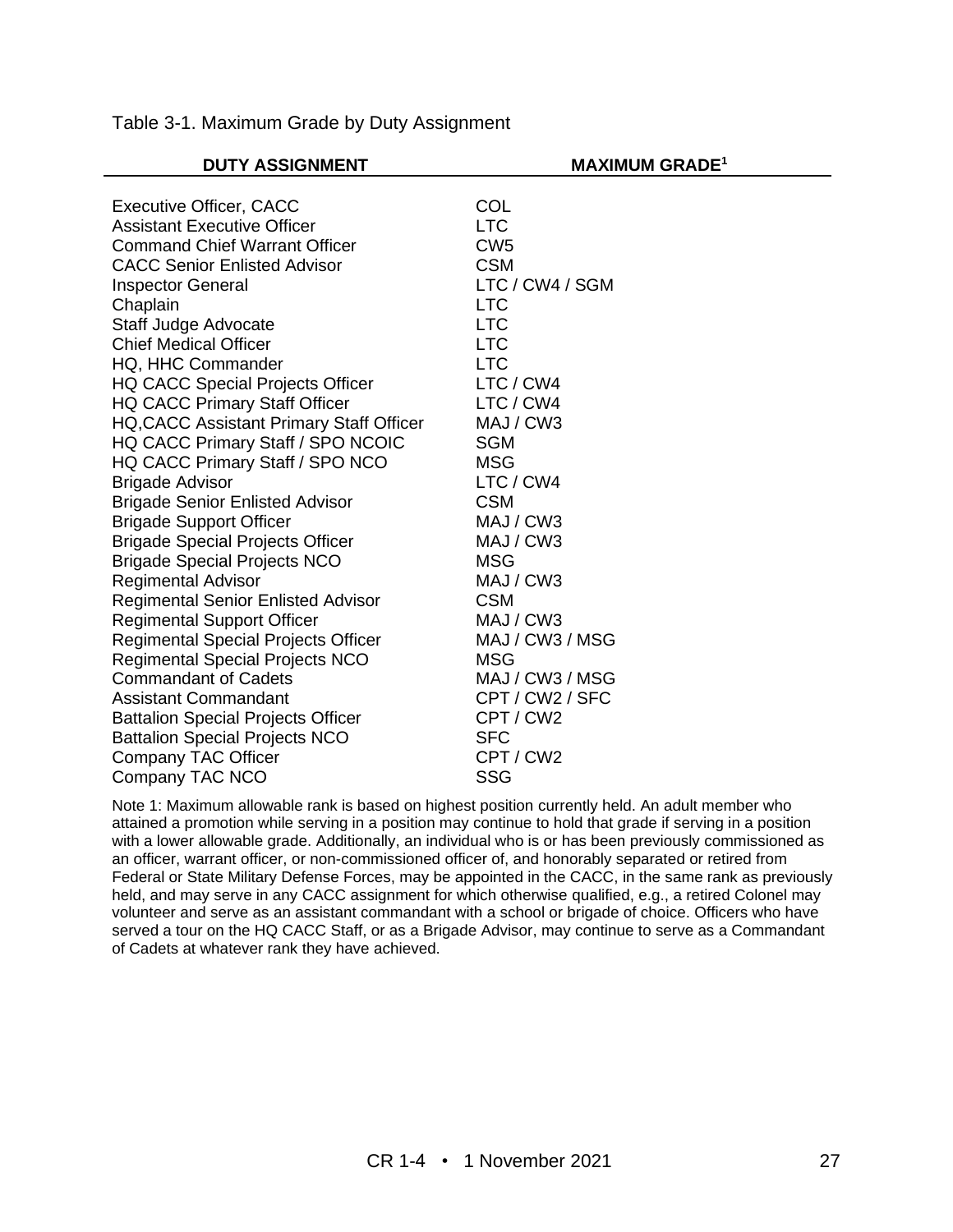| <b>DUTY ASSIGNMENT</b>                     | <b>MAXIMUM GRADE<sup>1</sup></b> |
|--------------------------------------------|----------------------------------|
|                                            |                                  |
| <b>Executive Officer, CACC</b>             | COL                              |
| <b>Assistant Executive Officer</b>         | <b>LTC</b>                       |
| <b>Command Chief Warrant Officer</b>       | CW <sub>5</sub>                  |
| <b>CACC Senior Enlisted Advisor</b>        | <b>CSM</b>                       |
| <b>Inspector General</b>                   | LTC / CW4 / SGM                  |
| Chaplain                                   | <b>LTC</b>                       |
| Staff Judge Advocate                       | <b>LTC</b>                       |
| <b>Chief Medical Officer</b>               | <b>LTC</b>                       |
| HQ, HHC Commander                          | <b>LTC</b>                       |
| <b>HQ CACC Special Projects Officer</b>    | LTC / CW4                        |
| <b>HQ CACC Primary Staff Officer</b>       | LTC / CW4                        |
| HQ, CACC Assistant Primary Staff Officer   | MAJ / CW3                        |
| HQ CACC Primary Staff / SPO NCOIC          | <b>SGM</b>                       |
| HQ CACC Primary Staff / SPO NCO            | <b>MSG</b>                       |
| <b>Brigade Advisor</b>                     | LTC / CW4                        |
| <b>Brigade Senior Enlisted Advisor</b>     | <b>CSM</b>                       |
| <b>Brigade Support Officer</b>             | MAJ / CW3                        |
| <b>Brigade Special Projects Officer</b>    | MAJ / CW3                        |
| <b>Brigade Special Projects NCO</b>        | <b>MSG</b>                       |
| <b>Regimental Advisor</b>                  | MAJ / CW3                        |
| <b>Regimental Senior Enlisted Advisor</b>  | <b>CSM</b>                       |
| <b>Regimental Support Officer</b>          | MAJ / CW3                        |
| <b>Regimental Special Projects Officer</b> | MAJ / CW3 / MSG                  |
| <b>Regimental Special Projects NCO</b>     | <b>MSG</b>                       |
| <b>Commandant of Cadets</b>                | MAJ / CW3 / MSG                  |
| <b>Assistant Commandant</b>                | CPT / CW2 / SFC                  |
| <b>Battalion Special Projects Officer</b>  | CPT / CW2                        |
| <b>Battalion Special Projects NCO</b>      | <b>SFC</b>                       |
| Company TAC Officer                        | CPT / CW2                        |
| Company TAC NCO                            | <b>SSG</b>                       |
|                                            |                                  |

Table 3-1. Maximum Grade by Duty Assignment

Note 1: Maximum allowable rank is based on highest position currently held. An adult member who attained a promotion while serving in a position may continue to hold that grade if serving in a position with a lower allowable grade. Additionally, an individual who is or has been previously commissioned as an officer, warrant officer, or non-commissioned officer of, and honorably separated or retired from Federal or State Military Defense Forces, may be appointed in the CACC, in the same rank as previously held, and may serve in any CACC assignment for which otherwise qualified, e.g., a retired Colonel may volunteer and serve as an assistant commandant with a school or brigade of choice. Officers who have served a tour on the HQ CACC Staff, or as a Brigade Advisor, may continue to serve as a Commandant of Cadets at whatever rank they have achieved.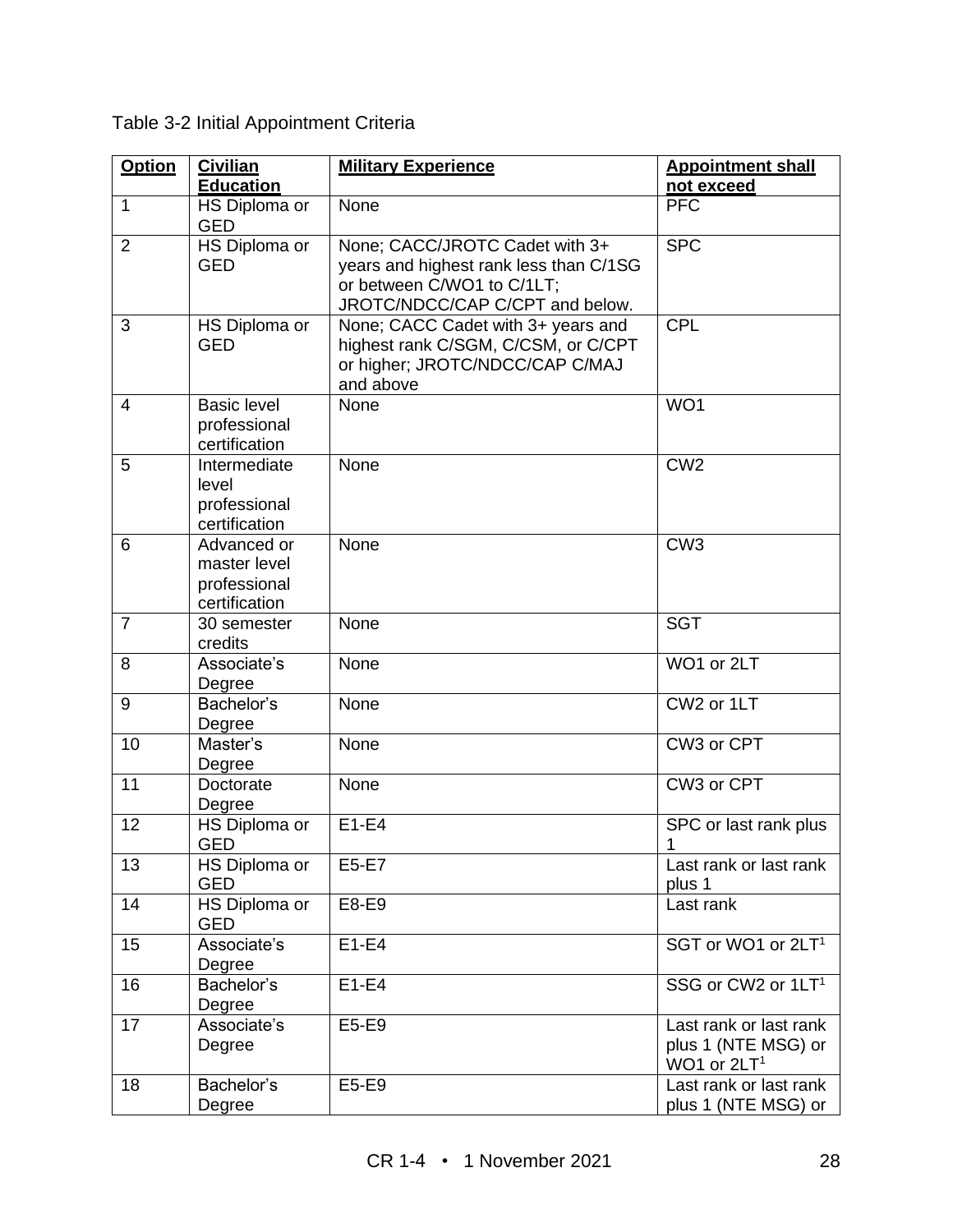| <b>Option</b>  | <b>Civilian</b><br><b>Education</b>                          | <b>Military Experience</b>                                                                                                                | <b>Appointment shall</b><br>not exceed                                   |
|----------------|--------------------------------------------------------------|-------------------------------------------------------------------------------------------------------------------------------------------|--------------------------------------------------------------------------|
| $\mathbf{1}$   | HS Diploma or<br><b>GED</b>                                  | None                                                                                                                                      | <b>PFC</b>                                                               |
| $\overline{2}$ | HS Diploma or<br><b>GED</b>                                  | None; CACC/JROTC Cadet with 3+<br>years and highest rank less than C/1SG<br>or between C/WO1 to C/1LT;<br>JROTC/NDCC/CAP C/CPT and below. | <b>SPC</b>                                                               |
| 3              | HS Diploma or<br><b>GED</b>                                  | None; CACC Cadet with 3+ years and<br>highest rank C/SGM, C/CSM, or C/CPT<br>or higher; JROTC/NDCC/CAP C/MAJ<br>and above                 | <b>CPL</b>                                                               |
| $\overline{4}$ | <b>Basic level</b><br>professional<br>certification          | None                                                                                                                                      | WO1                                                                      |
| 5              | Intermediate<br>level<br>professional<br>certification       | None                                                                                                                                      | CW <sub>2</sub>                                                          |
| 6              | Advanced or<br>master level<br>professional<br>certification | None                                                                                                                                      | CW <sub>3</sub>                                                          |
| $\overline{7}$ | 30 semester<br>credits                                       | None                                                                                                                                      | <b>SGT</b>                                                               |
| 8              | Associate's<br>Degree                                        | None                                                                                                                                      | WO1 or 2LT                                                               |
| 9              | Bachelor's<br>Degree                                         | None                                                                                                                                      | CW2 or 1LT                                                               |
| 10             | Master's<br>Degree                                           | None                                                                                                                                      | CW3 or CPT                                                               |
| 11             | Doctorate<br>Degree                                          | None                                                                                                                                      | CW3 or CPT                                                               |
| 12             | HS Diploma or<br><b>GED</b>                                  | $E1-E4$                                                                                                                                   | SPC or last rank plus<br>1                                               |
| 13             | HS Diploma or<br><b>GED</b>                                  | E5-E7                                                                                                                                     | Last rank or last rank<br>plus 1                                         |
| 14             | HS Diploma or<br><b>GED</b>                                  | E8-E9                                                                                                                                     | Last rank                                                                |
| 15             | Associate's<br>Degree                                        | $E1-E4$                                                                                                                                   | SGT or WO1 or 2LT <sup>1</sup>                                           |
| 16             | Bachelor's<br>Degree                                         | $E1-E4$                                                                                                                                   | SSG or CW2 or 1LT <sup>1</sup>                                           |
| 17             | Associate's<br>Degree                                        | E5-E9                                                                                                                                     | Last rank or last rank<br>plus 1 (NTE MSG) or<br>WO1 or 2LT <sup>1</sup> |
| 18             | Bachelor's<br>Degree                                         | E5-E9                                                                                                                                     | Last rank or last rank<br>plus 1 (NTE MSG) or                            |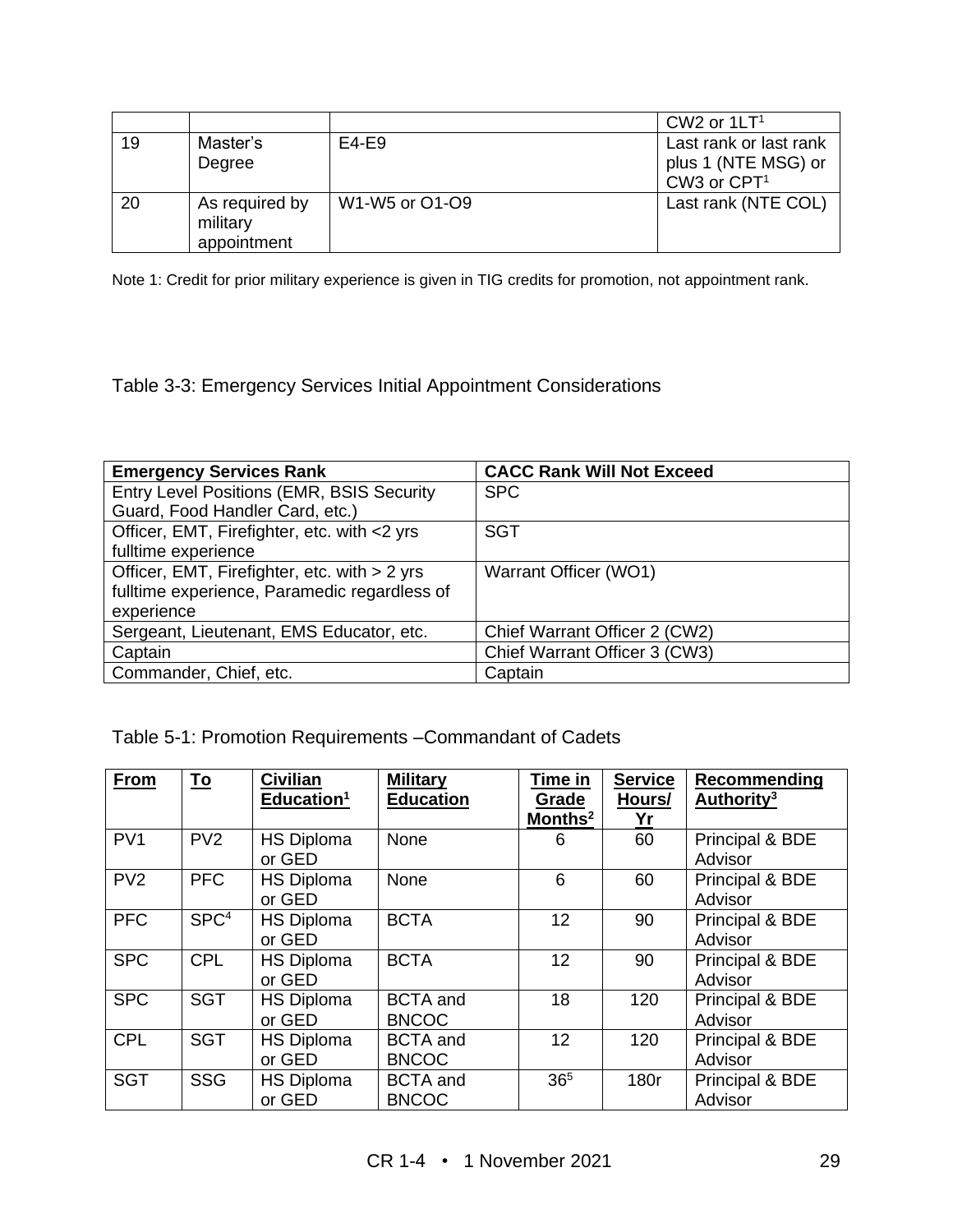|    |                                           |                | CW <sub>2</sub> or $1LT1$ |
|----|-------------------------------------------|----------------|---------------------------|
| 19 | Master's                                  | $E4-E9$        | Last rank or last rank    |
|    | Degree                                    |                | plus 1 (NTE MSG) or       |
|    |                                           |                | CW3 or CPT <sup>1</sup>   |
| 20 | As required by<br>military<br>appointment | W1-W5 or O1-O9 | Last rank (NTE COL)       |

Note 1: Credit for prior military experience is given in TIG credits for promotion, not appointment rank.

Table 3-3: Emergency Services Initial Appointment Considerations

| <b>Emergency Services Rank</b>               | <b>CACC Rank Will Not Exceed</b> |
|----------------------------------------------|----------------------------------|
| Entry Level Positions (EMR, BSIS Security    | <b>SPC</b>                       |
| Guard, Food Handler Card, etc.)              |                                  |
| Officer, EMT, Firefighter, etc. with <2 yrs  | <b>SGT</b>                       |
| fulltime experience                          |                                  |
| Officer, EMT, Firefighter, etc. with > 2 yrs | Warrant Officer (WO1)            |
| fulltime experience, Paramedic regardless of |                                  |
| experience                                   |                                  |
| Sergeant, Lieutenant, EMS Educator, etc.     | Chief Warrant Officer 2 (CW2)    |
| Captain                                      | Chief Warrant Officer 3 (CW3)    |
| Commander, Chief, etc.                       | Captain                          |

Table 5-1: Promotion Requirements –Commandant of Cadets

| From            | <u>To</u>        | <b>Civilian</b><br>Education <sup>1</sup> | <b>Military</b><br><b>Education</b> | Time in<br>Grade    | <b>Service</b><br>Hours/ | Recommending<br>Authority <sup>3</sup> |
|-----------------|------------------|-------------------------------------------|-------------------------------------|---------------------|--------------------------|----------------------------------------|
|                 |                  |                                           |                                     | Months <sup>2</sup> | Yr                       |                                        |
| PV <sub>1</sub> | PV <sub>2</sub>  | <b>HS Diploma</b>                         | None                                | 6                   | 60                       | Principal & BDE                        |
|                 |                  | or GED                                    |                                     |                     |                          | Advisor                                |
| PV <sub>2</sub> | <b>PFC</b>       | <b>HS Diploma</b>                         | None                                | 6                   | 60                       | Principal & BDE                        |
|                 |                  | or GED                                    |                                     |                     |                          | Advisor                                |
| <b>PFC</b>      | SPC <sup>4</sup> | <b>HS Diploma</b>                         | <b>BCTA</b>                         | 12                  | 90                       | Principal & BDE                        |
|                 |                  | or GED                                    |                                     |                     |                          | Advisor                                |
| <b>SPC</b>      | <b>CPL</b>       | <b>HS Diploma</b>                         | <b>BCTA</b>                         | 12                  | 90                       | Principal & BDE                        |
|                 |                  | or GED                                    |                                     |                     |                          | Advisor                                |
| <b>SPC</b>      | <b>SGT</b>       | <b>HS Diploma</b>                         | <b>BCTA</b> and                     | 18                  | 120                      | Principal & BDE                        |
|                 |                  | or GED                                    | <b>BNCOC</b>                        |                     |                          | Advisor                                |
| <b>CPL</b>      | <b>SGT</b>       | <b>HS Diploma</b>                         | <b>BCTA</b> and                     | 12                  | 120                      | Principal & BDE                        |
|                 |                  | or GED                                    | <b>BNCOC</b>                        |                     |                          | Advisor                                |
| <b>SGT</b>      | <b>SSG</b>       | <b>HS Diploma</b>                         | <b>BCTA</b> and                     | 36 <sup>5</sup>     | 180r                     | Principal & BDE                        |
|                 |                  | or GED                                    | <b>BNCOC</b>                        |                     |                          | Advisor                                |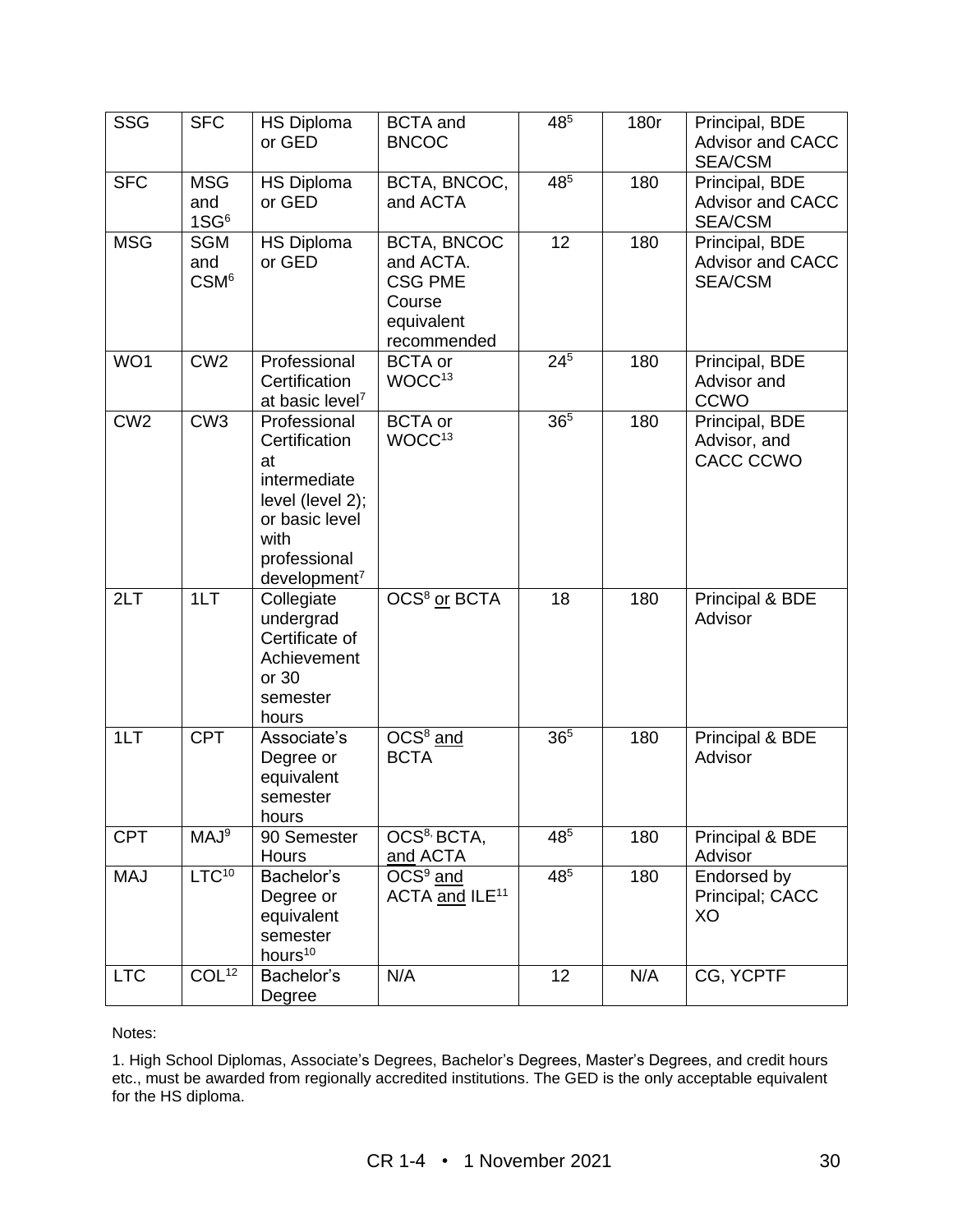| <b>SSG</b>      | <b>SFC</b>                            | <b>HS Diploma</b><br>or GED                                                                                                                      | <b>BCTA</b> and<br><b>BNCOC</b>                                                   | 485             | 180r | Principal, BDE<br><b>Advisor and CACC</b><br><b>SEA/CSM</b> |
|-----------------|---------------------------------------|--------------------------------------------------------------------------------------------------------------------------------------------------|-----------------------------------------------------------------------------------|-----------------|------|-------------------------------------------------------------|
| <b>SFC</b>      | <b>MSG</b><br>and<br>1S <sup>6</sup>  | <b>HS Diploma</b><br>or GED                                                                                                                      | BCTA, BNCOC,<br>and ACTA                                                          | 485             | 180  | Principal, BDE<br><b>Advisor and CACC</b><br><b>SEA/CSM</b> |
| <b>MSG</b>      | <b>SGM</b><br>and<br>CSM <sup>6</sup> | <b>HS Diploma</b><br>or GED                                                                                                                      | BCTA, BNCOC<br>and ACTA.<br><b>CSG PME</b><br>Course<br>equivalent<br>recommended | 12              | 180  | Principal, BDE<br><b>Advisor and CACC</b><br><b>SEA/CSM</b> |
| WO1             | CW <sub>2</sub>                       | Professional<br>Certification<br>at basic level <sup>7</sup>                                                                                     | <b>BCTA</b> or<br>WOCC <sup>13</sup>                                              | $24^{5}$        | 180  | Principal, BDE<br>Advisor and<br>CCWO                       |
| CW <sub>2</sub> | CW3                                   | Professional<br>Certification<br>at<br>intermediate<br>level (level 2);<br>or basic level<br>with<br>professional<br>$d$ evelopment <sup>7</sup> | <b>BCTA</b> or<br>WOCC <sup>13</sup>                                              | 36 <sup>5</sup> | 180  | Principal, BDE<br>Advisor, and<br>CACC CCWO                 |
| 2LT             | 1LT                                   | Collegiate<br>undergrad<br>Certificate of<br>Achievement<br>or 30<br>semester<br>hours                                                           | OCS <sup>8</sup> or BCTA                                                          | 18              | 180  | Principal & BDE<br>Advisor                                  |
| 1LT             | <b>CPT</b>                            | Associate's<br>Degree or<br>equivalent<br>semester<br>hours                                                                                      | OCS <sup>8</sup> and<br><b>BCTA</b>                                               | 36 <sup>5</sup> | 180  | Principal & BDE<br>Advisor                                  |
| <b>CPT</b>      | MAJ <sup>9</sup>                      | 90 Semester<br>Hours                                                                                                                             | OCS <sup>8,</sup> BCTA,<br>and ACTA                                               | $48^{5}$        | 180  | Principal & BDE<br>Advisor                                  |
| <b>MAJ</b>      | LTC <sup>10</sup>                     | Bachelor's<br>Degree or<br>equivalent<br>semester<br>hours <sup>10</sup>                                                                         | $\overline{O}CS^9$ and<br>ACTA and ILE <sup>11</sup>                              | 485             | 180  | Endorsed by<br>Principal; CACC<br>XO                        |
| <b>LTC</b>      | COL <sup>12</sup>                     | Bachelor's<br>Degree                                                                                                                             | N/A                                                                               | 12              | N/A  | CG, YCPTF                                                   |

#### Notes:

1. High School Diplomas, Associate's Degrees, Bachelor's Degrees, Master's Degrees, and credit hours etc., must be awarded from regionally accredited institutions. The GED is the only acceptable equivalent for the HS diploma.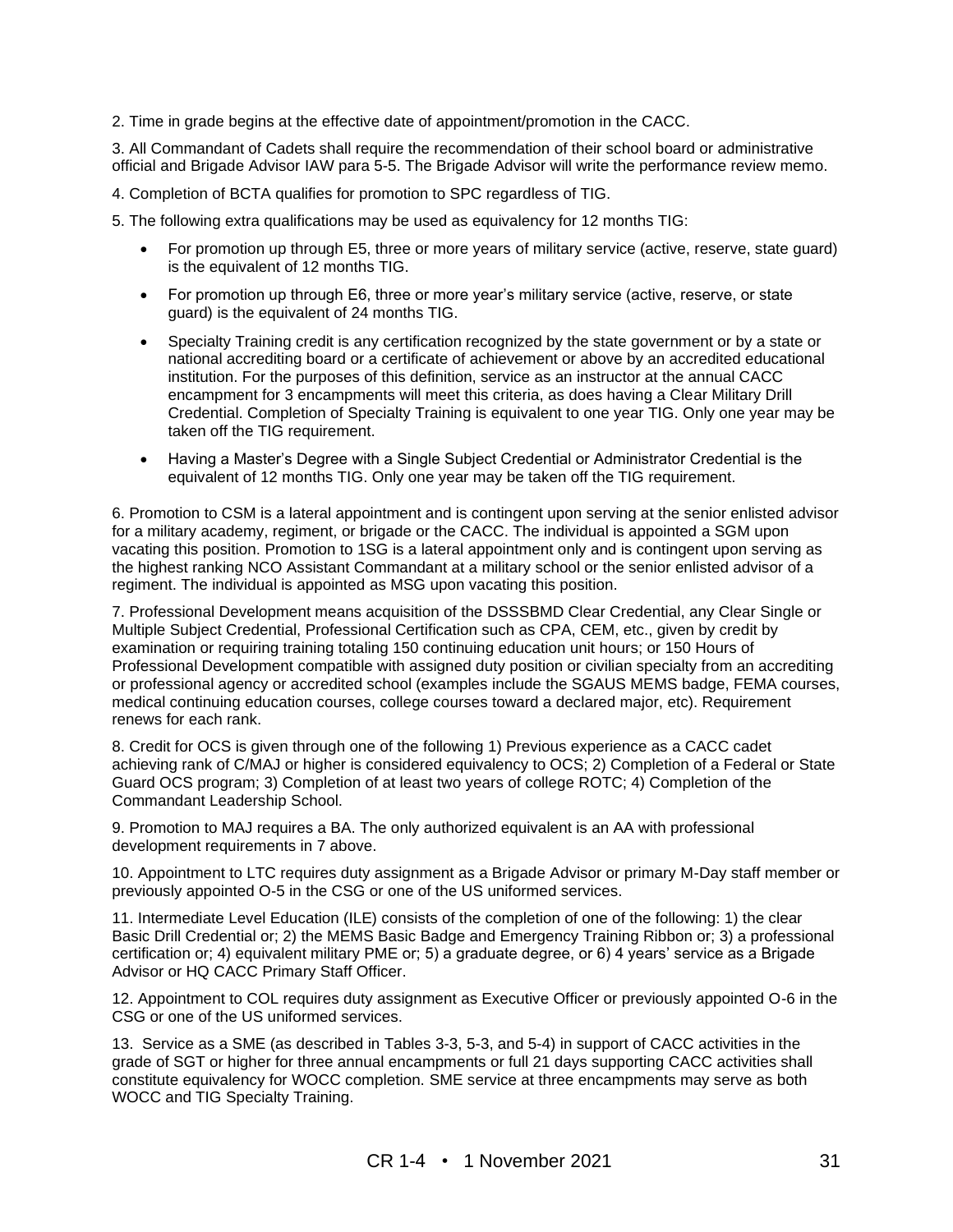2. Time in grade begins at the effective date of appointment/promotion in the CACC.

3. All Commandant of Cadets shall require the recommendation of their school board or administrative official and Brigade Advisor IAW para 5-5. The Brigade Advisor will write the performance review memo.

4. Completion of BCTA qualifies for promotion to SPC regardless of TIG.

5. The following extra qualifications may be used as equivalency for 12 months TIG:

- For promotion up through E5, three or more years of military service (active, reserve, state guard) is the equivalent of 12 months TIG.
- For promotion up through E6, three or more year's military service (active, reserve, or state guard) is the equivalent of 24 months TIG.
- Specialty Training credit is any certification recognized by the state government or by a state or national accrediting board or a certificate of achievement or above by an accredited educational institution. For the purposes of this definition, service as an instructor at the annual CACC encampment for 3 encampments will meet this criteria, as does having a Clear Military Drill Credential. Completion of Specialty Training is equivalent to one year TIG. Only one year may be taken off the TIG requirement.
- Having a Master's Degree with a Single Subject Credential or Administrator Credential is the equivalent of 12 months TIG. Only one year may be taken off the TIG requirement.

6. Promotion to CSM is a lateral appointment and is contingent upon serving at the senior enlisted advisor for a military academy, regiment, or brigade or the CACC. The individual is appointed a SGM upon vacating this position. Promotion to 1SG is a lateral appointment only and is contingent upon serving as the highest ranking NCO Assistant Commandant at a military school or the senior enlisted advisor of a regiment. The individual is appointed as MSG upon vacating this position.

7. Professional Development means acquisition of the DSSSBMD Clear Credential, any Clear Single or Multiple Subject Credential, Professional Certification such as CPA, CEM, etc., given by credit by examination or requiring training totaling 150 continuing education unit hours; or 150 Hours of Professional Development compatible with assigned duty position or civilian specialty from an accrediting or professional agency or accredited school (examples include the SGAUS MEMS badge, FEMA courses, medical continuing education courses, college courses toward a declared major, etc). Requirement renews for each rank.

8. Credit for OCS is given through one of the following 1) Previous experience as a CACC cadet achieving rank of C/MAJ or higher is considered equivalency to OCS; 2) Completion of a Federal or State Guard OCS program; 3) Completion of at least two years of college ROTC; 4) Completion of the Commandant Leadership School.

9. Promotion to MAJ requires a BA. The only authorized equivalent is an AA with professional development requirements in 7 above.

10. Appointment to LTC requires duty assignment as a Brigade Advisor or primary M-Day staff member or previously appointed O-5 in the CSG or one of the US uniformed services.

11. Intermediate Level Education (ILE) consists of the completion of one of the following: 1) the clear Basic Drill Credential or; 2) the MEMS Basic Badge and Emergency Training Ribbon or; 3) a professional certification or; 4) equivalent military PME or; 5) a graduate degree, or 6) 4 years' service as a Brigade Advisor or HQ CACC Primary Staff Officer.

12. Appointment to COL requires duty assignment as Executive Officer or previously appointed O-6 in the CSG or one of the US uniformed services.

13. Service as a SME (as described in Tables 3-3, 5-3, and 5-4) in support of CACC activities in the grade of SGT or higher for three annual encampments or full 21 days supporting CACC activities shall constitute equivalency for WOCC completion. SME service at three encampments may serve as both WOCC and TIG Specialty Training.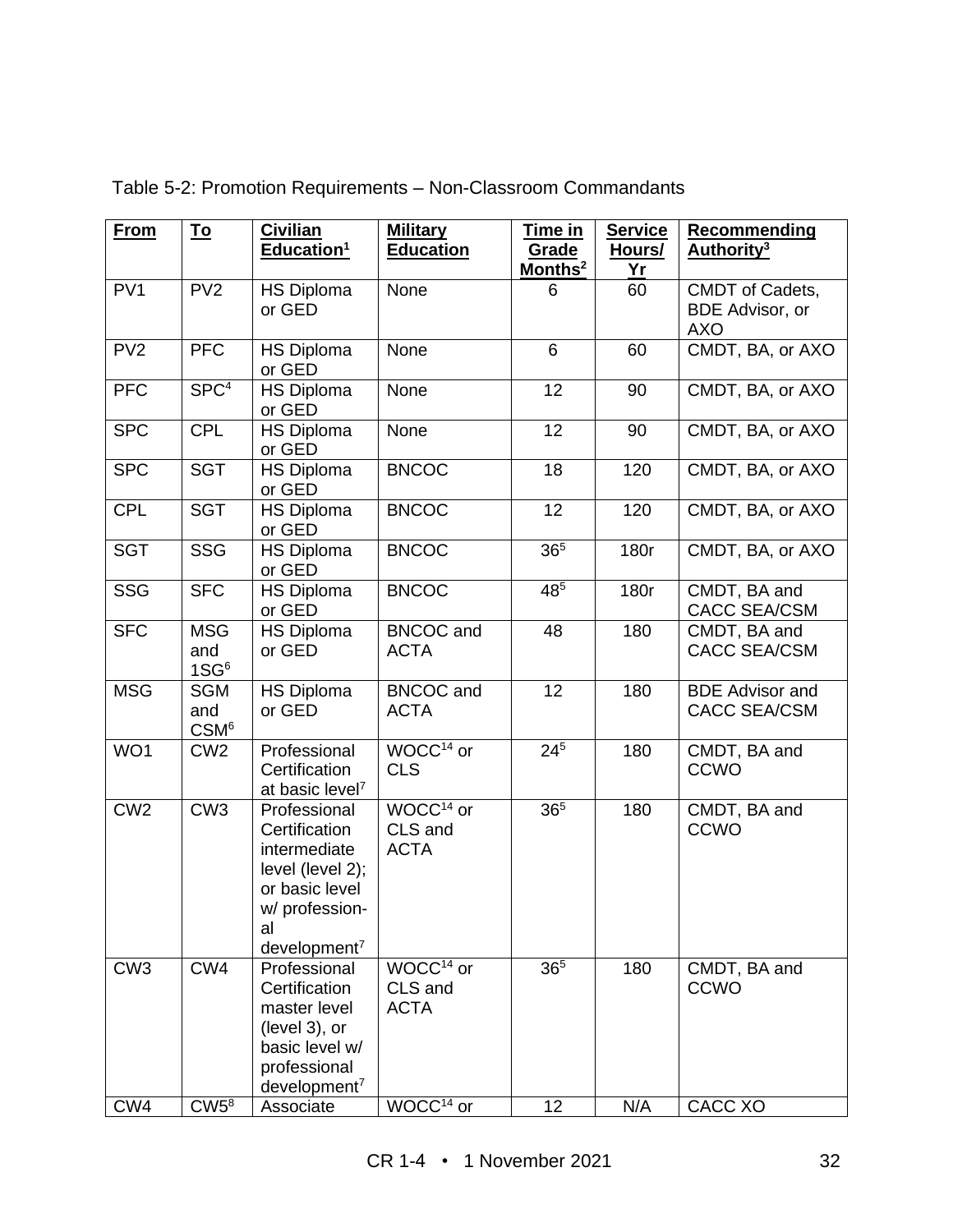| <b>From</b>     | <u>To</u>                             | <b>Civilian</b><br>Education <sup>1</sup>                                                                                               | <b>Military</b><br><b>Education</b>             | <u>Time in</u><br>Grade<br>Months <sup>2</sup> | <b>Service</b><br>Hours/<br>Yr | Recommending<br>Authority <sup>3</sup>                  |
|-----------------|---------------------------------------|-----------------------------------------------------------------------------------------------------------------------------------------|-------------------------------------------------|------------------------------------------------|--------------------------------|---------------------------------------------------------|
| PV <sub>1</sub> | PV <sub>2</sub>                       | <b>HS Diploma</b><br>or GED                                                                                                             | None                                            | 6                                              | 60                             | CMDT of Cadets,<br><b>BDE Advisor, or</b><br><b>AXO</b> |
| PV <sub>2</sub> | <b>PFC</b>                            | <b>HS Diploma</b><br>or GED                                                                                                             | None                                            | 6                                              | 60                             | CMDT, BA, or AXO                                        |
| <b>PFC</b>      | SPC <sup>4</sup>                      | <b>HS Diploma</b><br>or GED                                                                                                             | None                                            | 12                                             | 90                             | CMDT, BA, or AXO                                        |
| <b>SPC</b>      | <b>CPL</b>                            | <b>HS Diploma</b><br>or GED                                                                                                             | None                                            | 12                                             | 90                             | CMDT, BA, or AXO                                        |
| <b>SPC</b>      | <b>SGT</b>                            | <b>HS Diploma</b><br>or GED                                                                                                             | <b>BNCOC</b>                                    | 18                                             | 120                            | CMDT, BA, or AXO                                        |
| <b>CPL</b>      | <b>SGT</b>                            | <b>HS Diploma</b><br>or GED                                                                                                             | <b>BNCOC</b>                                    | 12                                             | 120                            | CMDT, BA, or AXO                                        |
| <b>SGT</b>      | <b>SSG</b>                            | <b>HS Diploma</b><br>or GED                                                                                                             | <b>BNCOC</b>                                    | 36 <sup>5</sup>                                | 180r                           | CMDT, BA, or AXO                                        |
| <b>SSG</b>      | <b>SFC</b>                            | <b>HS Diploma</b><br>or GED                                                                                                             | <b>BNCOC</b>                                    | 485                                            | 180r                           | CMDT, BA and<br>CACC SEA/CSM                            |
| <b>SFC</b>      | <b>MSG</b><br>and<br>1S <sup>6</sup>  | <b>HS Diploma</b><br>or GED                                                                                                             | <b>BNCOC</b> and<br><b>ACTA</b>                 | 48                                             | 180                            | CMDT, BA and<br><b>CACC SEA/CSM</b>                     |
| <b>MSG</b>      | <b>SGM</b><br>and<br>CSM <sup>6</sup> | <b>HS Diploma</b><br>or GED                                                                                                             | <b>BNCOC</b> and<br><b>ACTA</b>                 | 12                                             | 180                            | <b>BDE</b> Advisor and<br><b>CACC SEA/CSM</b>           |
| WO1             | CW <sub>2</sub>                       | Professional<br>Certification<br>at basic level <sup>7</sup>                                                                            | $WOCC14$ or<br><b>CLS</b>                       | $24^{5}$                                       | 180                            | CMDT, BA and<br><b>CCWO</b>                             |
| CW2             | CW3                                   | Professional<br>Certification<br>intermediate<br>level (level 2);<br>or basic level<br>w/ profession-<br>al<br>development <sup>7</sup> | WOCC <sup>14</sup> or<br>CLS and<br><b>ACTA</b> | 36 <sup>5</sup>                                | 180                            | CMDT, BA and<br><b>CCWO</b>                             |
| CW <sub>3</sub> | CW4                                   | Professional<br>Certification<br>master level<br>(level 3), or<br>basic level w/<br>professional<br>$d$ evelopment <sup>7</sup>         | WOCC <sup>14</sup> or<br>CLS and<br><b>ACTA</b> | 36 <sup>5</sup>                                | 180                            | CMDT, BA and<br><b>CCWO</b>                             |
| CW4             | $CW5^8$                               | Associate                                                                                                                               | WOCC <sup>14</sup> or                           | 12                                             | N/A                            | CACC XO                                                 |

Table 5-2: Promotion Requirements – Non-Classroom Commandants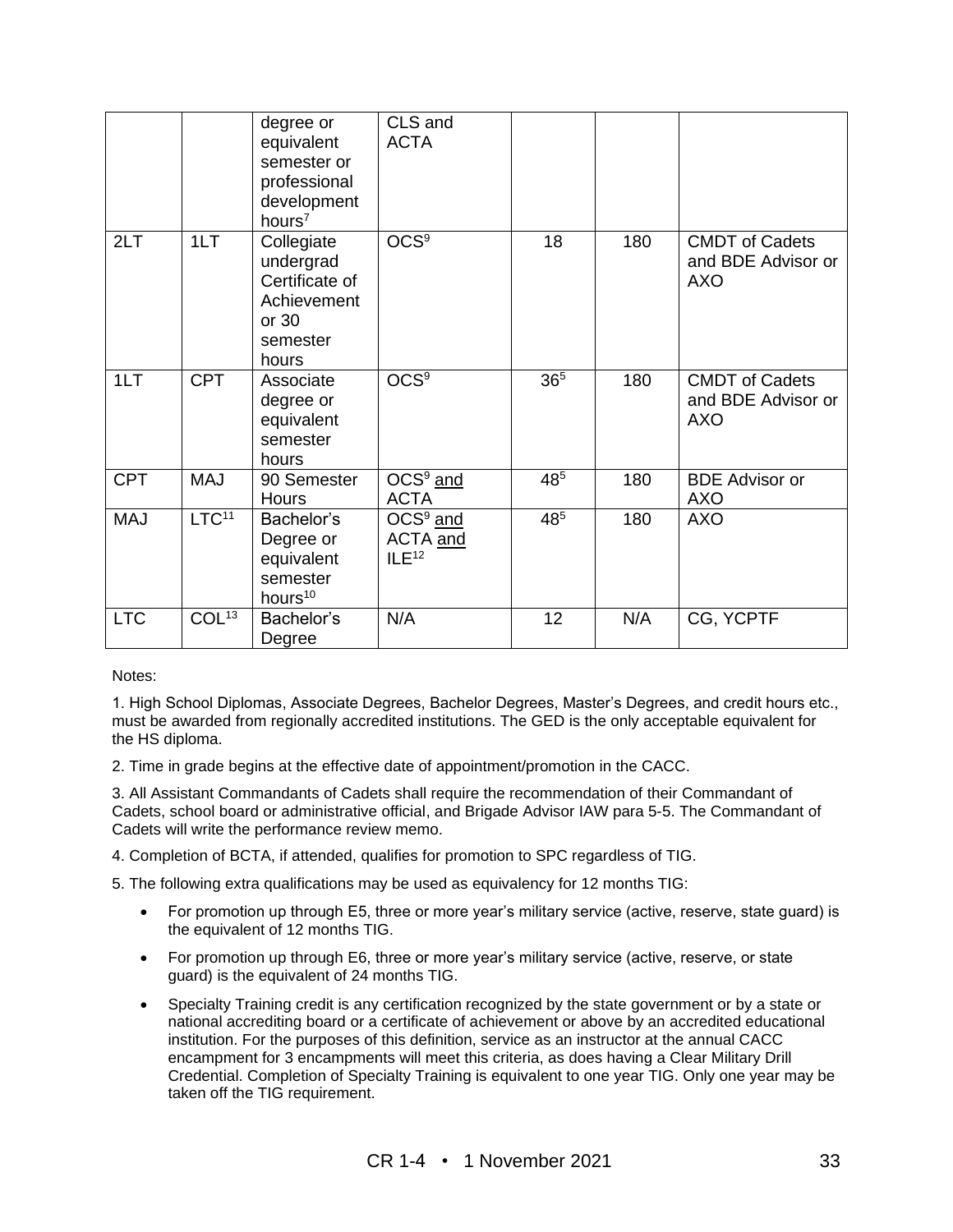|            |                   | degree or<br>equivalent<br>semester or<br>professional<br>development<br>hours $7$     | CLS and<br><b>ACTA</b>                      |                 |     |                                                           |
|------------|-------------------|----------------------------------------------------------------------------------------|---------------------------------------------|-----------------|-----|-----------------------------------------------------------|
| 2LT        | 1LT               | Collegiate<br>undergrad<br>Certificate of<br>Achievement<br>or 30<br>semester<br>hours | $\overline{OCS^9}$                          | 18              | 180 | <b>CMDT</b> of Cadets<br>and BDE Advisor or<br><b>AXO</b> |
| 1LT        | <b>CPT</b>        | Associate<br>degree or<br>equivalent<br>semester<br>hours                              | $\overline{OCS^9}$                          | 36 <sup>5</sup> | 180 | <b>CMDT</b> of Cadets<br>and BDE Advisor or<br><b>AXO</b> |
| <b>CPT</b> | <b>MAJ</b>        | 90 Semester<br>Hours                                                                   | $OCS9$ and<br><b>ACTA</b>                   | 485             | 180 | <b>BDE</b> Advisor or<br><b>AXO</b>                       |
| <b>MAJ</b> | LTC <sup>11</sup> | Bachelor's<br>Degree or<br>equivalent<br>semester<br>hours <sup>10</sup>               | $OCS9$ and<br>ACTA and<br>ILE <sup>12</sup> | 48 <sup>5</sup> | 180 | <b>AXO</b>                                                |
| <b>LTC</b> | COL <sup>13</sup> | Bachelor's<br>Degree                                                                   | N/A                                         | 12              | N/A | CG, YCPTF                                                 |

Notes:

1. High School Diplomas, Associate Degrees, Bachelor Degrees, Master's Degrees, and credit hours etc., must be awarded from regionally accredited institutions. The GED is the only acceptable equivalent for the HS diploma.

2. Time in grade begins at the effective date of appointment/promotion in the CACC.

3. All Assistant Commandants of Cadets shall require the recommendation of their Commandant of Cadets, school board or administrative official, and Brigade Advisor IAW para 5-5. The Commandant of Cadets will write the performance review memo.

4. Completion of BCTA, if attended, qualifies for promotion to SPC regardless of TIG.

5. The following extra qualifications may be used as equivalency for 12 months TIG:

- For promotion up through E5, three or more year's military service (active, reserve, state guard) is the equivalent of 12 months TIG.
- For promotion up through E6, three or more year's military service (active, reserve, or state guard) is the equivalent of 24 months TIG.
- Specialty Training credit is any certification recognized by the state government or by a state or national accrediting board or a certificate of achievement or above by an accredited educational institution. For the purposes of this definition, service as an instructor at the annual CACC encampment for 3 encampments will meet this criteria, as does having a Clear Military Drill Credential. Completion of Specialty Training is equivalent to one year TIG. Only one year may be taken off the TIG requirement.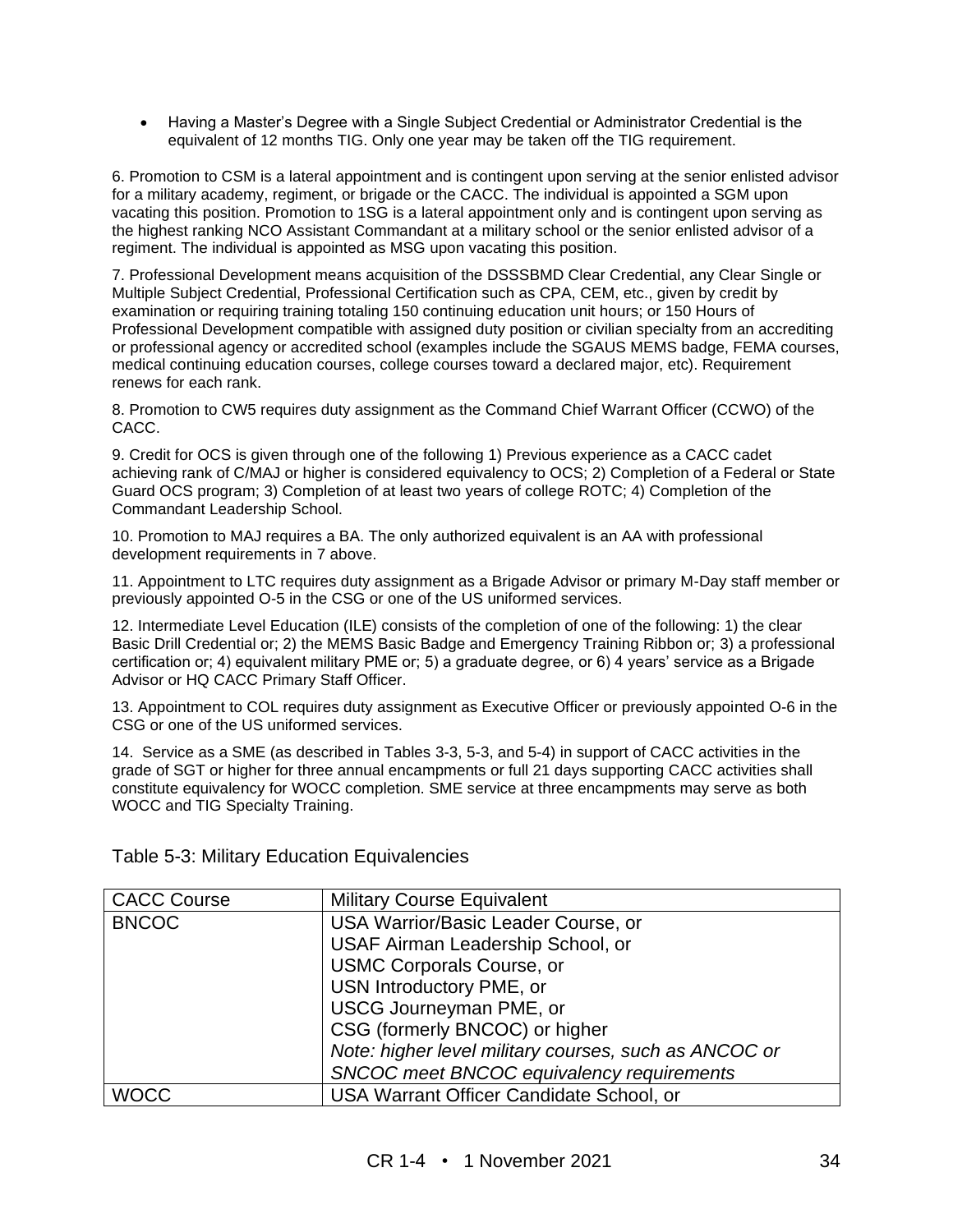• Having a Master's Degree with a Single Subject Credential or Administrator Credential is the equivalent of 12 months TIG. Only one year may be taken off the TIG requirement.

6. Promotion to CSM is a lateral appointment and is contingent upon serving at the senior enlisted advisor for a military academy, regiment, or brigade or the CACC. The individual is appointed a SGM upon vacating this position. Promotion to 1SG is a lateral appointment only and is contingent upon serving as the highest ranking NCO Assistant Commandant at a military school or the senior enlisted advisor of a regiment. The individual is appointed as MSG upon vacating this position.

7. Professional Development means acquisition of the DSSSBMD Clear Credential, any Clear Single or Multiple Subject Credential, Professional Certification such as CPA, CEM, etc., given by credit by examination or requiring training totaling 150 continuing education unit hours; or 150 Hours of Professional Development compatible with assigned duty position or civilian specialty from an accrediting or professional agency or accredited school (examples include the SGAUS MEMS badge, FEMA courses, medical continuing education courses, college courses toward a declared major, etc). Requirement renews for each rank.

8. Promotion to CW5 requires duty assignment as the Command Chief Warrant Officer (CCWO) of the CACC.

9. Credit for OCS is given through one of the following 1) Previous experience as a CACC cadet achieving rank of C/MAJ or higher is considered equivalency to OCS; 2) Completion of a Federal or State Guard OCS program; 3) Completion of at least two years of college ROTC; 4) Completion of the Commandant Leadership School.

10. Promotion to MAJ requires a BA. The only authorized equivalent is an AA with professional development requirements in 7 above.

11. Appointment to LTC requires duty assignment as a Brigade Advisor or primary M-Day staff member or previously appointed O-5 in the CSG or one of the US uniformed services.

12. Intermediate Level Education (ILE) consists of the completion of one of the following: 1) the clear Basic Drill Credential or; 2) the MEMS Basic Badge and Emergency Training Ribbon or; 3) a professional certification or; 4) equivalent military PME or; 5) a graduate degree, or 6) 4 years' service as a Brigade Advisor or HQ CACC Primary Staff Officer.

13. Appointment to COL requires duty assignment as Executive Officer or previously appointed O-6 in the CSG or one of the US uniformed services.

14. Service as a SME (as described in Tables 3-3, 5-3, and 5-4) in support of CACC activities in the grade of SGT or higher for three annual encampments or full 21 days supporting CACC activities shall constitute equivalency for WOCC completion. SME service at three encampments may serve as both WOCC and TIG Specialty Training.

| <b>CACC Course</b> | <b>Military Course Equivalent</b>                     |
|--------------------|-------------------------------------------------------|
| <b>BNCOC</b>       | USA Warrior/Basic Leader Course, or                   |
|                    | USAF Airman Leadership School, or                     |
|                    | <b>USMC Corporals Course, or</b>                      |
|                    | USN Introductory PME, or                              |
|                    | <b>USCG Journeyman PME, or</b>                        |
|                    | CSG (formerly BNCOC) or higher                        |
|                    | Note: higher level military courses, such as ANCOC or |
|                    | SNCOC meet BNCOC equivalency requirements             |
| <b>WOCC</b>        | USA Warrant Officer Candidate School, or              |
|                    |                                                       |

Table 5-3: Military Education Equivalencies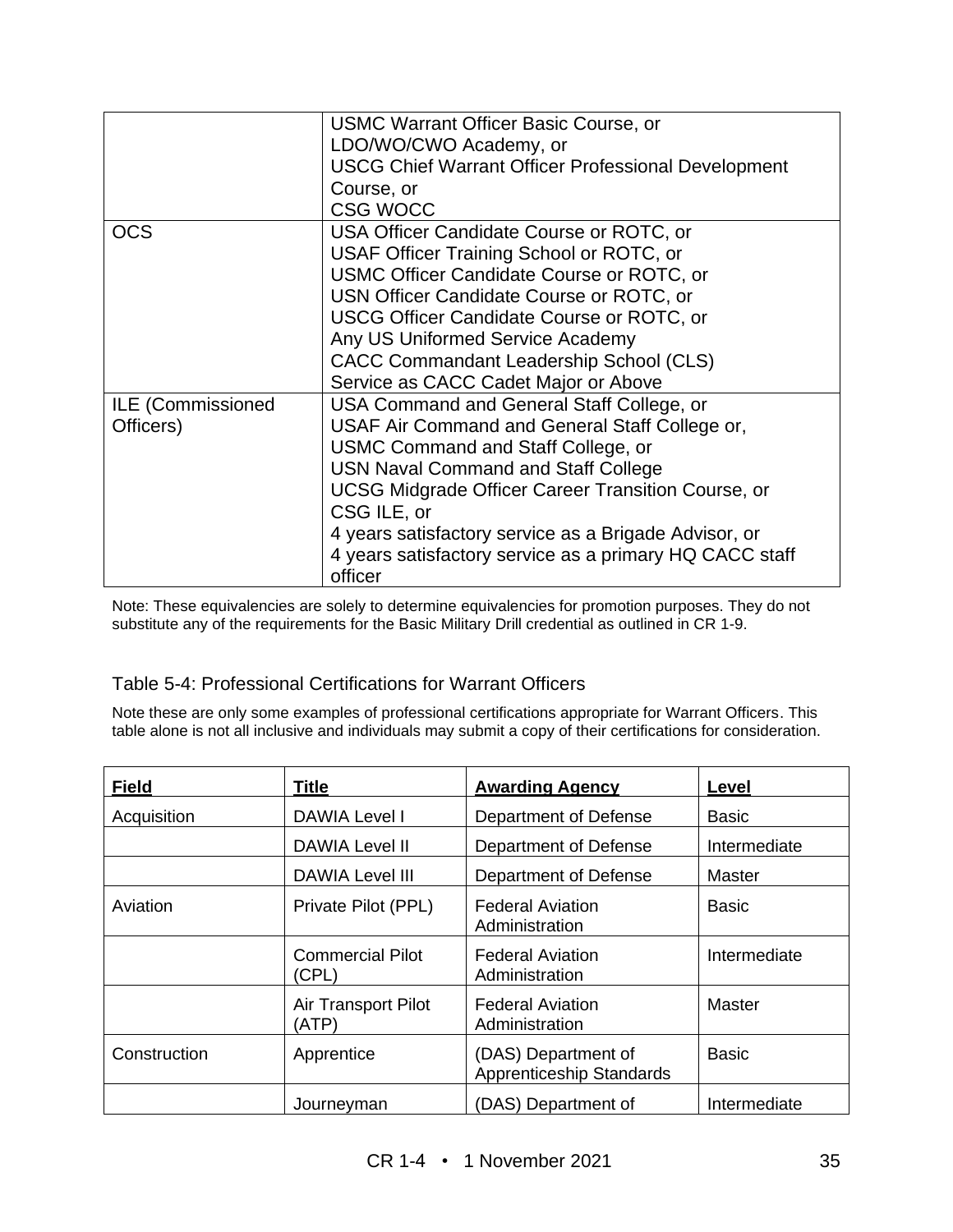|                   | <b>USMC Warrant Officer Basic Course, or</b>               |
|-------------------|------------------------------------------------------------|
|                   | LDO/WO/CWO Academy, or                                     |
|                   | <b>USCG Chief Warrant Officer Professional Development</b> |
|                   | Course, or                                                 |
|                   | <b>CSG WOCC</b>                                            |
| OCS               | USA Officer Candidate Course or ROTC, or                   |
|                   | USAF Officer Training School or ROTC, or                   |
|                   | USMC Officer Candidate Course or ROTC, or                  |
|                   | USN Officer Candidate Course or ROTC, or                   |
|                   | USCG Officer Candidate Course or ROTC, or                  |
|                   | Any US Uniformed Service Academy                           |
|                   | CACC Commandant Leadership School (CLS)                    |
|                   | Service as CACC Cadet Major or Above                       |
| ILE (Commissioned | USA Command and General Staff College, or                  |
| Officers)         | USAF Air Command and General Staff College or,             |
|                   | USMC Command and Staff College, or                         |
|                   | <b>USN Naval Command and Staff College</b>                 |
|                   | <b>UCSG Midgrade Officer Career Transition Course, or</b>  |
|                   | CSG ILE, or                                                |
|                   | 4 years satisfactory service as a Brigade Advisor, or      |
|                   | 4 years satisfactory service as a primary HQ CACC staff    |
|                   | officer                                                    |

Note: These equivalencies are solely to determine equivalencies for promotion purposes. They do not substitute any of the requirements for the Basic Military Drill credential as outlined in CR 1-9.

#### Table 5-4: Professional Certifications for Warrant Officers

Note these are only some examples of professional certifications appropriate for Warrant Officers. This table alone is not all inclusive and individuals may submit a copy of their certifications for consideration.

| <b>Field</b> | Title                            | <b>Awarding Agency</b>                          | Level         |
|--------------|----------------------------------|-------------------------------------------------|---------------|
| Acquisition  | <b>DAWIA Level I</b>             | Department of Defense                           | <b>Basic</b>  |
|              | DAWIA Level II                   | Department of Defense                           | Intermediate  |
|              | <b>DAWIA Level III</b>           | Department of Defense                           | Master        |
| Aviation     | Private Pilot (PPL)              | <b>Federal Aviation</b><br>Administration       | <b>Basic</b>  |
|              | <b>Commercial Pilot</b><br>(CPL) | <b>Federal Aviation</b><br>Administration       | Intermediate  |
|              | Air Transport Pilot<br>(ATP)     | <b>Federal Aviation</b><br>Administration       | <b>Master</b> |
| Construction | Apprentice                       | (DAS) Department of<br>Apprenticeship Standards | <b>Basic</b>  |
|              | Journeyman                       | (DAS) Department of                             | Intermediate  |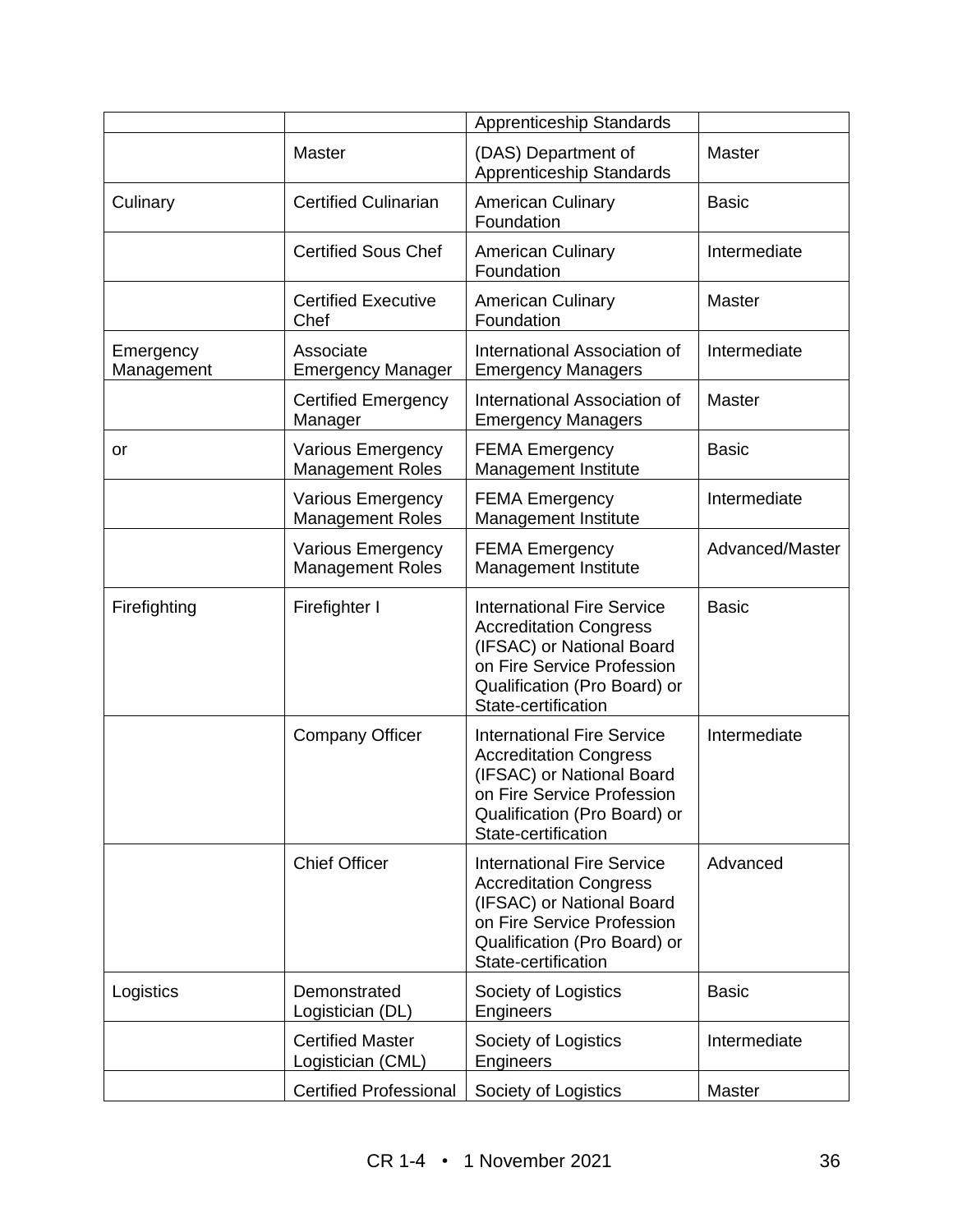|                         | <b>Apprenticeship Standards</b>                     |                                                                                                                                                                                      |                 |
|-------------------------|-----------------------------------------------------|--------------------------------------------------------------------------------------------------------------------------------------------------------------------------------------|-----------------|
|                         | Master                                              | (DAS) Department of<br><b>Apprenticeship Standards</b>                                                                                                                               | <b>Master</b>   |
| Culinary                | <b>Certified Culinarian</b>                         | <b>American Culinary</b><br>Foundation                                                                                                                                               | <b>Basic</b>    |
|                         | <b>Certified Sous Chef</b>                          | <b>American Culinary</b><br>Foundation                                                                                                                                               | Intermediate    |
|                         | <b>Certified Executive</b><br>Chef                  | <b>American Culinary</b><br>Foundation                                                                                                                                               | Master          |
| Emergency<br>Management | Associate<br><b>Emergency Manager</b>               | International Association of<br><b>Emergency Managers</b>                                                                                                                            | Intermediate    |
|                         | <b>Certified Emergency</b><br>Manager               | International Association of<br><b>Emergency Managers</b>                                                                                                                            | <b>Master</b>   |
| or                      | <b>Various Emergency</b><br><b>Management Roles</b> | <b>FEMA Emergency</b><br>Management Institute                                                                                                                                        | <b>Basic</b>    |
|                         | <b>Various Emergency</b><br><b>Management Roles</b> | <b>FEMA Emergency</b><br>Management Institute                                                                                                                                        | Intermediate    |
|                         | <b>Various Emergency</b><br><b>Management Roles</b> | <b>FEMA Emergency</b><br>Management Institute                                                                                                                                        | Advanced/Master |
| Firefighting            | Firefighter I                                       | <b>International Fire Service</b><br><b>Accreditation Congress</b><br>(IFSAC) or National Board<br>on Fire Service Profession<br>Qualification (Pro Board) or<br>State-certification | <b>Basic</b>    |
|                         | <b>Company Officer</b>                              | <b>International Fire Service</b><br><b>Accreditation Congress</b><br>(IFSAC) or National Board<br>on Fire Service Profession<br>Qualification (Pro Board) or<br>State-certification | Intermediate    |
|                         | <b>Chief Officer</b>                                | <b>International Fire Service</b><br><b>Accreditation Congress</b><br>(IFSAC) or National Board<br>on Fire Service Profession<br>Qualification (Pro Board) or<br>State-certification | Advanced        |
| Logistics               | Demonstrated<br>Logistician (DL)                    | Society of Logistics<br>Engineers                                                                                                                                                    | <b>Basic</b>    |
|                         | <b>Certified Master</b><br>Logistician (CML)        | Society of Logistics<br>Engineers                                                                                                                                                    | Intermediate    |
|                         | <b>Certified Professional</b>                       | Society of Logistics                                                                                                                                                                 | Master          |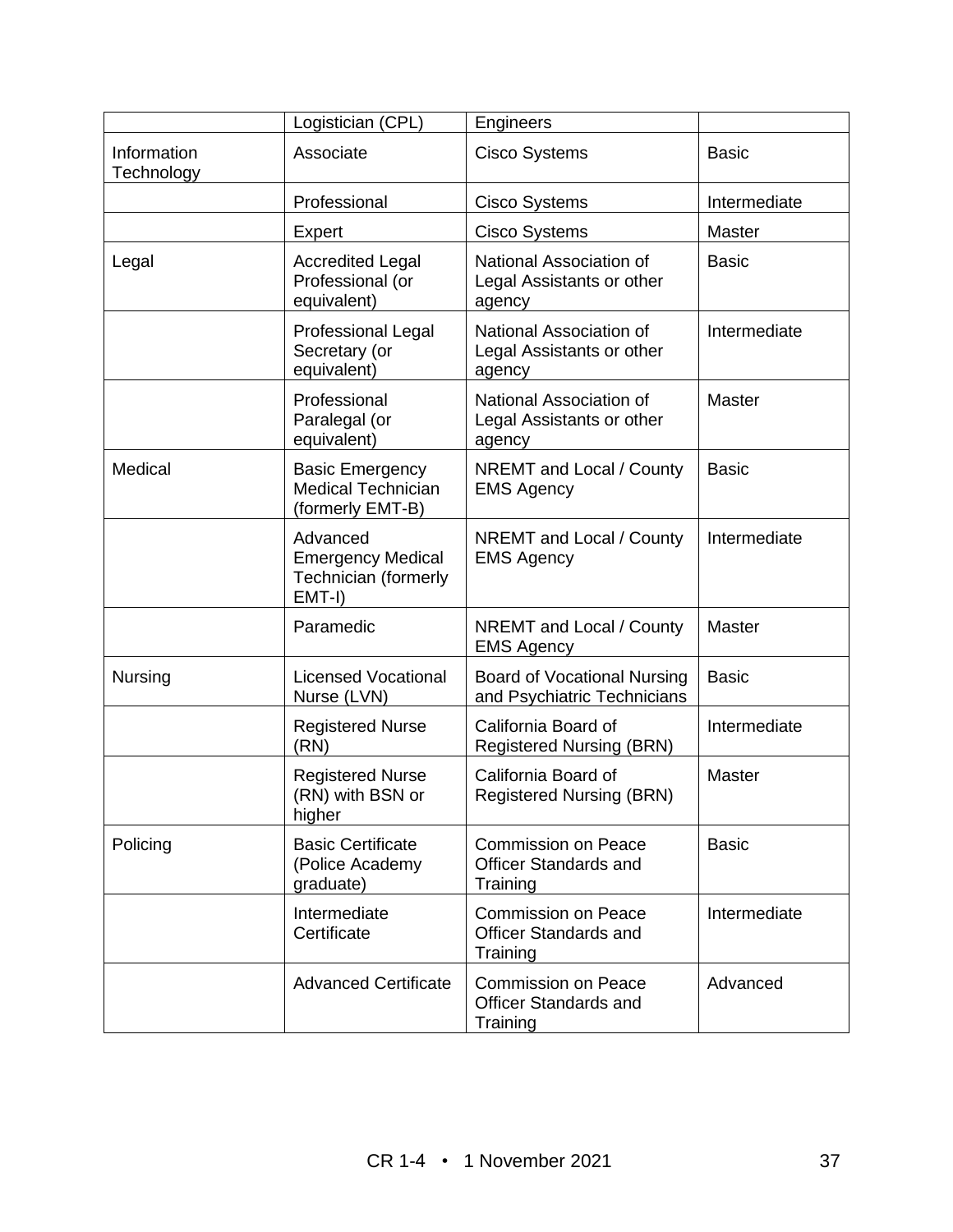|                           | Logistician (CPL)                                                        | Engineers                                                              |               |
|---------------------------|--------------------------------------------------------------------------|------------------------------------------------------------------------|---------------|
| Information<br>Technology | Associate                                                                | <b>Cisco Systems</b>                                                   | <b>Basic</b>  |
|                           | Professional                                                             | <b>Cisco Systems</b>                                                   | Intermediate  |
|                           | <b>Expert</b>                                                            | Cisco Systems                                                          | <b>Master</b> |
| Legal                     | <b>Accredited Legal</b><br>Professional (or<br>equivalent)               | National Association of<br>Legal Assistants or other<br>agency         | <b>Basic</b>  |
|                           | <b>Professional Legal</b><br>Secretary (or<br>equivalent)                | National Association of<br>Legal Assistants or other<br>agency         | Intermediate  |
|                           | Professional<br>Paralegal (or<br>equivalent)                             | National Association of<br>Legal Assistants or other<br>agency         | Master        |
| Medical                   | <b>Basic Emergency</b><br><b>Medical Technician</b><br>(formerly EMT-B)  | <b>NREMT</b> and Local / County<br><b>EMS Agency</b>                   | <b>Basic</b>  |
|                           | Advanced<br><b>Emergency Medical</b><br>Technician (formerly<br>$EMT-I)$ | <b>NREMT</b> and Local / County<br><b>EMS Agency</b>                   | Intermediate  |
|                           | Paramedic                                                                | <b>NREMT</b> and Local / County<br><b>EMS Agency</b>                   | <b>Master</b> |
| <b>Nursing</b>            | <b>Licensed Vocational</b><br>Nurse (LVN)                                | <b>Board of Vocational Nursing</b><br>and Psychiatric Technicians      | <b>Basic</b>  |
|                           | <b>Registered Nurse</b><br>(RN)                                          | California Board of<br><b>Registered Nursing (BRN)</b>                 | Intermediate  |
|                           | <b>Registered Nurse</b><br>(RN) with BSN or<br>higher                    | California Board of<br><b>Registered Nursing (BRN)</b>                 | Master        |
| Policing                  | <b>Basic Certificate</b><br>(Police Academy<br>graduate)                 | <b>Commission on Peace</b><br><b>Officer Standards and</b><br>Training | <b>Basic</b>  |
|                           | Intermediate<br>Certificate                                              | <b>Commission on Peace</b><br><b>Officer Standards and</b><br>Training | Intermediate  |
|                           | <b>Advanced Certificate</b>                                              | <b>Commission on Peace</b><br><b>Officer Standards and</b><br>Training | Advanced      |